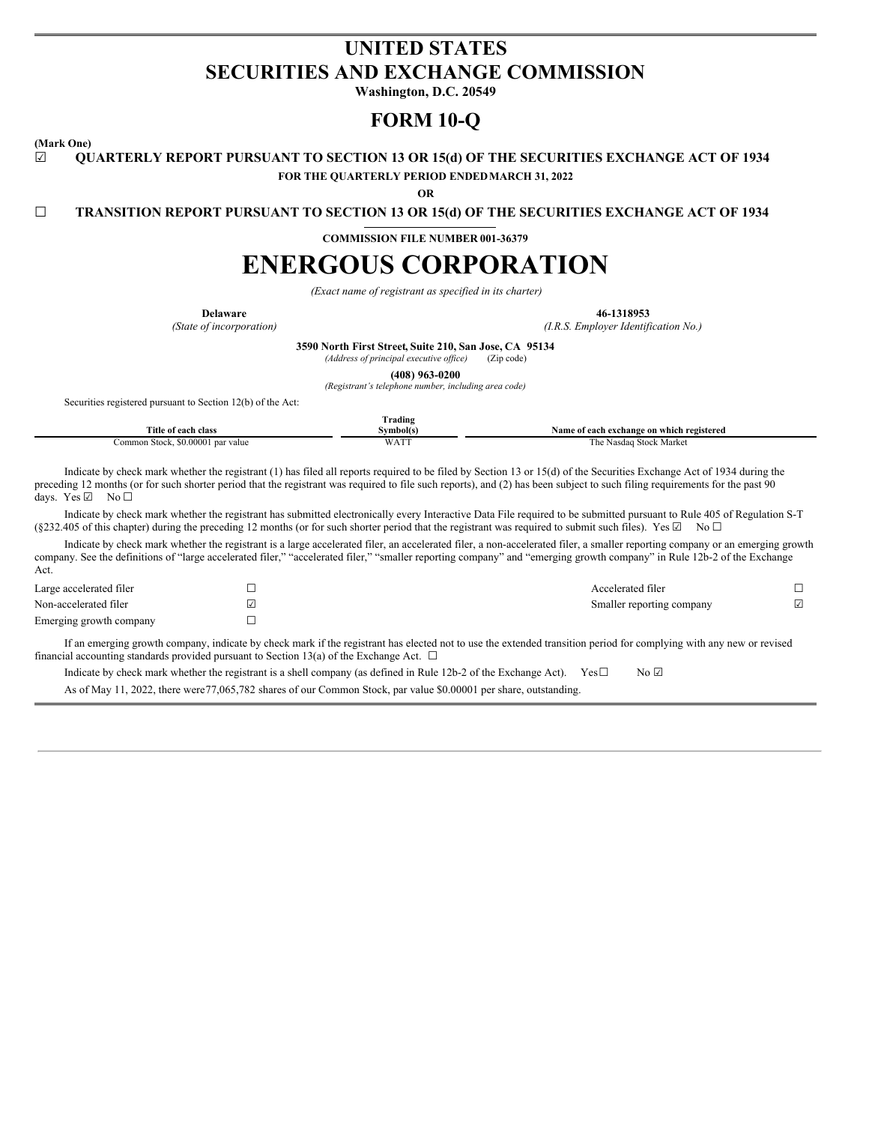# **UNITED STATES SECURITIES AND EXCHANGE COMMISSION**

**Washington, D.C. 20549**

# **FORM 10-Q**

**(Mark One)**

**☑ QUARTERLY REPORT PURSUANT TO SECTION 13 OR 15(d) OF THE SECURITIES EXCHANGE ACT OF 1934**

**FOR THE QUARTERLY PERIOD ENDEDMARCH 31, 2022**

**OR**

**☐ TRANSITION REPORT PURSUANT TO SECTION 13 OR 15(d) OF THE SECURITIES EXCHANGE ACT OF 1934**

**COMMISSION FILE NUMBER 001-36379**

# **ENERGOUS CORPORATION**

*(Exact name of registrant as specified in its charter)*

**Delaware 46-1318953**

*(State of incorporation) (I.R.S. Employer Identification No.)*

**3590 North First Street, Suite 210, San Jose, CA 95134**

*(Address of principal executive of ice)* (Zip code)

**(408) 963-0200**

*(Registrant's telephone number, including area code)*

Securities registered pursuant to Section 12(b) of the Act:

|                                   | no.<br>Trading |                                           |
|-----------------------------------|----------------|-------------------------------------------|
| Title of each class               | Svmbol(s)      | Name of each exchange on which registered |
| Common Stock, \$0,00001 par value | <b>WATT</b>    | The Nasdag Stock Market                   |

Indicate by check mark whether the registrant (1) has filed all reports required to be filed by Section 13 or 15(d) of the Securities Exchange Act of 1934 during the preceding 12 months (or for such shorter period that the registrant was required to file such reports), and (2) has been subject to such filing requirements for the past 90 days. Yes ☑ No ☐

Indicate by check mark whether the registrant has submitted electronically every Interactive Data File required to be submitted pursuant to Rule 405 of Regulation S-T (§232.405 of this chapter) during the preceding 12 months (or for such shorter period that the registrant was required to submit such files). Yes  $\boxtimes$  No  $\Box$ 

Indicate by check mark whether the registrant is a large accelerated filer, an accelerated filer, a non-accelerated filer, a smaller reporting company or an emerging growth company. See the definitions of "large accelerated filer," "accelerated filer," "smaller reporting company" and "emerging growth company" in Rule 12b-2 of the Exchange Act.

| Large accelerated filer | Accelerated filer         |            |
|-------------------------|---------------------------|------------|
| Non-accelerated filer   | Smaller reporting company | $\sqrt{ }$ |
| Emerging growth company |                           |            |

If an emerging growth company, indicate by check mark if the registrant has elected not to use the extended transition period for complying with any new or revised financial accounting standards provided pursuant to Section 13(a) of the Exchange Act.  $\Box$ 

Indicate by check mark whether the registrant is a shell company (as defined in Rule 12b-2 of the Exchange Act). Yes $\square$  No  $\square$ As of May 11, 2022, there were77,065,782 shares of our Common Stock, par value \$0.00001 per share, outstanding.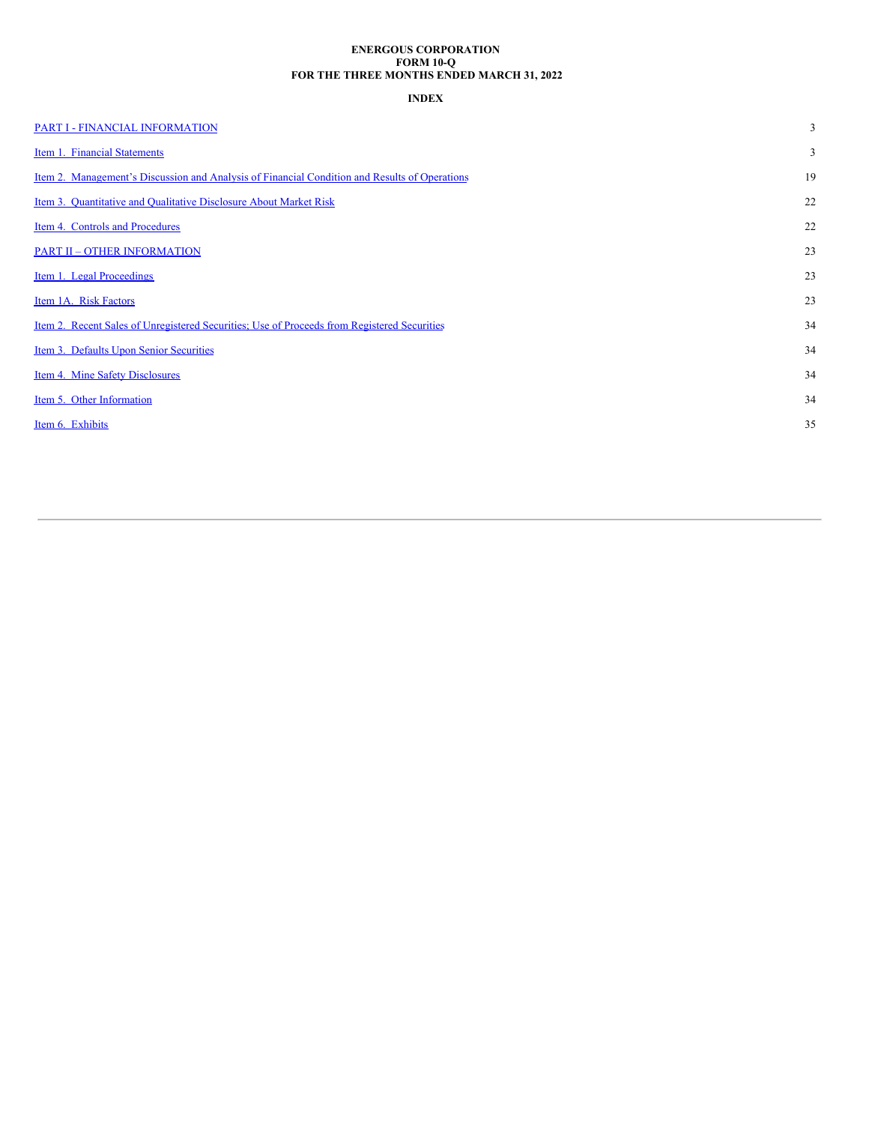#### **ENERGOUS CORPORATION FORM 10-Q FOR THE THREE MONTHS ENDED MARCH 31, 2022**

# **INDEX**

| PART I - FINANCIAL INFORMATION                                                                | $\mathfrak{Z}$ |
|-----------------------------------------------------------------------------------------------|----------------|
| Item 1. Financial Statements                                                                  | 3              |
| Item 2. Management's Discussion and Analysis of Financial Condition and Results of Operations | 19             |
| Item 3. Quantitative and Qualitative Disclosure About Market Risk                             | 22             |
| Item 4. Controls and Procedures                                                               | 22             |
| <b>PART II - OTHER INFORMATION</b>                                                            | 23             |
| Item 1. Legal Proceedings                                                                     | 23             |
| Item 1A. Risk Factors                                                                         | 23             |
| Item 2. Recent Sales of Unregistered Securities; Use of Proceeds from Registered Securities   | 34             |
| Item 3. Defaults Upon Senior Securities                                                       | 34             |
| Item 4. Mine Safety Disclosures                                                               | 34             |
| Item 5. Other Information                                                                     | 34             |
| Item 6. Exhibits                                                                              | 35             |
|                                                                                               |                |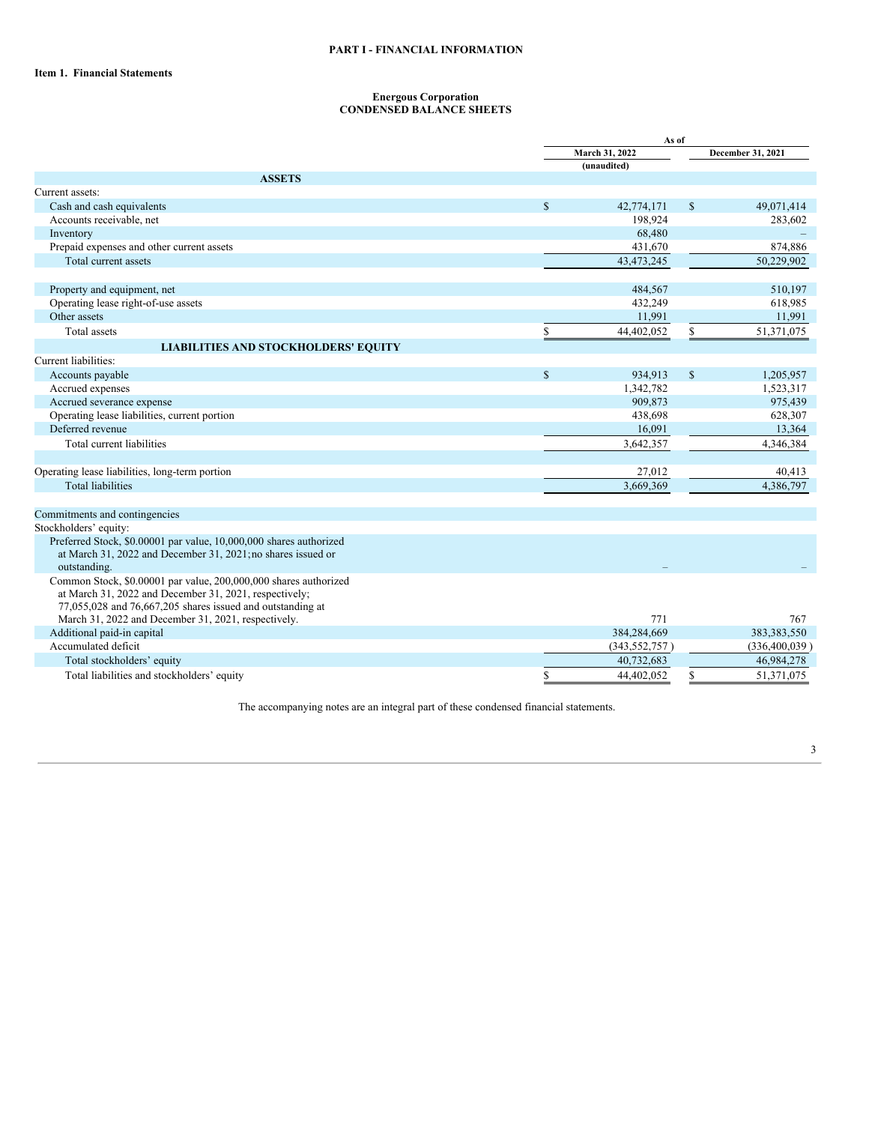#### **Energous Corporation CONDENSED BALANCE SHEETS**

<span id="page-2-1"></span><span id="page-2-0"></span>

|                                                                    |             | As of           |              |                   |  |  |
|--------------------------------------------------------------------|-------------|-----------------|--------------|-------------------|--|--|
|                                                                    |             | March 31, 2022  |              | December 31, 2021 |  |  |
|                                                                    |             | (unaudited)     |              |                   |  |  |
| <b>ASSETS</b>                                                      |             |                 |              |                   |  |  |
| Current assets:                                                    |             |                 |              |                   |  |  |
| Cash and cash equivalents                                          | \$          | 42,774,171      | $\mathbb{S}$ | 49,071,414        |  |  |
| Accounts receivable, net                                           |             | 198.924         |              | 283,602           |  |  |
| Inventory                                                          |             | 68,480          |              |                   |  |  |
| Prepaid expenses and other current assets                          |             | 431,670         |              | 874,886           |  |  |
| Total current assets                                               |             | 43, 473, 245    |              | 50,229,902        |  |  |
| Property and equipment, net                                        |             | 484,567         |              | 510,197           |  |  |
| Operating lease right-of-use assets                                |             | 432,249         |              | 618,985           |  |  |
| Other assets                                                       |             | 11,991          |              | 11,991            |  |  |
| Total assets                                                       | \$          | 44,402,052      | \$           | 51,371,075        |  |  |
| <b>LIABILITIES AND STOCKHOLDERS' EQUITY</b>                        |             |                 |              |                   |  |  |
| Current liabilities:                                               |             |                 |              |                   |  |  |
| Accounts payable                                                   | $\mathbf S$ | 934,913         | $\mathbb{S}$ | 1,205,957         |  |  |
| Accrued expenses                                                   |             | 1,342,782       |              | 1,523,317         |  |  |
| Accrued severance expense                                          |             | 909,873         |              | 975,439           |  |  |
| Operating lease liabilities, current portion                       |             | 438,698         |              | 628,307           |  |  |
| Deferred revenue                                                   |             | 16,091          |              | 13,364            |  |  |
| Total current liabilities                                          |             | 3,642,357       |              | 4,346,384         |  |  |
|                                                                    |             |                 |              |                   |  |  |
| Operating lease liabilities, long-term portion                     |             | 27,012          |              | 40,413            |  |  |
| <b>Total liabilities</b>                                           |             | 3,669,369       |              | 4,386,797         |  |  |
|                                                                    |             |                 |              |                   |  |  |
| Commitments and contingencies<br>Stockholders' equity:             |             |                 |              |                   |  |  |
| Preferred Stock, \$0.00001 par value, 10,000,000 shares authorized |             |                 |              |                   |  |  |
| at March 31, 2022 and December 31, 2021; no shares issued or       |             |                 |              |                   |  |  |
| outstanding.                                                       |             |                 |              |                   |  |  |
| Common Stock, \$0.00001 par value, 200,000,000 shares authorized   |             |                 |              |                   |  |  |
| at March 31, 2022 and December 31, 2021, respectively;             |             |                 |              |                   |  |  |
| 77,055,028 and 76,667,205 shares issued and outstanding at         |             |                 |              |                   |  |  |
| March 31, 2022 and December 31, 2021, respectively.                |             | 771             |              | 767               |  |  |
| Additional paid-in capital                                         |             | 384,284,669     |              | 383, 383, 550     |  |  |
| Accumulated deficit                                                |             | (343, 552, 757) |              | (336, 400, 039)   |  |  |
| Total stockholders' equity                                         |             | 40,732,683      |              | 46,984,278        |  |  |
| Total liabilities and stockholders' equity                         | \$          | 44,402,052      | \$           | 51,371,075        |  |  |

The accompanying notes are an integral part of these condensed financial statements.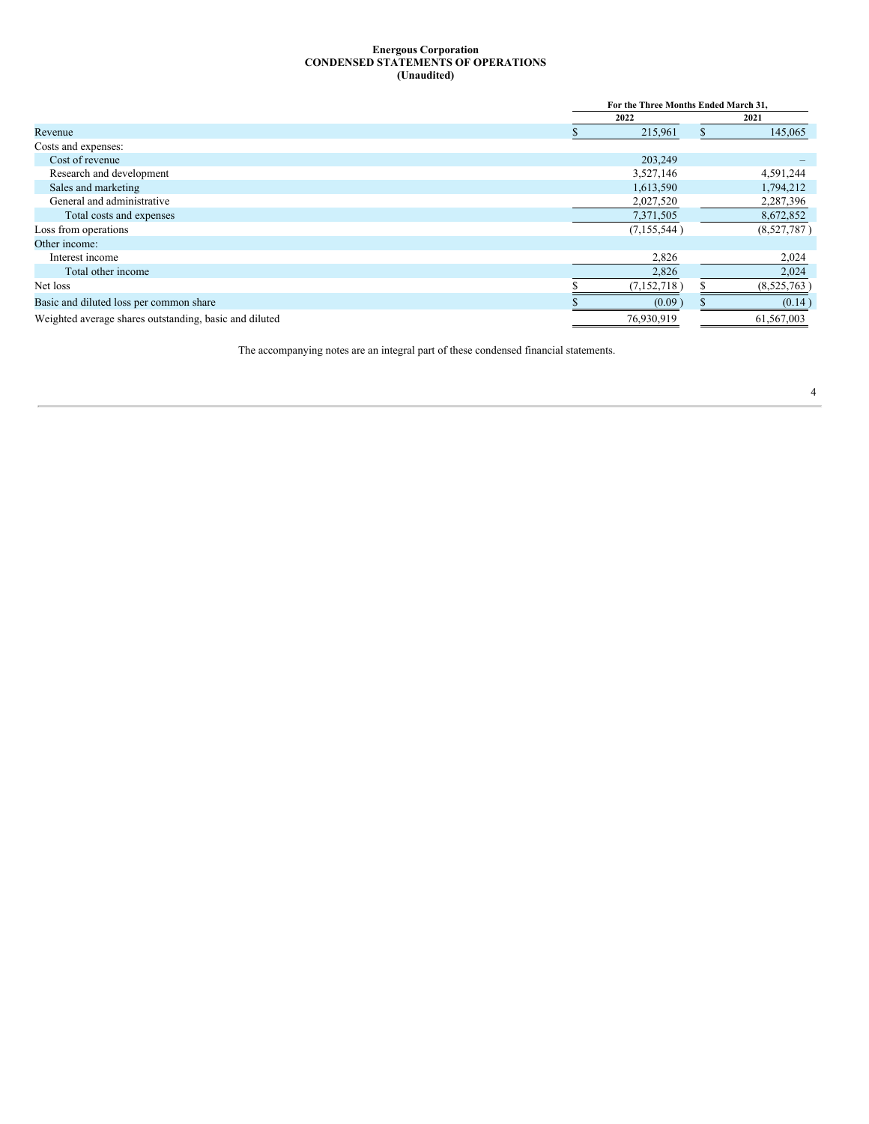#### **Energous Corporation CONDENSED STATEMENTS OF OPERATIONS (Unaudited)**

|                                                        |             | For the Three Months Ended March 31. |             |  |  |  |
|--------------------------------------------------------|-------------|--------------------------------------|-------------|--|--|--|
|                                                        | 2022        |                                      | 2021        |  |  |  |
| Revenue                                                | 215,961     | S                                    | 145,065     |  |  |  |
| Costs and expenses:                                    |             |                                      |             |  |  |  |
| Cost of revenue                                        | 203,249     |                                      |             |  |  |  |
| Research and development                               | 3,527,146   |                                      | 4,591,244   |  |  |  |
| Sales and marketing                                    | 1,613,590   |                                      | 1,794,212   |  |  |  |
| General and administrative                             | 2,027,520   |                                      | 2,287,396   |  |  |  |
| Total costs and expenses                               | 7,371,505   |                                      | 8,672,852   |  |  |  |
| Loss from operations                                   | (7,155,544) |                                      | (8,527,787) |  |  |  |
| Other income:                                          |             |                                      |             |  |  |  |
| Interest income                                        | 2,826       |                                      | 2,024       |  |  |  |
| Total other income                                     | 2,826       |                                      | 2,024       |  |  |  |
| Net loss                                               | (7,152,718) |                                      | (8,525,763) |  |  |  |
| Basic and diluted loss per common share                | (0.09)      |                                      | (0.14)      |  |  |  |
| Weighted average shares outstanding, basic and diluted | 76,930,919  |                                      | 61,567,003  |  |  |  |

The accompanying notes are an integral part of these condensed financial statements.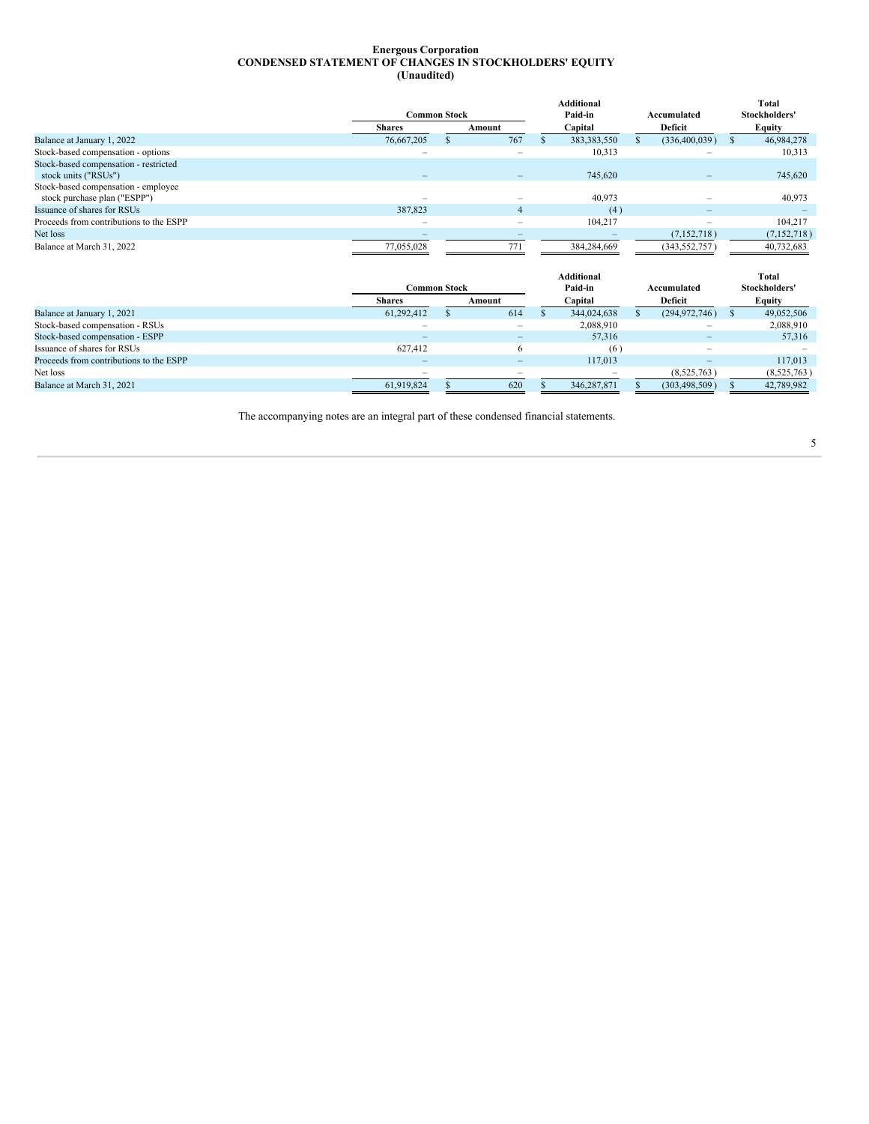#### **Energous Corporation CONDENSED STATEMENT OF CHANGES IN STOCKHOLDERS' EQUITY (Unaudited)**

|                                                                     | <b>Common Stock</b>      |                                                                           | <b>Additional</b><br>Paid-in | Accumulated                                                               | <b>Total</b><br>Stockholders' |
|---------------------------------------------------------------------|--------------------------|---------------------------------------------------------------------------|------------------------------|---------------------------------------------------------------------------|-------------------------------|
|                                                                     | <b>Shares</b>            | Amount                                                                    | Capital                      | Deficit                                                                   | <b>Equity</b>                 |
| Balance at January 1, 2022                                          | 76,667,205               | 767                                                                       | 383, 383, 550                | (336,400,039)                                                             | 46,984,278                    |
| Stock-based compensation - options                                  | -                        | $\hspace{1.0cm} \rule{1.5cm}{0.15cm} \hspace{1.0cm} \rule{1.5cm}{0.15cm}$ | 10,313                       | $\hspace{1.0cm} \rule{1.5cm}{0.15cm} \hspace{1.0cm} \rule{1.5cm}{0.15cm}$ | 10,313                        |
| Stock-based compensation - restricted<br>stock units ("RSUs")       |                          | $\overline{\phantom{m}}$                                                  | 745,620                      |                                                                           | 745,620                       |
| Stock-based compensation - employee<br>stock purchase plan ("ESPP") | -                        | $\overline{\phantom{a}}$                                                  | 40,973                       | -                                                                         | 40,973                        |
| Issuance of shares for RSUs                                         | 387,823                  | $\overline{4}$                                                            | (4)                          |                                                                           |                               |
| Proceeds from contributions to the ESPP                             | $\overline{\phantom{a}}$ | $\overline{\phantom{a}}$                                                  | 104.217                      | -                                                                         | 104,217                       |
| Net loss                                                            | -                        | $\hspace{0.1mm}-\hspace{0.1mm}$                                           |                              | (7,152,718)                                                               | (7,152,718)                   |
| Balance at March 31, 2022                                           | 77,055,028               | 771                                                                       | 384,284,669                  | (343, 552, 757)                                                           | 40,732,683                    |

|                                         |                          |                                                                           | <b>Additional</b>                                                         |                                                                           | <b>Total</b>  |
|-----------------------------------------|--------------------------|---------------------------------------------------------------------------|---------------------------------------------------------------------------|---------------------------------------------------------------------------|---------------|
|                                         | <b>Common Stock</b>      |                                                                           | Paid-in                                                                   | Accumulated                                                               | Stockholders' |
|                                         | <b>Shares</b>            | Amount                                                                    | Capital                                                                   | Deficit                                                                   | <b>Equity</b> |
| Balance at January 1, 2021              | 61,292,412               | 614                                                                       | 344,024,638                                                               | (294, 972, 746)                                                           | 49,052,506    |
| Stock-based compensation - RSUs         | $\overline{\phantom{a}}$ | $\hspace{1.0cm} \rule{1.5cm}{0.15cm} \hspace{1.0cm} \rule{1.5cm}{0.15cm}$ | 2,088,910                                                                 | $\hspace{1.0cm} \rule{1.5cm}{0.15cm} \hspace{1.0cm} \rule{1.5cm}{0.15cm}$ | 2,088,910     |
| Stock-based compensation - ESPP         | -                        | $\qquad \qquad -$                                                         | 57,316                                                                    |                                                                           | 57,316        |
| Issuance of shares for RSUs             | 627,412                  | $\sigma$                                                                  | (6)                                                                       | $\overline{\phantom{0}}$                                                  |               |
| Proceeds from contributions to the ESPP | -                        | $\overline{\phantom{m}}$                                                  | 117,013                                                                   | $\hspace{1.0cm} \rule{1.5cm}{0.15cm}$                                     | 117,013       |
| Net loss                                | $\overline{\phantom{a}}$ | $\hspace{0.1mm}-\hspace{0.1mm}$                                           | $\hspace{1.0cm} \rule{1.5cm}{0.15cm} \hspace{1.0cm} \rule{1.5cm}{0.15cm}$ | (8,525,763)                                                               | (8,525,763)   |
| Balance at March 31, 2021               | 61,919,824               | 620                                                                       | 346,287,871                                                               | (303, 498, 509)                                                           | 42,789,982    |

The accompanying notes are an integral part of these condensed financial statements.

5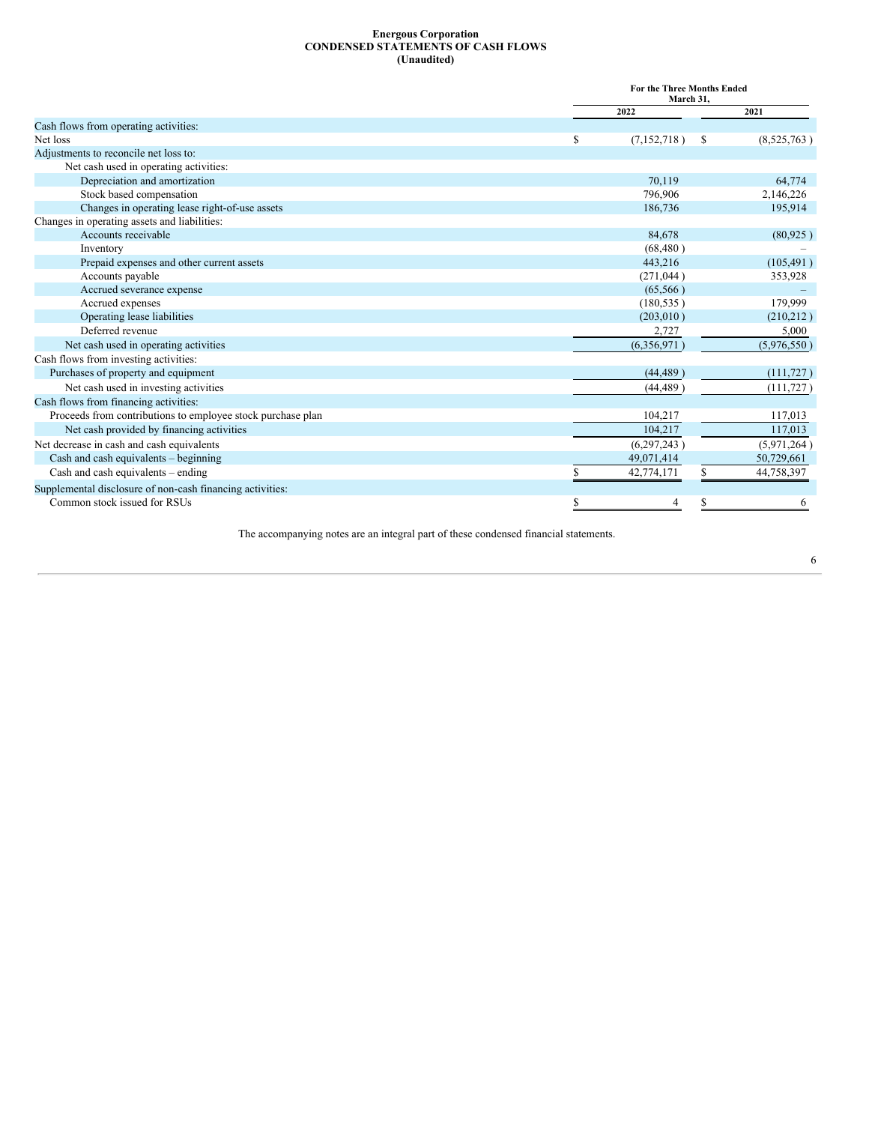#### **Energous Corporation CONDENSED STATEMENTS OF CASH FLOWS (Unaudited)**

|                                                             |    | <b>For the Three Months Ended</b><br>March 31. |    |             |  |
|-------------------------------------------------------------|----|------------------------------------------------|----|-------------|--|
|                                                             |    | 2022                                           |    | 2021        |  |
| Cash flows from operating activities:                       |    |                                                |    |             |  |
| Net loss                                                    | \$ | (7,152,718)                                    | \$ | (8,525,763) |  |
| Adjustments to reconcile net loss to:                       |    |                                                |    |             |  |
| Net cash used in operating activities:                      |    |                                                |    |             |  |
| Depreciation and amortization                               |    | 70,119                                         |    | 64,774      |  |
| Stock based compensation                                    |    | 796,906                                        |    | 2,146,226   |  |
| Changes in operating lease right-of-use assets              |    | 186,736                                        |    | 195,914     |  |
| Changes in operating assets and liabilities:                |    |                                                |    |             |  |
| Accounts receivable                                         |    | 84,678                                         |    | (80, 925)   |  |
| Inventory                                                   |    | (68, 480)                                      |    |             |  |
| Prepaid expenses and other current assets                   |    | 443,216                                        |    | (105, 491)  |  |
| Accounts payable                                            |    | (271, 044)                                     |    | 353,928     |  |
| Accrued severance expense                                   |    | (65, 566)                                      |    |             |  |
| Accrued expenses                                            |    | (180, 535)                                     |    | 179,999     |  |
| Operating lease liabilities                                 |    | (203,010)                                      |    | (210,212)   |  |
| Deferred revenue                                            |    | 2,727                                          |    | 5,000       |  |
| Net cash used in operating activities                       |    | (6,356,971)                                    |    | (5,976,550) |  |
| Cash flows from investing activities:                       |    |                                                |    |             |  |
| Purchases of property and equipment                         |    | (44, 489)                                      |    | (111, 727)  |  |
| Net cash used in investing activities                       |    | (44, 489)                                      |    | (111, 727)  |  |
| Cash flows from financing activities:                       |    |                                                |    |             |  |
| Proceeds from contributions to employee stock purchase plan |    | 104,217                                        |    | 117,013     |  |
| Net cash provided by financing activities                   |    | 104,217                                        |    | 117,013     |  |
| Net decrease in cash and cash equivalents                   |    | (6,297,243)                                    |    | (5,971,264) |  |
| Cash and cash equivalents – beginning                       |    | 49,071,414                                     |    | 50,729,661  |  |
| Cash and cash equivalents – ending                          |    | 42,774,171                                     | \$ | 44,758,397  |  |
| Supplemental disclosure of non-cash financing activities:   |    |                                                |    |             |  |
| Common stock issued for RSUs                                | S  | 4                                              | S  | 6           |  |

The accompanying notes are an integral part of these condensed financial statements.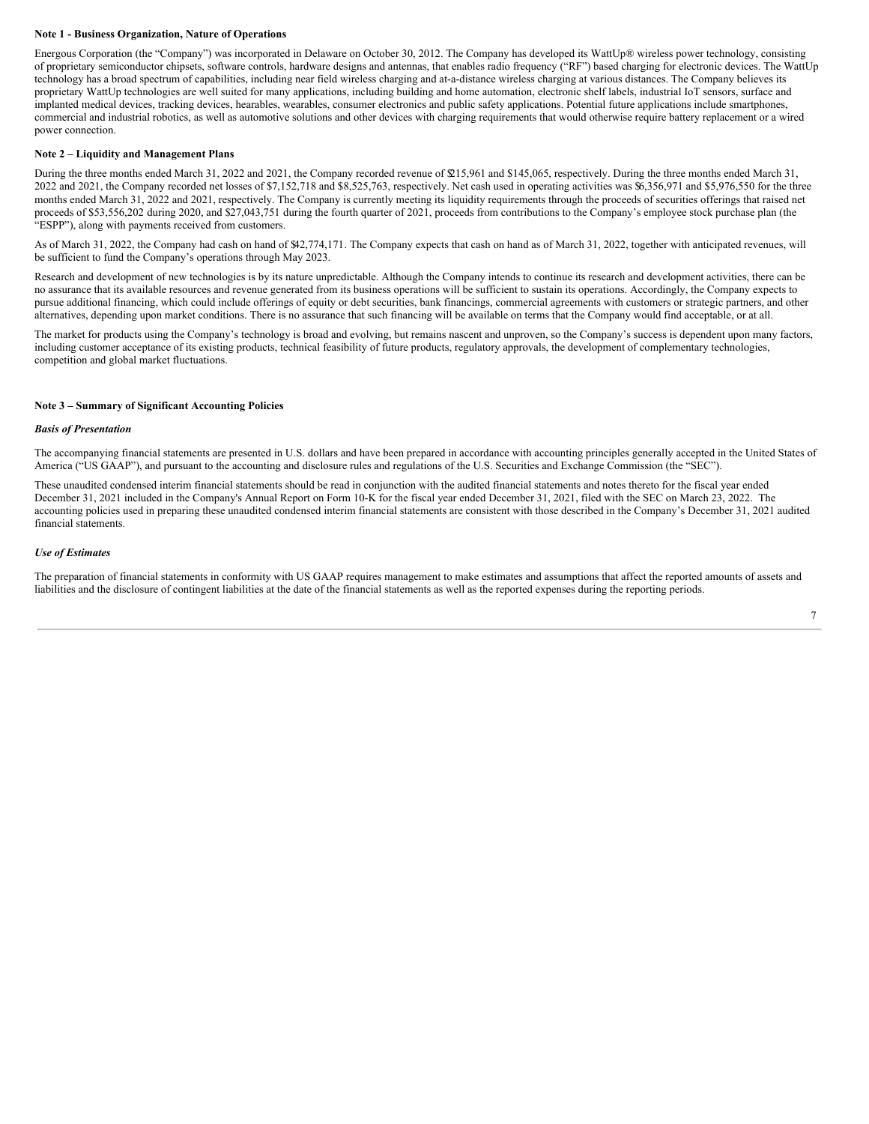#### **Note 1 - Business Organization, Nature of Operations**

Energous Corporation (the "Company") was incorporated in Delaware on October 30, 2012. The Company has developed its WattUp® wireless power technology, consisting of proprietary semiconductor chipsets, software controls, hardware designs and antennas, that enables radio frequency ("RF") based charging for electronic devices. The WattUp technology has a broad spectrum of capabilities, including near field wireless charging and at-a-distance wireless charging at various distances. The Company believes its proprietary WattUp technologies are well suited for many applications, including building and home automation, electronic shelf labels, industrial IoT sensors, surface and implanted medical devices, tracking devices, hearables, wearables, consumer electronics and public safety applications. Potential future applications include smartphones, commercial and industrial robotics, as well as automotive solutions and other devices with charging requirements that would otherwise require battery replacement or a wired power connection.

# **Note 2 – Liquidity and Management Plans**

During the three months ended March 31, 2022 and 2021, the Company recorded revenue of \$215,961 and \$145,065, respectively. During the three months ended March 31, 2022 and 2021, the Company recorded net losses of \$7,152,718 and \$8,525,763, respectively. Net cash used in operating activities was \$6,356,971 and \$5,976,550 for the three months ended March 31, 2022 and 2021, respectively. The Company is currently meeting its liquidity requirements through the proceeds of securities offerings that raised net proceeds of \$53,556,202 during 2020, and \$27,043,751 during the fourth quarter of 2021, proceeds from contributions to the Company's employee stock purchase plan (the "ESPP"), along with payments received from customers.

As of March 31, 2022, the Company had cash on hand of \$42,774,171. The Company expects that cash on hand as of March 31, 2022, together with anticipated revenues, will be sufficient to fund the Company's operations through May 2023.

Research and development of new technologies is by its nature unpredictable. Although the Company intends to continue its research and development activities, there can be no assurance that its available resources and revenue generated from its business operations will be sufficient to sustain its operations. Accordingly, the Company expects to pursue additional financing, which could include offerings of equity or debt securities, bank financings, commercial agreements with customers or strategic partners, and other alternatives, depending upon market conditions. There is no assurance that such financing will be available on terms that the Company would find acceptable, or at all.

The market for products using the Company's technology is broad and evolving, but remains nascent and unproven, so the Company's success is dependent upon many factors, including customer acceptance of its existing products, technical feasibility of future products, regulatory approvals, the development of complementary technologies, competition and global market fluctuations.

#### **Note 3 – Summary of Significant Accounting Policies**

#### *Basis of Presentation*

The accompanying financial statements are presented in U.S. dollars and have been prepared in accordance with accounting principles generally accepted in the United States of America ("US GAAP"), and pursuant to the accounting and disclosure rules and regulations of the U.S. Securities and Exchange Commission (the "SEC").

These unaudited condensed interim financial statements should be read in conjunction with the audited financial statements and notes thereto for the fiscal year ended December 31, 2021 included in the Company's Annual Report on Form 10-K for the fiscal year ended December 31, 2021, filed with the SEC on March 23, 2022. The accounting policies used in preparing these unaudited condensed interim financial statements are consistent with those described in the Company's December 31, 2021 audited financial statements*.*

#### *Use of Estimates*

The preparation of financial statements in conformity with US GAAP requires management to make estimates and assumptions that affect the reported amounts of assets and liabilities and the disclosure of contingent liabilities at the date of the financial statements as well as the reported expenses during the reporting periods.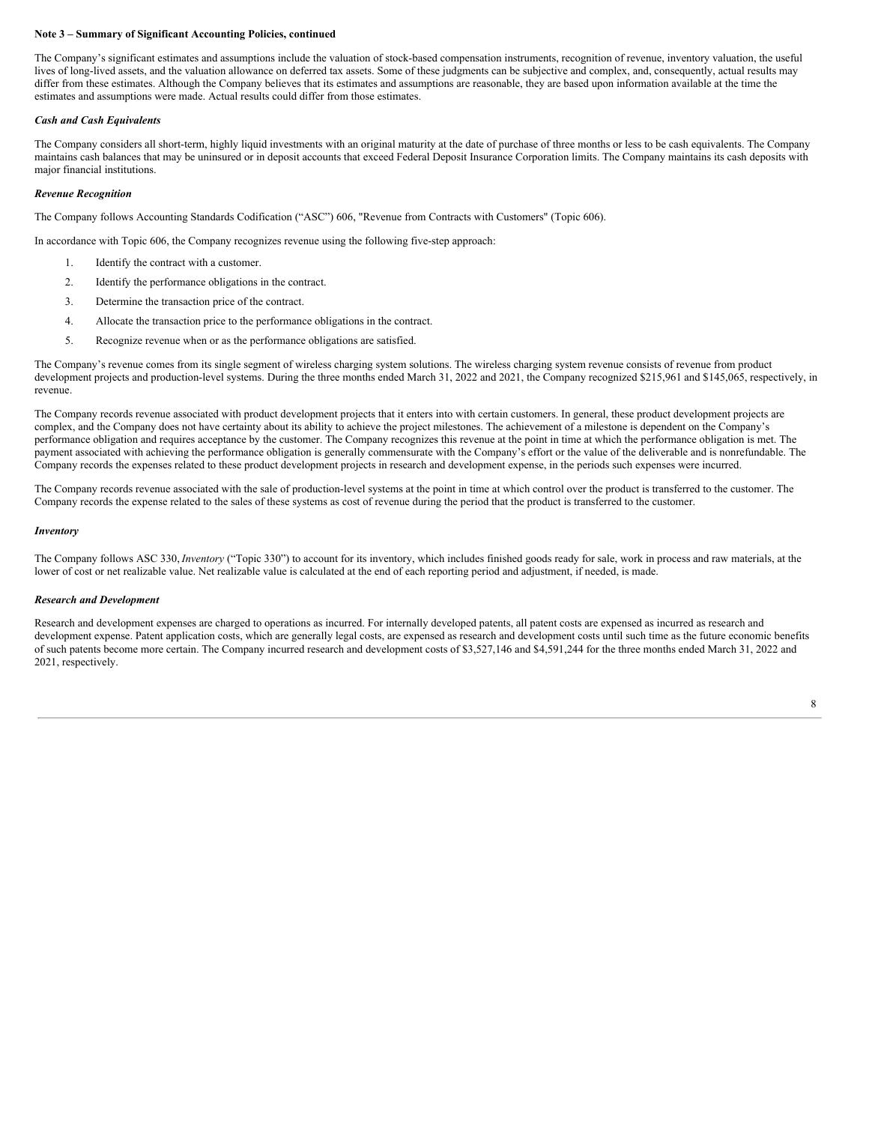#### **Note 3 – Summary of Significant Accounting Policies, continued**

The Company's significant estimates and assumptions include the valuation of stock-based compensation instruments, recognition of revenue, inventory valuation, the useful lives of long-lived assets, and the valuation allowance on deferred tax assets. Some of these judgments can be subjective and complex, and, consequently, actual results may differ from these estimates. Although the Company believes that its estimates and assumptions are reasonable, they are based upon information available at the time the estimates and assumptions were made. Actual results could differ from those estimates.

#### *Cash and Cash Equivalents*

The Company considers all short-term, highly liquid investments with an original maturity at the date of purchase of three months or less to be cash equivalents. The Company maintains cash balances that may be uninsured or in deposit accounts that exceed Federal Deposit Insurance Corporation limits. The Company maintains its cash deposits with major financial institutions.

#### *Revenue Recognition*

The Company follows Accounting Standards Codification ("ASC") 606, "Revenue from Contracts with Customers" (Topic 606).

In accordance with Topic 606, the Company recognizes revenue using the following five-step approach:

- 1. Identify the contract with a customer.
- 2. Identify the performance obligations in the contract.
- 3. Determine the transaction price of the contract.
- 4. Allocate the transaction price to the performance obligations in the contract.
- 5. Recognize revenue when or as the performance obligations are satisfied.

The Company's revenue comes from its single segment of wireless charging system solutions. The wireless charging system revenue consists of revenue from product development projects and production-level systems. During the three months ended March 31, 2022 and 2021, the Company recognized \$215,961 and \$145,065, respectively, in revenue.

The Company records revenue associated with product development projects that it enters into with certain customers. In general, these product development projects are complex, and the Company does not have certainty about its ability to achieve the project milestones. The achievement of a milestone is dependent on the Company's performance obligation and requires acceptance by the customer. The Company recognizes this revenue at the point in time at which the performance obligation is met. The payment associated with achieving the performance obligation is generally commensurate with the Company's effort or the value of the deliverable and is nonrefundable. The Company records the expenses related to these product development projects in research and development expense, in the periods such expenses were incurred.

The Company records revenue associated with the sale of production-level systems at the point in time at which control over the product is transferred to the customer. The Company records the expense related to the sales of these systems as cost of revenue during the period that the product is transferred to the customer.

#### *Inventory*

The Company follows ASC 330, *Inventory* ("Topic 330") to account for its inventory, which includes finished goods ready for sale, work in process and raw materials, at the lower of cost or net realizable value. Net realizable value is calculated at the end of each reporting period and adjustment, if needed, is made.

# *Research and Development*

Research and development expenses are charged to operations as incurred. For internally developed patents, all patent costs are expensed as incurred as research and development expense. Patent application costs, which are generally legal costs, are expensed as research and development costs until such time as the future economic benefits of such patents become more certain. The Company incurred research and development costs of \$3,527,146 and \$4,591,244 for the three months ended March 31, 2022 and 2021, respectively.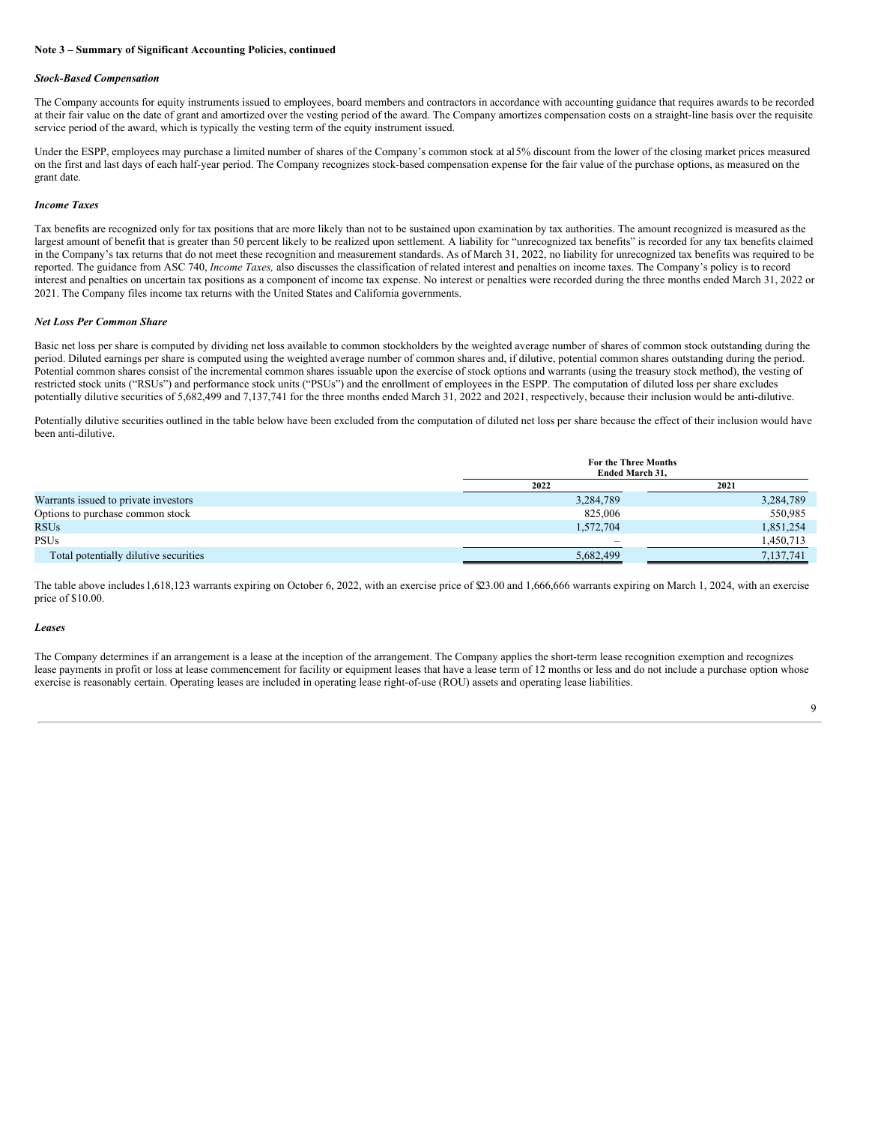### **Note 3 – Summary of Significant Accounting Policies, continued**

# *Stock-Based Compensation*

The Company accounts for equity instruments issued to employees, board members and contractors in accordance with accounting guidance that requires awards to be recorded at their fair value on the date of grant and amortized over the vesting period of the award. The Company amortizes compensation costs on a straight-line basis over the requisite service period of the award, which is typically the vesting term of the equity instrument issued.

Under the ESPP, employees may purchase a limited number of shares of the Company's common stock at a15% discount from the lower of the closing market prices measured on the first and last days of each half-year period. The Company recognizes stock-based compensation expense for the fair value of the purchase options, as measured on the grant date.

#### *Income Taxes*

Tax benefits are recognized only for tax positions that are more likely than not to be sustained upon examination by tax authorities. The amount recognized is measured as the largest amount of benefit that is greater than 50 percent likely to be realized upon settlement. A liability for "unrecognized tax benefits" is recorded for any tax benefits claimed in the Company's tax returns that do not meet these recognition and measurement standards. As of March 31, 2022, no liability for unrecognized tax benefits was required to be reported. The guidance from ASC 740, *Income Taxes,* also discusses the classification of related interest and penalties on income taxes. The Company's policy is to record interest and penalties on uncertain tax positions as a component of income tax expense. No interest or penalties were recorded during the three months ended March 31, 2022 or 2021. The Company files income tax returns with the United States and California governments.

#### *Net Loss Per Common Share*

Basic net loss per share is computed by dividing net loss available to common stockholders by the weighted average number of shares of common stock outstanding during the period. Diluted earnings per share is computed using the weighted average number of common shares and, if dilutive, potential common shares outstanding during the period. Potential common shares consist of the incremental common shares issuable upon the exercise of stock options and warrants (using the treasury stock method), the vesting of restricted stock units ("RSUs") and performance stock units ("PSUs") and the enrollment of employees in the ESPP. The computation of diluted loss per share excludes potentially dilutive securities of 5,682,499 and 7,137,741 for the three months ended March 31, 2022 and 2021, respectively, because their inclusion would be anti-dilutive.

Potentially dilutive securities outlined in the table below have been excluded from the computation of diluted net loss per share because the effect of their inclusion would have been anti-dilutive.

|                                       | <b>For the Three Months</b><br>Ended March 31, |           |
|---------------------------------------|------------------------------------------------|-----------|
|                                       | 2022                                           | 2021      |
| Warrants issued to private investors  | 3,284,789                                      | 3,284,789 |
| Options to purchase common stock      | 825,006                                        | 550,985   |
| <b>RSUs</b>                           | 1,572,704                                      | 1,851,254 |
| <b>PSUs</b>                           | $\overline{\phantom{a}}$                       | 1,450,713 |
| Total potentially dilutive securities | 5,682,499                                      | 7,137,741 |

The table above includes 1,618,123 warrants expiring on October 6, 2022, with an exercise price of \$23.00 and 1,666,666 warrants expiring on March 1, 2024, with an exercise price of \$10.00.

#### *Leases*

The Company determines if an arrangement is a lease at the inception of the arrangement. The Company applies the short-term lease recognition exemption and recognizes lease payments in profit or loss at lease commencement for facility or equipment leases that have a lease term of 12 months or less and do not include a purchase option whose exercise is reasonably certain. Operating leases are included in operating lease right-of-use (ROU) assets and operating lease liabilities.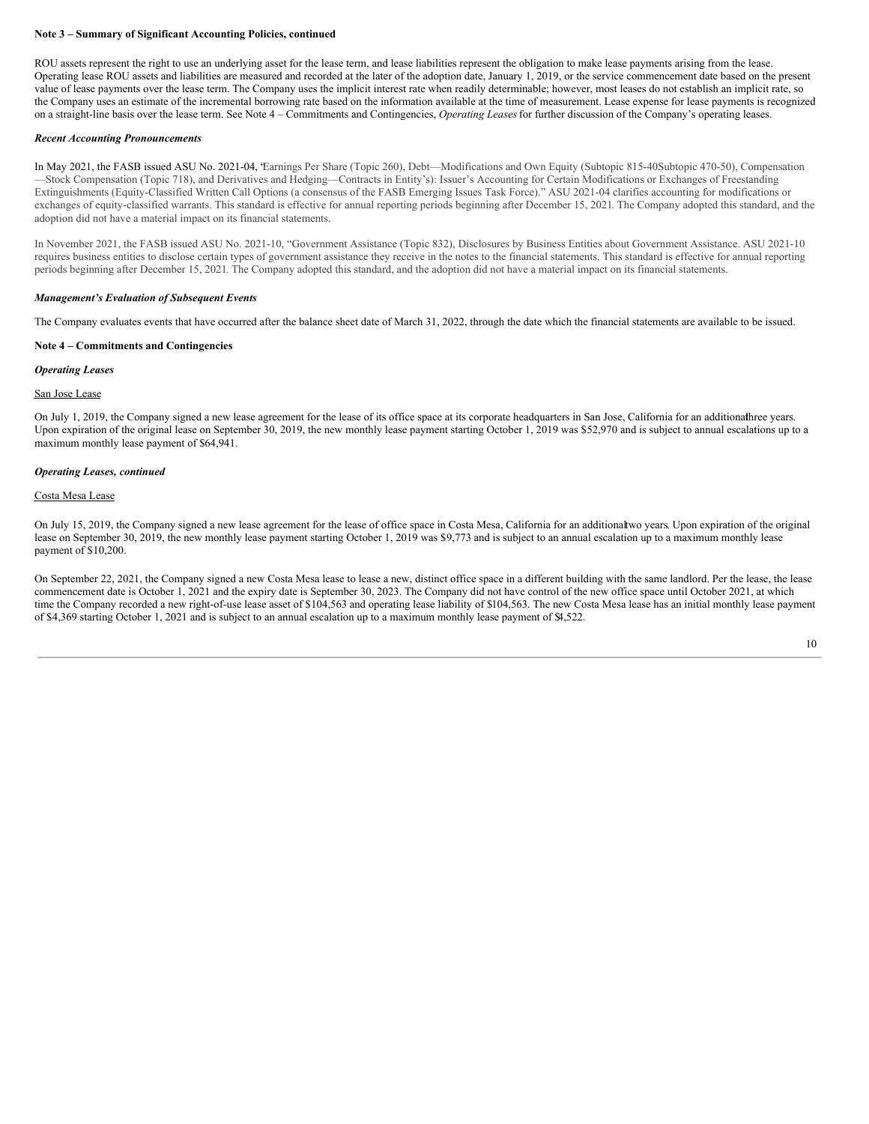#### **Note 3 – Summary of Significant Accounting Policies, continued**

ROU assets represent the right to use an underlying asset for the lease term, and lease liabilities represent the obligation to make lease payments arising from the lease. Operating lease ROU assets and liabilities are measured and recorded at the later of the adoption date, January 1, 2019, or the service commencement date based on the present value of lease payments over the lease term. The Company uses the implicit interest rate when readily determinable; however, most leases do not establish an implicit rate, so the Company uses an estimate of the incremental borrowing rate based on the information available at the time of measurement. Lease expense for lease payments is recognized on a straight-line basis over the lease term. See Note 4 – Commitments and Contingencies, *Operating Leases*for further discussion of the Company's operating leases.

# *Recent Accounting Pronouncements*

In May 2021, the FASB issued ASU No. 2021-04, "Earnings Per Share (Topic 260), Debt—Modifications and Own Equity (Subtopic 815-40Subtopic 470-50), Compensation —Stock Compensation (Topic 718), and Derivatives and Hedging—Contracts in Entity's): Issuer's Accounting for Certain Modifications or Exchanges of Freestanding Extinguishments (Equity-Classified Written Call Options (a consensus of the FASB Emerging Issues Task Force)." ASU 2021-04 clarifies accounting for modifications or exchanges of equity-classified warrants. This standard is effective for annual reporting periods beginning after December 15, 2021. The Company adopted this standard, and the adoption did not have a material impact on its financial statements.

In November 2021, the FASB issued ASU No. 2021-10, "Government Assistance (Topic 832), Disclosures by Business Entities about Government Assistance. ASU 2021-10 requires business entities to disclose certain types of government assistance they receive in the notes to the financial statements. This standard is effective for annual reporting periods beginning after December 15, 2021. The Company adopted this standard, and the adoption did not have a material impact on its financial statements.

#### *Management's Evaluation of Subsequent Events*

The Company evaluates events that have occurred after the balance sheet date of March 31, 2022, through the date which the financial statements are available to be issued.

#### **Note 4 – Commitments and Contingencies**

#### *Operating Leases*

# San Jose Lease

On July 1, 2019, the Company signed a new lease agreement for the lease of its office space at its corporate headquarters in San Jose, California for an additionatlhree years. Upon expiration of the original lease on September 30, 2019, the new monthly lease payment starting October 1, 2019 was \$52,970 and is subject to annual escalations up to a maximum monthly lease payment of \$64,941.

#### *Operating Leases, continued*

#### Costa Mesa Lease

On July 15, 2019, the Company signed a new lease agreement for the lease of office space in Costa Mesa, California for an additionaltwo years. Upon expiration of the original lease on September 30, 2019, the new monthly lease payment starting October 1, 2019 was \$9,773 and is subject to an annual escalation up to a maximum monthly lease payment of \$10,200.

On September 22, 2021, the Company signed a new Costa Mesa lease to lease a new, distinct office space in a different building with the same landlord. Per the lease, the lease commencement date is October 1, 2021 and the expiry date is September 30, 2023. The Company did not have control of the new office space until October 2021, at which time the Company recorded a new right-of-use lease asset of \$104,563 and operating lease liability of \$104,563. The new Costa Mesa lease has an initial monthly lease payment of \$4,369 starting October 1, 2021 and is subject to an annual escalation up to a maximum monthly lease payment of \$4,522.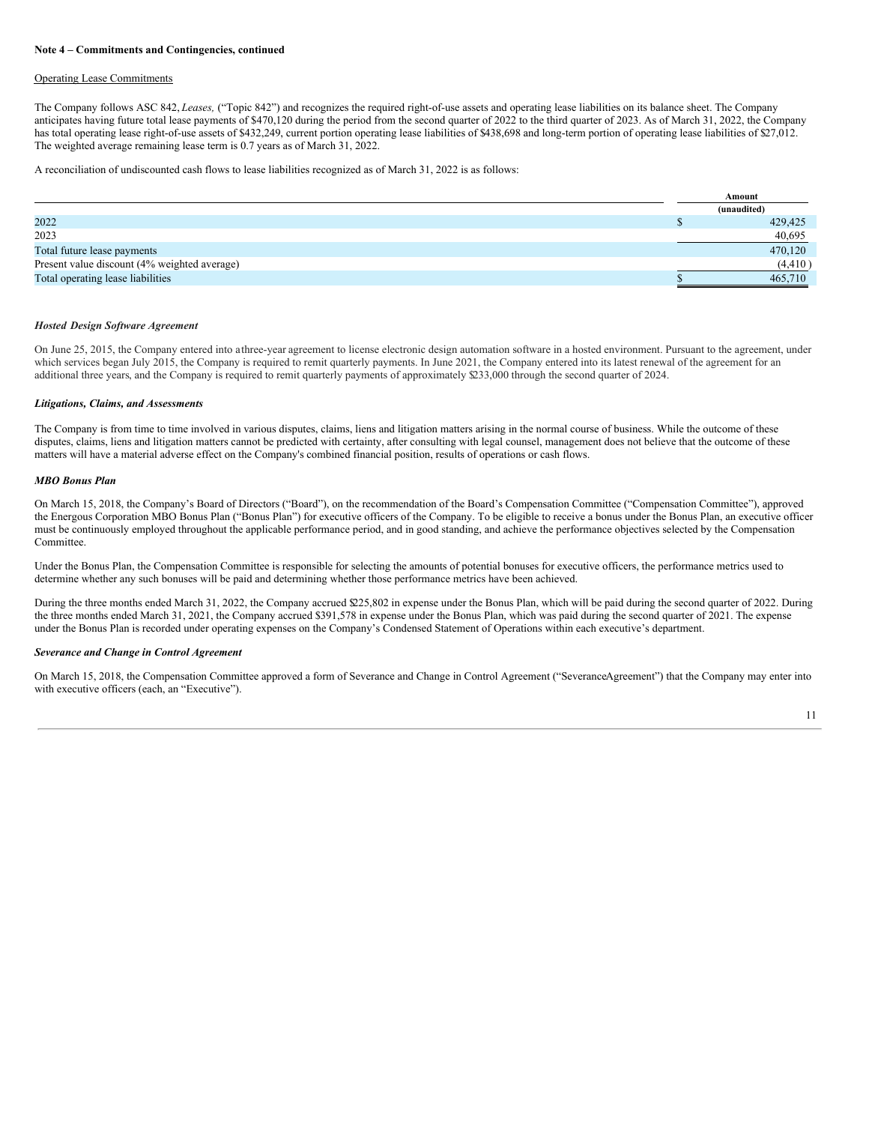#### **Note 4 – Commitments and Contingencies, continued**

#### Operating Lease Commitments

The Company follows ASC 842, *Leases,* ("Topic 842") and recognizes the required right-of-use assets and operating lease liabilities on its balance sheet. The Company anticipates having future total lease payments of \$470,120 during the period from the second quarter of 2022 to the third quarter of 2023. As of March 31, 2022, the Company has total operating lease right-of-use assets of \$432,249, current portion operating lease liabilities of \$438,698 and long-term portion of operating lease liabilities of \$27,012. The weighted average remaining lease term is 0.7 years as of March 31, 2022.

A reconciliation of undiscounted cash flows to lease liabilities recognized as of March 31, 2022 is as follows:

|                                              | Amount      |
|----------------------------------------------|-------------|
|                                              | (unaudited) |
| 2022                                         | 429,425     |
| 2023                                         | 40,695      |
| Total future lease payments                  | 470,120     |
| Present value discount (4% weighted average) | (4,410)     |
| Total operating lease liabilities            | 465,710     |

# *Hosted Design Software Agreement*

On June 25, 2015, the Company entered into athree-year agreement to license electronic design automation software in a hosted environment. Pursuant to the agreement, under which services began July 2015, the Company is required to remit quarterly payments. In June 2021, the Company entered into its latest renewal of the agreement for an additional three years, and the Company is required to remit quarterly payments of approximately \$233,000 through the second quarter of 2024.

# *Litigations, Claims, and Assessments*

The Company is from time to time involved in various disputes, claims, liens and litigation matters arising in the normal course of business. While the outcome of these disputes, claims, liens and litigation matters cannot be predicted with certainty, after consulting with legal counsel, management does not believe that the outcome of these matters will have a material adverse effect on the Company's combined financial position, results of operations or cash flows.

#### *MBO Bonus Plan*

On March 15, 2018, the Company's Board of Directors ("Board"), on the recommendation of the Board's Compensation Committee ("Compensation Committee"), approved the Energous Corporation MBO Bonus Plan ("Bonus Plan") for executive officers of the Company. To be eligible to receive a bonus under the Bonus Plan, an executive officer must be continuously employed throughout the applicable performance period, and in good standing, and achieve the performance objectives selected by the Compensation Committee.

Under the Bonus Plan, the Compensation Committee is responsible for selecting the amounts of potential bonuses for executive officers, the performance metrics used to determine whether any such bonuses will be paid and determining whether those performance metrics have been achieved.

During the three months ended March 31, 2022, the Company accrued \$225,802 in expense under the Bonus Plan, which will be paid during the second quarter of 2022. During the three months ended March 31, 2021, the Company accrued \$391,578 in expense under the Bonus Plan, which was paid during the second quarter of 2021. The expense under the Bonus Plan is recorded under operating expenses on the Company's Condensed Statement of Operations within each executive's department.

#### *Severance and Change in Control Agreement*

On March 15, 2018, the Compensation Committee approved a form of Severance and Change in Control Agreement ("SeveranceAgreement") that the Company may enter into with executive officers (each, an "Executive").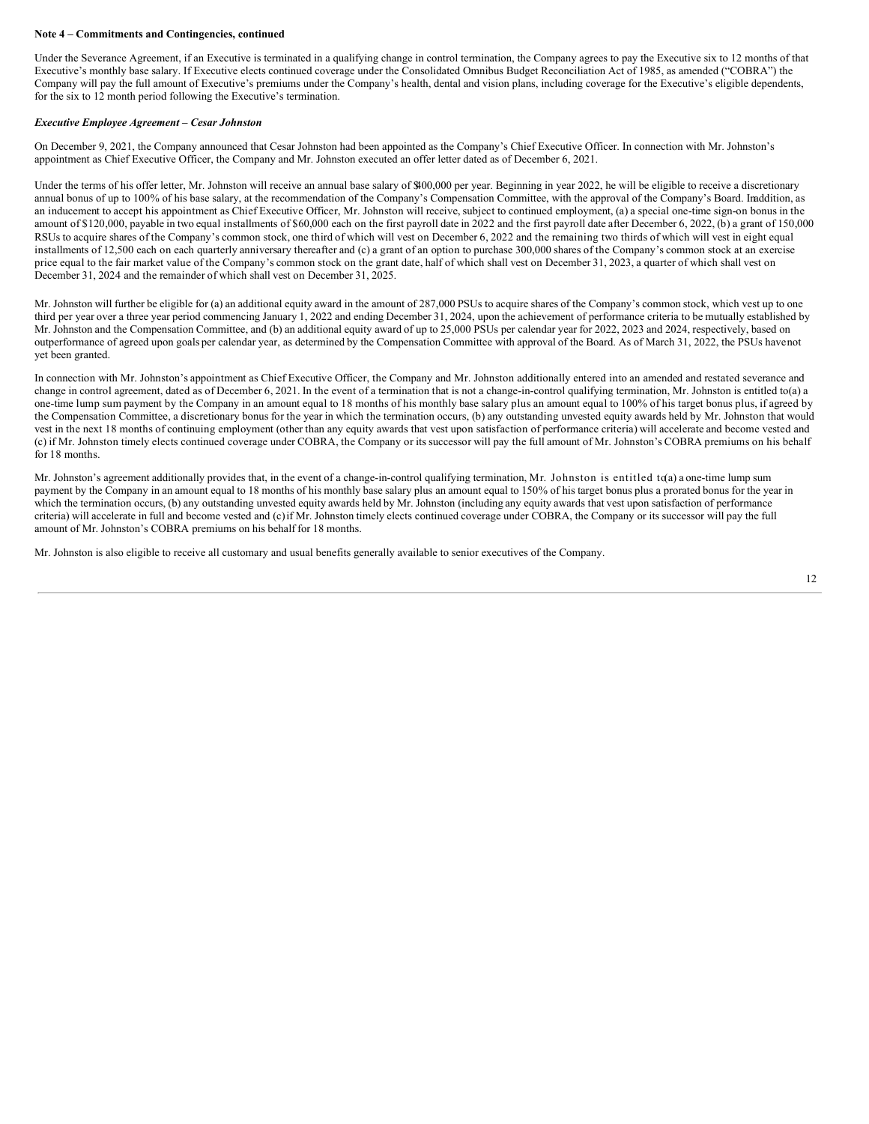#### **Note 4 – Commitments and Contingencies, continued**

Under the Severance Agreement, if an Executive is terminated in a qualifying change in control termination, the Company agrees to pay the Executive six to 12 months of that Executive's monthly base salary. If Executive elects continued coverage under the Consolidated Omnibus Budget Reconciliation Act of 1985, as amended ("COBRA") the Company will pay the full amount of Executive's premiums under the Company's health, dental and vision plans, including coverage for the Executive's eligible dependents, for the six to 12 month period following the Executive's termination.

# *Executive Employee Agreement – Cesar Johnston*

On December 9, 2021, the Company announced that Cesar Johnston had been appointed as the Company's Chief Executive Officer. In connection with Mr. Johnston's appointment as Chief Executive Officer, the Company and Mr. Johnston executed an offer letter dated as of December 6, 2021.

Under the terms of his offer letter, Mr. Johnston will receive an annual base salary of \$400,000 per year. Beginning in year 2022, he will be eligible to receive a discretionary annual bonus of up to 100% of his base salary, at the recommendation of the Company's Compensation Committee, with the approval of the Company's Board. Inaddition, as an inducement to accept his appointment as Chief Executive Officer, Mr. Johnston will receive, subject to continued employment, (a) a special one-time sign-on bonus in the amount of \$120,000, payable in two equal installments of \$60,000 each on the first payroll date in 2022 and the first payroll date after December 6, 2022, (b) a grant of 150,000 RSUs to acquire shares of the Company's common stock, one third of which will vest on December 6, 2022 and the remaining two thirds of which will vest in eight equal installments of 12,500 each on each quarterly anniversary thereafter and (c) a grant of an option to purchase 300,000 shares of the Company's common stock at an exercise price equal to the fair market value of the Company's common stock on the grant date, half of which shall vest on December 31, 2023, a quarter of which shall vest on December 31, 2024 and the remainder of which shall vest on December 31, 2025.

Mr. Johnston will further be eligible for (a) an additional equity award in the amount of 287,000 PSUs to acquire shares of the Company's common stock, which vest up to one third per year over a three year period commencing January 1, 2022 and ending December 31, 2024, upon the achievement of performance criteria to be mutually established by Mr. Johnston and the Compensation Committee, and (b) an additional equity award of up to 25,000 PSUs per calendar year for 2022, 2023 and 2024, respectively, based on outperformance of agreed upon goals per calendar year, as determined by the Compensation Committee with approval of the Board. As of March 31, 2022, the PSUs havenot yet been granted.

In connection with Mr. Johnston's appointment as Chief Executive Officer, the Company and Mr. Johnston additionally entered into an amended and restated severance and change in control agreement, dated as of December 6, 2021. In the event of a termination that is not a change-in-control qualifying termination, Mr. Johnston is entitled to(a) a one-time lump sum payment by the Company in an amount equal to 18 months of his monthly base salary plus an amount equal to 100% of his target bonus plus, if agreed by the Compensation Committee, a discretionary bonus for the year in which the termination occurs, (b) any outstanding unvested equity awards held by Mr. Johnston that would vest in the next 18 months of continuing employment (other than any equity awards that vest upon satisfaction of performance criteria) will accelerate and become vested and (c) if Mr. Johnston timely elects continued coverage under COBRA, the Company or its successor will pay the full amount of Mr. Johnston's COBRA premiums on his behalf for 18 months.

Mr. Johnston's agreement additionally provides that, in the event of a change-in-control qualifying termination, Mr. Johnston is entitled to (a) a one-time lump sum payment by the Company in an amount equal to 18 months of his monthly base salary plus an amount equal to 150% of his target bonus plus a prorated bonus for the year in which the termination occurs, (b) any outstanding unvested equity awards held by Mr. Johnston (including any equity awards that vest upon satisfaction of performance criteria) will accelerate in full and become vested and (c)if Mr. Johnston timely elects continued coverage under COBRA, the Company or its successor will pay the full amount of Mr. Johnston's COBRA premiums on his behalf for 18 months.

Mr. Johnston is also eligible to receive all customary and usual benefits generally available to senior executives of the Company.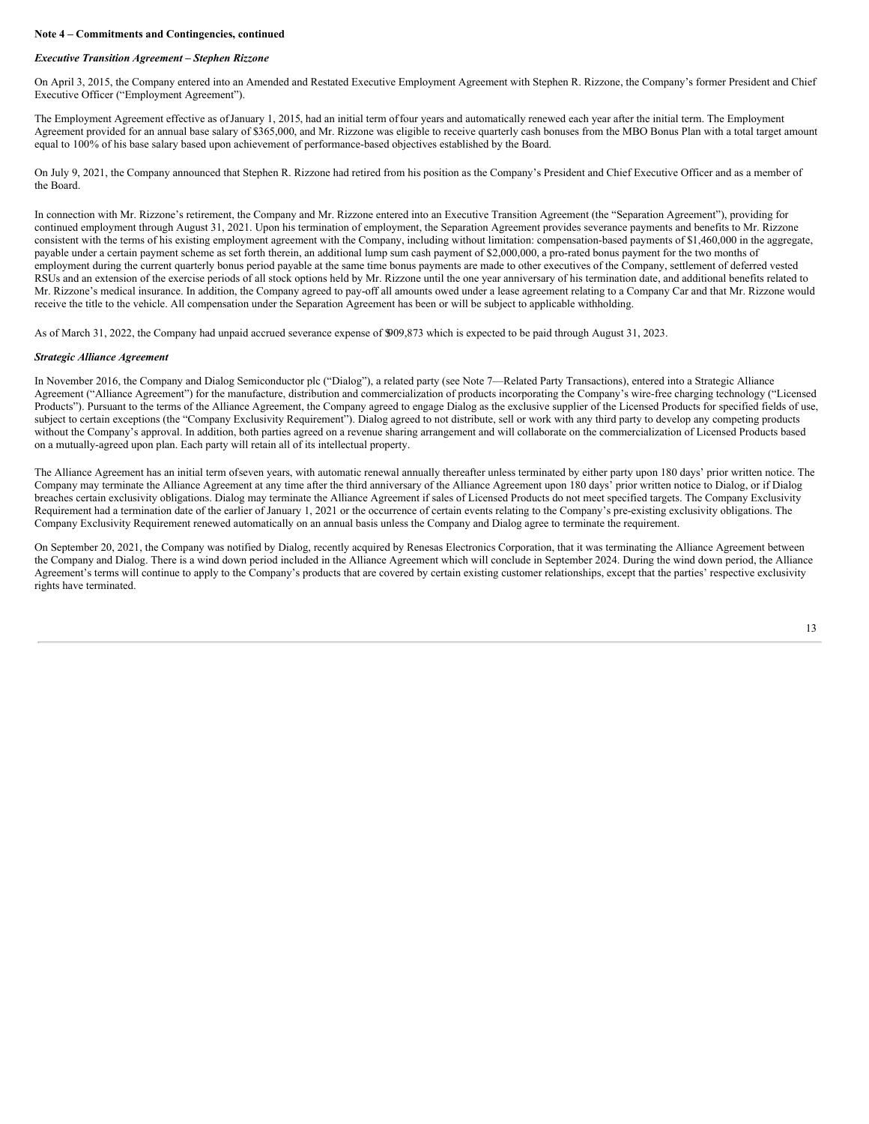#### **Note 4 – Commitments and Contingencies, continued**

# *Executive Transition Agreement – Stephen Rizzone*

On April 3, 2015, the Company entered into an Amended and Restated Executive Employment Agreement with Stephen R. Rizzone, the Company's former President and Chief Executive Officer ("Employment Agreement").

The Employment Agreement effective as ofJanuary 1, 2015, had an initial term offour years and automatically renewed each year after the initial term. The Employment Agreement provided for an annual base salary of \$365,000, and Mr. Rizzone was eligible to receive quarterly cash bonuses from the MBO Bonus Plan with a total target amount equal to 100% of his base salary based upon achievement of performance-based objectives established by the Board.

On July 9, 2021, the Company announced that Stephen R. Rizzone had retired from his position as the Company's President and Chief Executive Officer and as a member of the Board.

In connection with Mr. Rizzone's retirement, the Company and Mr. Rizzone entered into an Executive Transition Agreement (the "Separation Agreement"), providing for continued employment through August 31, 2021. Upon his termination of employment, the Separation Agreement provides severance payments and benefits to Mr. Rizzone consistent with the terms of his existing employment agreement with the Company, including without limitation: compensation-based payments of \$1,460,000 in the aggregate, payable under a certain payment scheme as set forth therein, an additional lump sum cash payment of \$2,000,000, a pro-rated bonus payment for the two months of employment during the current quarterly bonus period payable at the same time bonus payments are made to other executives of the Company, settlement of deferred vested RSUs and an extension of the exercise periods of all stock options held by Mr. Rizzone until the one year anniversary of his termination date, and additional benefits related to Mr. Rizzone's medical insurance. In addition, the Company agreed to pay-off all amounts owed under a lease agreement relating to a Company Car and that Mr. Rizzone would receive the title to the vehicle. All compensation under the Separation Agreement has been or will be subject to applicable withholding.

As of March 31, 2022, the Company had unpaid accrued severance expense of \$909,873 which is expected to be paid through August 31, 2023.

# *Strategic Alliance Agreement*

In November 2016, the Company and Dialog Semiconductor plc ("Dialog"), a related party (see Note 7—Related Party Transactions), entered into a Strategic Alliance Agreement ("Alliance Agreement") for the manufacture, distribution and commercialization of products incorporating the Company's wire-free charging technology ("Licensed Products"). Pursuant to the terms of the Alliance Agreement, the Company agreed to engage Dialog as the exclusive supplier of the Licensed Products for specified fields of use, subject to certain exceptions (the "Company Exclusivity Requirement"). Dialog agreed to not distribute, sell or work with any third party to develop any competing products without the Company's approval. In addition, both parties agreed on a revenue sharing arrangement and will collaborate on the commercialization of Licensed Products based on a mutually-agreed upon plan. Each party will retain all of its intellectual property.

The Alliance Agreement has an initial term ofseven years, with automatic renewal annually thereafter unless terminated by either party upon 180 days' prior written notice. The Company may terminate the Alliance Agreement at any time after the third anniversary of the Alliance Agreement upon 180 days' prior written notice to Dialog, or if Dialog breaches certain exclusivity obligations. Dialog may terminate the Alliance Agreement if sales of Licensed Products do not meet specified targets. The Company Exclusivity Requirement had a termination date of the earlier of January 1, 2021 or the occurrence of certain events relating to the Company's pre-existing exclusivity obligations. The Company Exclusivity Requirement renewed automatically on an annual basis unless the Company and Dialog agree to terminate the requirement.

On September 20, 2021, the Company was notified by Dialog, recently acquired by Renesas Electronics Corporation, that it was terminating the Alliance Agreement between the Company and Dialog. There is a wind down period included in the Alliance Agreement which will conclude in September 2024. During the wind down period, the Alliance Agreement's terms will continue to apply to the Company's products that are covered by certain existing customer relationships, except that the parties' respective exclusivity rights have terminated.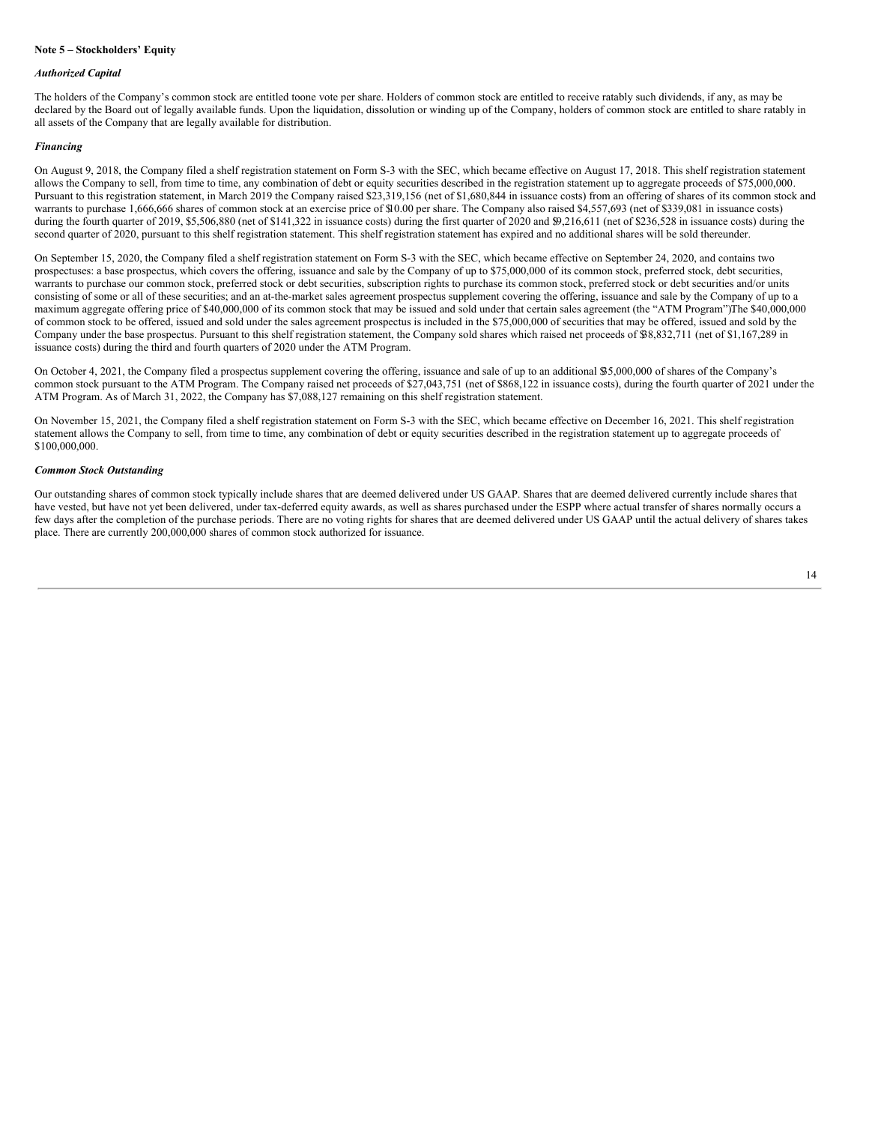# **Note 5 – Stockholders' Equity**

#### *Authorized Capital*

The holders of the Company's common stock are entitled toone vote per share. Holders of common stock are entitled to receive ratably such dividends, if any, as may be declared by the Board out of legally available funds. Upon the liquidation, dissolution or winding up of the Company, holders of common stock are entitled to share ratably in all assets of the Company that are legally available for distribution.

#### *Financing*

On August 9, 2018, the Company filed a shelf registration statement on Form S-3 with the SEC, which became effective on August 17, 2018. This shelf registration statement allows the Company to sell, from time to time, any combination of debt or equity securities described in the registration statement up to aggregate proceeds of \$75,000,000. Pursuant to this registration statement, in March 2019 the Company raised \$23,319,156 (net of \$1,680,844 in issuance costs) from an offering of shares of its common stock and warrants to purchase 1,666,666 shares of common stock at an exercise price of \$10.00 per share. The Company also raised \$4,557,693 (net of \$339,081 in issuance costs) during the fourth quarter of 2019, \$5,506,880 (net of \$141,322 in issuance costs) during the first quarter of 2020 and \$9,216,611 (net of \$236,528 in issuance costs) during the second quarter of 2020, pursuant to this shelf registration statement. This shelf registration statement has expired and no additional shares will be sold thereunder.

On September 15, 2020, the Company filed a shelf registration statement on Form S-3 with the SEC, which became effective on September 24, 2020, and contains two prospectuses: a base prospectus, which covers the offering, issuance and sale by the Company of up to \$75,000,000 of its common stock, preferred stock, debt securities, warrants to purchase our common stock, preferred stock or debt securities, subscription rights to purchase its common stock, preferred stock or debt securities and/or units consisting of some or all of these securities; and an at-the-market sales agreement prospectus supplement covering the offering, issuance and sale by the Company of up to a maximum aggregate offering price of \$40,000,000 of its common stock that may be issued and sold under that certain sales agreement (the "ATM Program")The \$40,000,000 of common stock to be offered, issued and sold under the sales agreement prospectus is included in the \$75,000,000 of securities that may be offered, issued and sold by the Company under the base prospectus. Pursuant to this shelf registration statement, the Company sold shares which raised net proceeds of \$38,832,711 (net of \$1,167,289 in issuance costs) during the third and fourth quarters of 2020 under the ATM Program.

On October 4, 2021, the Company filed a prospectus supplement covering the offering, issuance and sale of up to an additional \$35,000,000 of shares of the Company's common stock pursuant to the ATM Program. The Company raised net proceeds of \$27,043,751 (net of \$868,122 in issuance costs), during the fourth quarter of 2021 under the ATM Program. As of March 31, 2022, the Company has \$7,088,127 remaining on this shelf registration statement.

On November 15, 2021, the Company filed a shelf registration statement on Form S-3 with the SEC, which became effective on December 16, 2021. This shelf registration statement allows the Company to sell, from time to time, any combination of debt or equity securities described in the registration statement up to aggregate proceeds of \$100,000,000.

# *Common Stock Outstanding*

Our outstanding shares of common stock typically include shares that are deemed delivered under US GAAP. Shares that are deemed delivered currently include shares that have vested, but have not yet been delivered, under tax-deferred equity awards, as well as shares purchased under the ESPP where actual transfer of shares normally occurs a few days after the completion of the purchase periods. There are no voting rights for shares that are deemed delivered under US GAAP until the actual delivery of shares takes place. There are currently 200,000,000 shares of common stock authorized for issuance.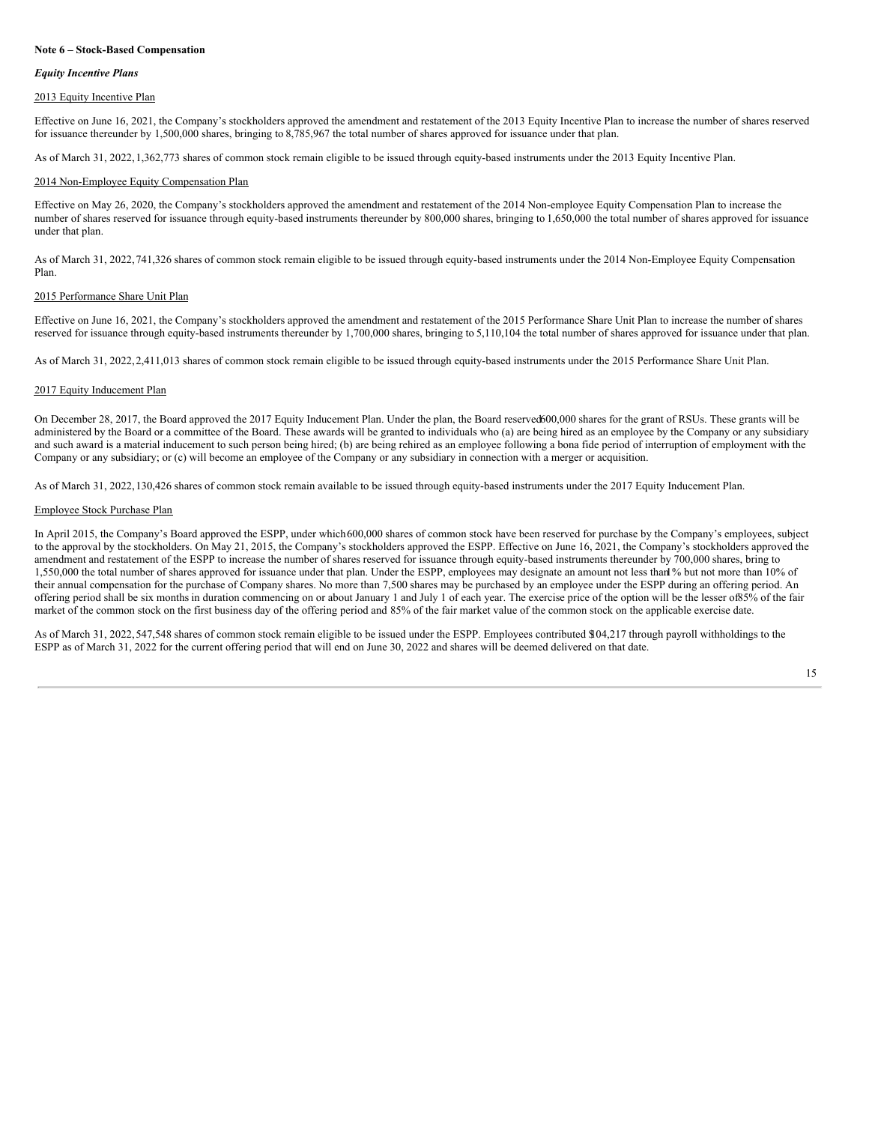#### **Note 6 – Stock-Based Compensation**

#### *Equity Incentive Plans*

#### 2013 Equity Incentive Plan

Effective on June 16, 2021, the Company's stockholders approved the amendment and restatement of the 2013 Equity Incentive Plan to increase the number of shares reserved for issuance thereunder by 1,500,000 shares, bringing to 8,785,967 the total number of shares approved for issuance under that plan.

As of March 31, 2022,1,362,773 shares of common stock remain eligible to be issued through equity-based instruments under the 2013 Equity Incentive Plan.

#### 2014 Non-Employee Equity Compensation Plan

Effective on May 26, 2020, the Company's stockholders approved the amendment and restatement of the 2014 Non-employee Equity Compensation Plan to increase the number of shares reserved for issuance through equity-based instruments thereunder by 800,000 shares, bringing to 1,650,000 the total number of shares approved for issuance under that plan.

As of March 31, 2022,741,326 shares of common stock remain eligible to be issued through equity-based instruments under the 2014 Non-Employee Equity Compensation Plan.

# 2015 Performance Share Unit Plan

Effective on June 16, 2021, the Company's stockholders approved the amendment and restatement of the 2015 Performance Share Unit Plan to increase the number of shares reserved for issuance through equity-based instruments thereunder by 1,700,000 shares, bringing to 5,110,104 the total number of shares approved for issuance under that plan.

As of March 31, 2022,2,411,013 shares of common stock remain eligible to be issued through equity-based instruments under the 2015 Performance Share Unit Plan.

#### 2017 Equity Inducement Plan

On December 28, 2017, the Board approved the 2017 Equity Inducement Plan. Under the plan, the Board reserved600,000 shares for the grant of RSUs. These grants will be administered by the Board or a committee of the Board. These awards will be granted to individuals who (a) are being hired as an employee by the Company or any subsidiary and such award is a material inducement to such person being hired; (b) are being rehired as an employee following a bona fide period of interruption of employment with the Company or any subsidiary; or (c) will become an employee of the Company or any subsidiary in connection with a merger or acquisition.

As of March 31, 2022,130,426 shares of common stock remain available to be issued through equity-based instruments under the 2017 Equity Inducement Plan.

#### Employee Stock Purchase Plan

In April 2015, the Company's Board approved the ESPP, under which600,000 shares of common stock have been reserved for purchase by the Company's employees, subject to the approval by the stockholders. On May 21, 2015, the Company's stockholders approved the ESPP. Effective on June 16, 2021, the Company's stockholders approved the amendment and restatement of the ESPP to increase the number of shares reserved for issuance through equity-based instruments thereunder by 700,000 shares, bring to 1,550,000 the total number of shares approved for issuance under that plan. Under the ESPP, employees may designate an amount not less than1% but not more than 10% of their annual compensation for the purchase of Company shares. No more than 7,500 shares may be purchased by an employee under the ESPP during an offering period. An offering period shall be six months in duration commencing on or about January 1 and July 1 of each year. The exercise price of the option will be the lesser of85% of the fair market of the common stock on the first business day of the offering period and 85% of the fair market value of the common stock on the applicable exercise date.

As of March 31, 2022, 547,548 shares of common stock remain eligible to be issued under the ESPP. Employees contributed \$04,217 through payroll withholdings to the ESPP as of March 31, 2022 for the current offering period that will end on June 30, 2022 and shares will be deemed delivered on that date.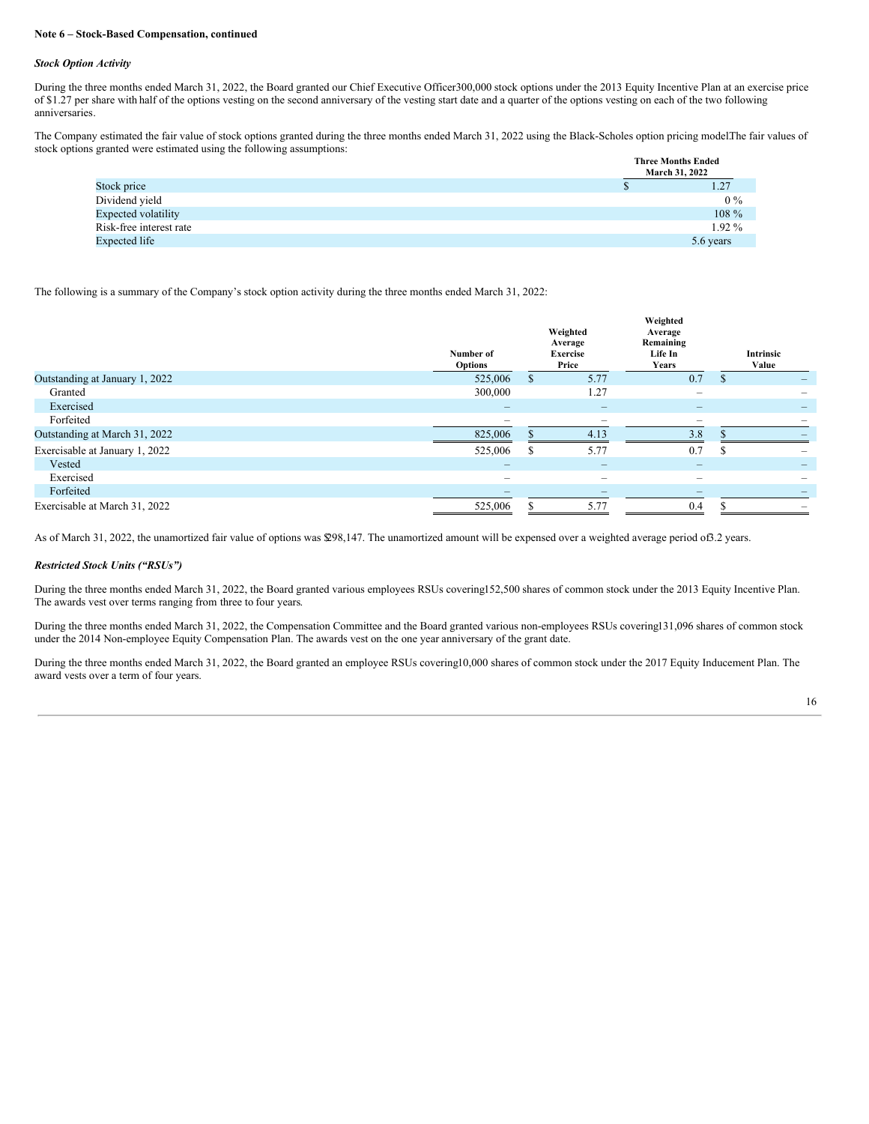# **Note 6 – Stock-Based Compensation, continued**

# *Stock Option Activity*

During the three months ended March 31, 2022, the Board granted our Chief Executive Officer300,000 stock options under the 2013 Equity Incentive Plan at an exercise price of \$1.27 per share with half of the options vesting on the second anniversary of the vesting start date and a quarter of the options vesting on each of the two following anniversaries.

The Company estimated the fair value of stock options granted during the three months ended March 31, 2022 using the Black-Scholes option pricing model.The fair values of stock options granted were estimated using the following assumptions: **Three Months Ended**

|                            | Three Months Ended<br>March 31, 2022 |
|----------------------------|--------------------------------------|
| Stock price                | 1.27                                 |
| Dividend yield             | $0\%$                                |
| <b>Expected volatility</b> | 108 %                                |
| Risk-free interest rate    | $1.92\%$                             |
| Expected life              | 5.6 years                            |

#### The following is a summary of the Company's stock option activity during the three months ended March 31, 2022:

|                                | Number of<br><b>Options</b> |               | Weighted<br>Average<br><b>Exercise</b><br>Price                           | Weighted<br>Average<br>Remaining<br>Life In<br>Years | Intrinsic<br>Value |
|--------------------------------|-----------------------------|---------------|---------------------------------------------------------------------------|------------------------------------------------------|--------------------|
| Outstanding at January 1, 2022 | 525,006                     | <sup>\$</sup> | 5.77                                                                      | 0.7                                                  |                    |
| Granted                        | 300,000                     |               | 1.27                                                                      | $\hspace{0.05cm}$                                    |                    |
| Exercised                      | $\qquad \qquad -$           |               | $\hspace{1.0cm} \rule{1.5cm}{0.15cm} \hspace{1.0cm} \rule{1.5cm}{0.15cm}$ | $\qquad \qquad -$                                    |                    |
| Forfeited                      |                             |               |                                                                           |                                                      |                    |
| Outstanding at March 31, 2022  | 825,006                     |               | 4.13                                                                      | 3.8                                                  |                    |
| Exercisable at January 1, 2022 | 525,006                     |               | 5.77                                                                      | 0.7                                                  |                    |
| Vested                         | $\overline{\phantom{a}}$    |               |                                                                           | $\overline{\phantom{a}}$                             | -                  |
| Exercised                      |                             |               | $\overline{\phantom{0}}$                                                  | $\overline{\phantom{0}}$                             |                    |
| Forfeited                      |                             |               |                                                                           |                                                      |                    |
| Exercisable at March 31, 2022  | 525,006                     |               | 5.77                                                                      | 0.4                                                  |                    |

As of March 31, 2022, the unamortized fair value of options was \$298,147. The unamortized amount will be expensed over a weighted average period of3.2 years.

#### *Restricted Stock Units ("RSUs")*

During the three months ended March 31, 2022, the Board granted various employees RSUs covering152,500 shares of common stock under the 2013 Equity Incentive Plan. The awards vest over terms ranging from three to four years.

During the three months ended March 31, 2022, the Compensation Committee and the Board granted various non-employees RSUs covering131,096 shares of common stock under the 2014 Non-employee Equity Compensation Plan. The awards vest on the one year anniversary of the grant date.

During the three months ended March 31, 2022, the Board granted an employee RSUs covering10,000 shares of common stock under the 2017 Equity Inducement Plan. The award vests over a term of four years.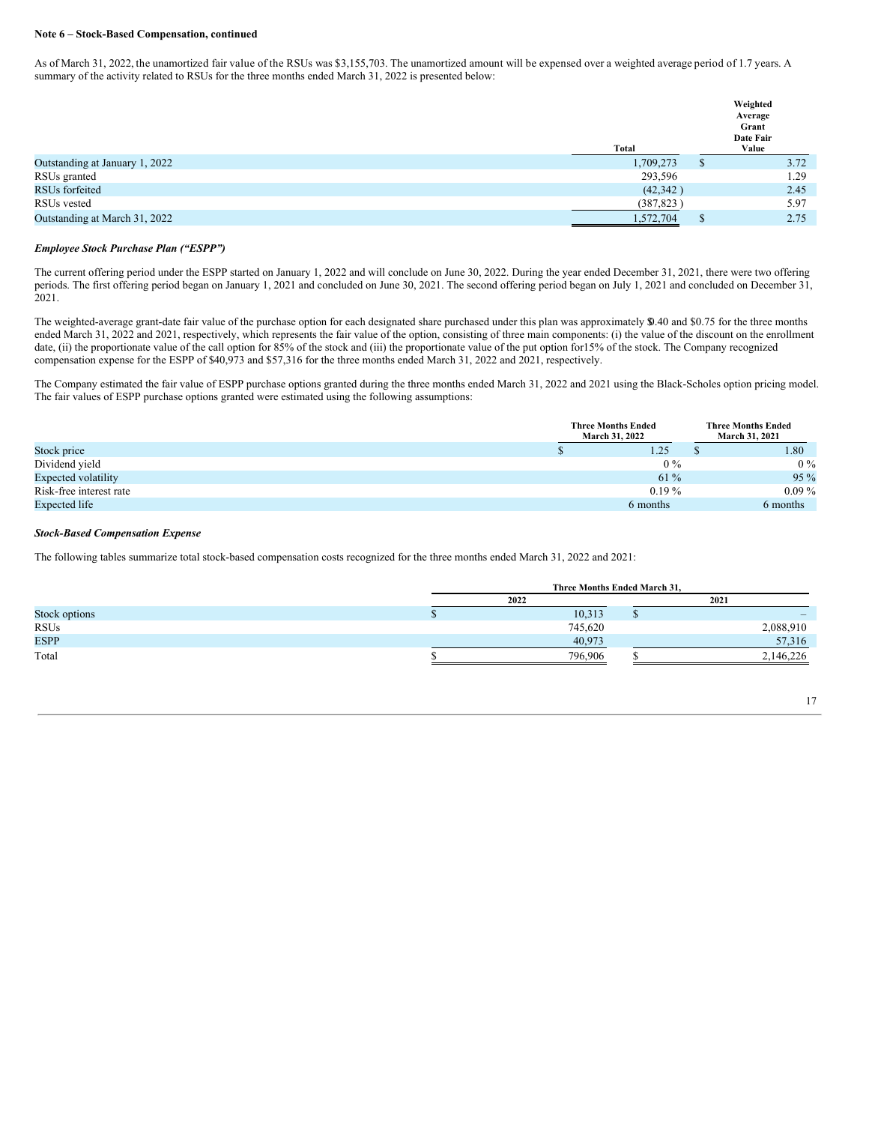#### **Note 6 – Stock-Based Compensation, continued**

As of March 31, 2022, the unamortized fair value of the RSUs was \$3,155,703. The unamortized amount will be expensed over a weighted average period of 1.7 years. A summary of the activity related to RSUs for the three months ended March 31, 2022 is presented below:

|                                | Total      | Weighted<br>Average<br>Grant<br>Date Fair<br>Value |      |
|--------------------------------|------------|----------------------------------------------------|------|
| Outstanding at January 1, 2022 | 1,709,273  |                                                    | 3.72 |
| RSUs granted                   | 293,596    |                                                    | 1.29 |
| RSUs forfeited                 | (42, 342)  |                                                    | 2.45 |
| RSUs vested                    | (387, 823) |                                                    | 5.97 |
| Outstanding at March 31, 2022  | 1,572,704  |                                                    | 2.75 |

# *Employee Stock Purchase Plan ("ESPP")*

The current offering period under the ESPP started on January 1, 2022 and will conclude on June 30, 2022. During the year ended December 31, 2021, there were two offering periods. The first offering period began on January 1, 2021 and concluded on June 30, 2021. The second offering period began on July 1, 2021 and concluded on December 31, 2021.

The weighted-average grant-date fair value of the purchase option for each designated share purchased under this plan was approximately \$0.40 and \$0.75 for the three months ended March 31, 2022 and 2021, respectively, which represents the fair value of the option, consisting of three main components: (i) the value of the discount on the enrollment date, (ii) the proportionate value of the call option for 85% of the stock and (iii) the proportionate value of the put option for 15% of the stock. The Company recognized compensation expense for the ESPP of \$40,973 and \$57,316 for the three months ended March 31, 2022 and 2021, respectively.

The Company estimated the fair value of ESPP purchase options granted during the three months ended March 31, 2022 and 2021 using the Black-Scholes option pricing model. The fair values of ESPP purchase options granted were estimated using the following assumptions:

|                            | <b>Three Months Ended</b><br><b>March 31, 2022</b> | <b>Three Months Ended</b><br>March 31, 2021 |
|----------------------------|----------------------------------------------------|---------------------------------------------|
| Stock price                | 1.25                                               | 1.80                                        |
| Dividend yield             | $0\%$                                              | $0\%$                                       |
| <b>Expected volatility</b> | $61\%$                                             | 95 %                                        |
| Risk-free interest rate    | $0.19\%$                                           | $0.09\%$                                    |
| Expected life              | 6 months                                           | 6 months                                    |

# *Stock-Based Compensation Expense*

The following tables summarize total stock-based compensation costs recognized for the three months ended March 31, 2022 and 2021:

|               | Three Months Ended March 31, |  |                          |
|---------------|------------------------------|--|--------------------------|
|               | 2022                         |  | 2021                     |
| Stock options | 10,313                       |  | $\overline{\phantom{a}}$ |
| <b>RSUs</b>   | 745,620                      |  | 2,088,910                |
| <b>ESPP</b>   | 40,973                       |  | 57,316                   |
| Total         | 796,906                      |  | 2,146,226                |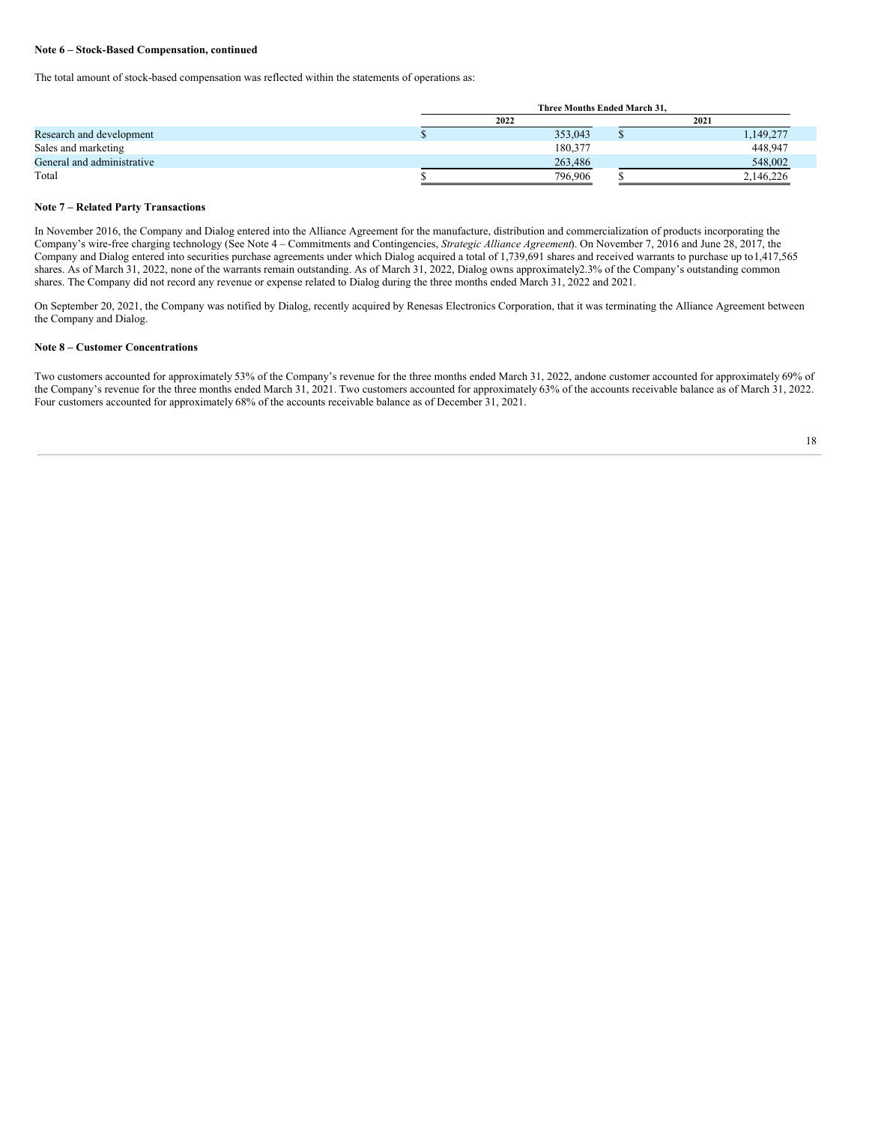# **Note 6 – Stock-Based Compensation, continued**

The total amount of stock-based compensation was reflected within the statements of operations as:

|                            | Three Months Ended March 31. |  |           |
|----------------------------|------------------------------|--|-----------|
|                            | 2022                         |  | 2021      |
| Research and development   | 353,043                      |  | 1,149,277 |
| Sales and marketing        | 180,377                      |  | 448.947   |
| General and administrative | 263,486                      |  | 548,002   |
| Total                      | 796.906                      |  | 2,146,226 |

#### **Note 7 – Related Party Transactions**

In November 2016, the Company and Dialog entered into the Alliance Agreement for the manufacture, distribution and commercialization of products incorporating the Company's wire-free charging technology (See Note 4 – Commitments and Contingencies, *Strategic Alliance Agreement*). On November 7, 2016 and June 28, 2017, the Company and Dialog entered into securities purchase agreements under which Dialog acquired a total of 1,739,691 shares and received warrants to purchase up to1,417,565 shares. As of March 31, 2022, none of the warrants remain outstanding. As of March 31, 2022, Dialog owns approximately2.3% of the Company's outstanding common shares. The Company did not record any revenue or expense related to Dialog during the three months ended March 31, 2022 and 2021.

On September 20, 2021, the Company was notified by Dialog, recently acquired by Renesas Electronics Corporation, that it was terminating the Alliance Agreement between the Company and Dialog.

#### **Note 8 – Customer Concentrations**

Two customers accounted for approximately 53% of the Company's revenue for the three months ended March 31, 2022, andone customer accounted for approximately 69% of the Company's revenue for the three months ended March 31, 2021. Two customers accounted for approximately 63% of the accounts receivable balance as of March 31, 2022. Four customers accounted for approximately 68% of the accounts receivable balance as of December 31, 2021.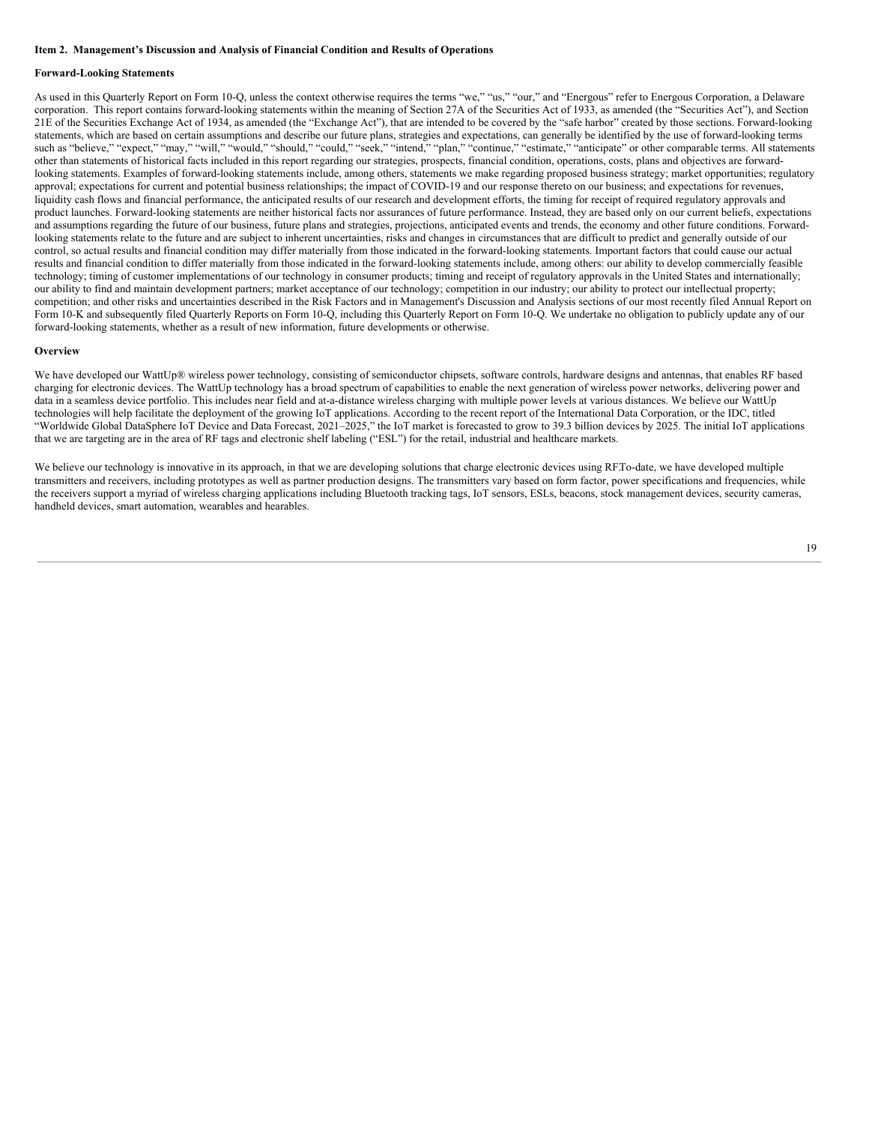#### <span id="page-18-0"></span>**Item 2. Management's Discussion and Analysis of Financial Condition and Results of Operations**

#### **Forward-Looking Statements**

As used in this Quarterly Report on Form 10-Q, unless the context otherwise requires the terms "we," "us," "our," and "Energous" refer to Energous Corporation, a Delaware corporation. This report contains forward-looking statements within the meaning of Section 27A of the Securities Act of 1933, as amended (the "Securities Act"), and Section 21E of the Securities Exchange Act of 1934, as amended (the "Exchange Act"), that are intended to be covered by the "safe harbor" created by those sections. Forward-looking statements, which are based on certain assumptions and describe our future plans, strategies and expectations, can generally be identified by the use of forward-looking terms such as "believe," "expect," "may," "will," "would," "should," "could," "seek," "intend," "plan," "continue," "estimate," "anticipate" or other comparable terms. All statements other than statements of historical facts included in this report regarding our strategies, prospects, financial condition, operations, costs, plans and objectives are forwardlooking statements. Examples of forward-looking statements include, among others, statements we make regarding proposed business strategy; market opportunities; regulatory approval; expectations for current and potential business relationships; the impact of COVID-19 and our response thereto on our business; and expectations for revenues, liquidity cash flows and financial performance, the anticipated results of our research and development efforts, the timing for receipt of required regulatory approvals and product launches. Forward-looking statements are neither historical facts nor assurances of future performance. Instead, they are based only on our current beliefs, expectations and assumptions regarding the future of our business, future plans and strategies, projections, anticipated events and trends, the economy and other future conditions. Forwardlooking statements relate to the future and are subject to inherent uncertainties, risks and changes in circumstances that are difficult to predict and generally outside of our control, so actual results and financial condition may differ materially from those indicated in the forward-looking statements. Important factors that could cause our actual results and financial condition to differ materially from those indicated in the forward-looking statements include, among others: our ability to develop commercially feasible technology; timing of customer implementations of our technology in consumer products; timing and receipt of regulatory approvals in the United States and internationally; our ability to find and maintain development partners; market acceptance of our technology; competition in our industry; our ability to protect our intellectual property; competition; and other risks and uncertainties described in the Risk Factors and in Management's Discussion and Analysis sections of our most recently filed Annual Report on Form 10-K and subsequently filed Quarterly Reports on Form 10-Q, including this Quarterly Report on Form 10-Q. We undertake no obligation to publicly update any of our forward-looking statements, whether as a result of new information, future developments or otherwise.

#### **Overview**

We have developed our WattUp® wireless power technology, consisting of semiconductor chipsets, software controls, hardware designs and antennas, that enables RF based charging for electronic devices. The WattUp technology has a broad spectrum of capabilities to enable the next generation of wireless power networks, delivering power and data in a seamless device portfolio. This includes near field and at-a-distance wireless charging with multiple power levels at various distances. We believe our WattUp technologies will help facilitate the deployment of the growing IoT applications. According to the recent report of the International Data Corporation, or the IDC, titled "Worldwide Global DataSphere IoT Device and Data Forecast, 2021–2025," the IoT market is forecasted to grow to 39.3 billion devices by 2025. The initial IoT applications that we are targeting are in the area of RF tags and electronic shelf labeling ("ESL") for the retail, industrial and healthcare markets.

We believe our technology is innovative in its approach, in that we are developing solutions that charge electronic devices using RF.To-date, we have developed multiple transmitters and receivers, including prototypes as well as partner production designs. The transmitters vary based on form factor, power specifications and frequencies, while the receivers support a myriad of wireless charging applications including Bluetooth tracking tags, IoT sensors, ESLs, beacons, stock management devices, security cameras, handheld devices, smart automation, wearables and hearables.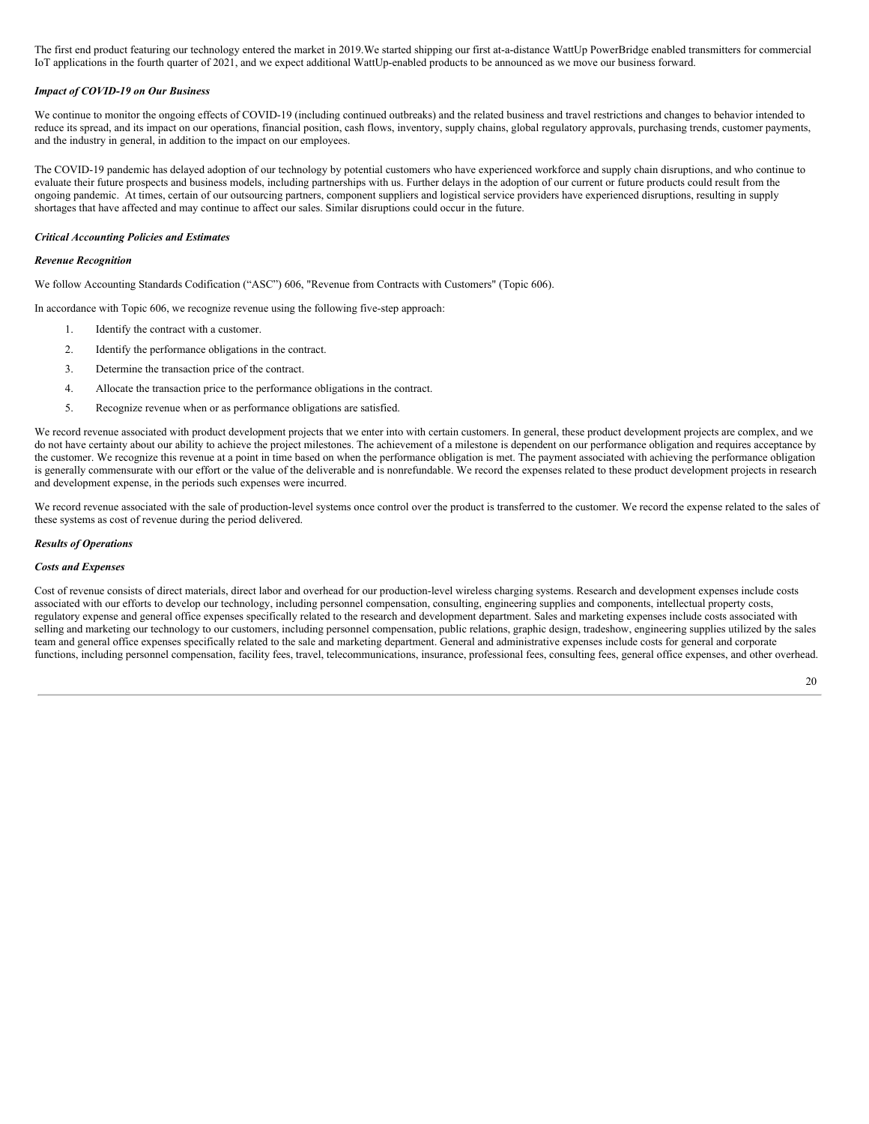The first end product featuring our technology entered the market in 2019.We started shipping our first at-a-distance WattUp PowerBridge enabled transmitters for commercial IoT applications in the fourth quarter of 2021, and we expect additional WattUp-enabled products to be announced as we move our business forward.

# *Impact of COVID-19 on Our Business*

We continue to monitor the ongoing effects of COVID-19 (including continued outbreaks) and the related business and travel restrictions and changes to behavior intended to reduce its spread, and its impact on our operations, financial position, cash flows, inventory, supply chains, global regulatory approvals, purchasing trends, customer payments, and the industry in general, in addition to the impact on our employees.

The COVID-19 pandemic has delayed adoption of our technology by potential customers who have experienced workforce and supply chain disruptions, and who continue to evaluate their future prospects and business models, including partnerships with us. Further delays in the adoption of our current or future products could result from the ongoing pandemic. At times, certain of our outsourcing partners, component suppliers and logistical service providers have experienced disruptions, resulting in supply shortages that have affected and may continue to affect our sales. Similar disruptions could occur in the future.

#### *Critical Accounting Policies and Estimates*

#### *Revenue Recognition*

We follow Accounting Standards Codification ("ASC") 606, "Revenue from Contracts with Customers" (Topic 606).

In accordance with Topic 606, we recognize revenue using the following five-step approach:

- 1. Identify the contract with a customer.
- 2. Identify the performance obligations in the contract.
- 3. Determine the transaction price of the contract.
- 4. Allocate the transaction price to the performance obligations in the contract.
- 5. Recognize revenue when or as performance obligations are satisfied.

We record revenue associated with product development projects that we enter into with certain customers. In general, these product development projects are complex, and we do not have certainty about our ability to achieve the project milestones. The achievement of a milestone is dependent on our performance obligation and requires acceptance by the customer. We recognize this revenue at a point in time based on when the performance obligation is met. The payment associated with achieving the performance obligation is generally commensurate with our effort or the value of the deliverable and is nonrefundable. We record the expenses related to these product development projects in research and development expense, in the periods such expenses were incurred.

We record revenue associated with the sale of production-level systems once control over the product is transferred to the customer. We record the expense related to the sales of these systems as cost of revenue during the period delivered.

# *Results of Operations*

#### *Costs and Expenses*

Cost of revenue consists of direct materials, direct labor and overhead for our production-level wireless charging systems. Research and development expenses include costs associated with our efforts to develop our technology, including personnel compensation, consulting, engineering supplies and components, intellectual property costs, regulatory expense and general office expenses specifically related to the research and development department. Sales and marketing expenses include costs associated with selling and marketing our technology to our customers, including personnel compensation, public relations, graphic design, tradeshow, engineering supplies utilized by the sales team and general office expenses specifically related to the sale and marketing department. General and administrative expenses include costs for general and corporate functions, including personnel compensation, facility fees, travel, telecommunications, insurance, professional fees, consulting fees, general office expenses, and other overhead.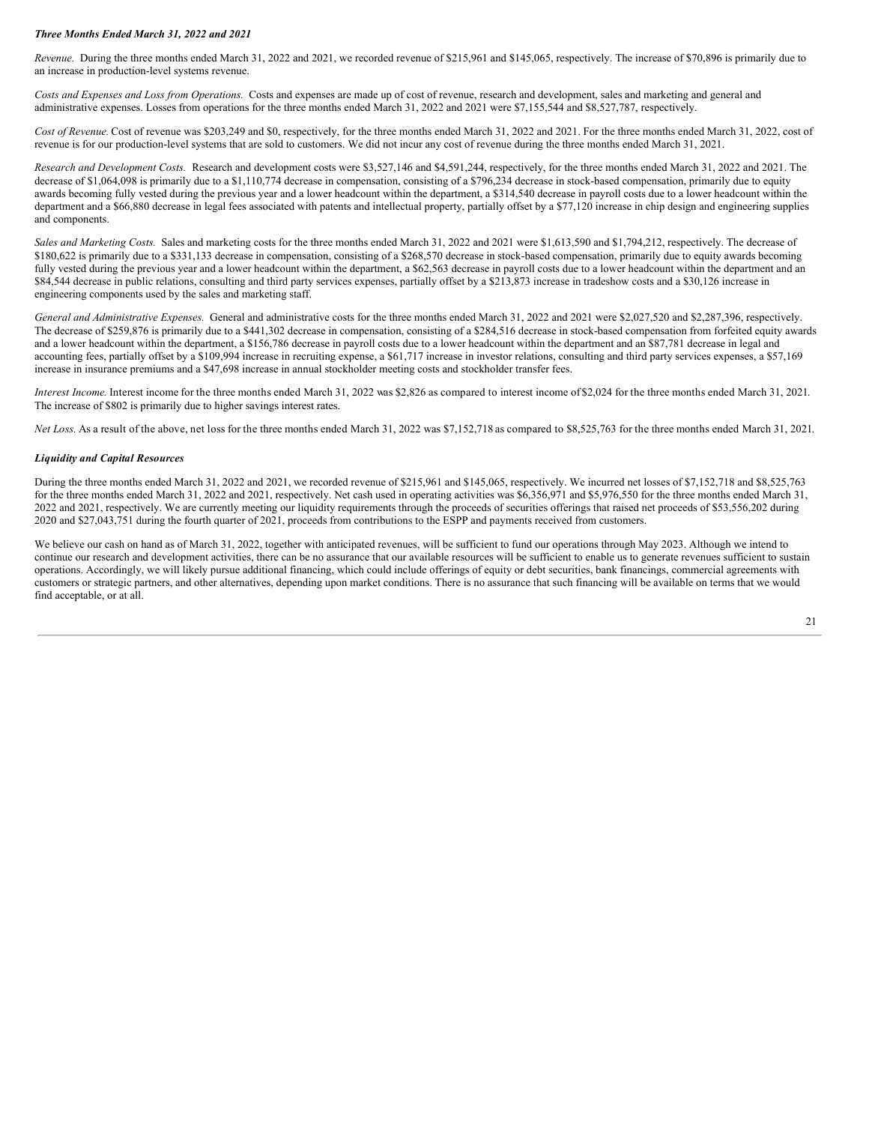#### *Three Months Ended March 31, 2022 and 2021*

*Revenue.* During the three months ended March 31, 2022 and 2021, we recorded revenue of \$215,961 and \$145,065, respectively. The increase of \$70,896 is primarily due to an increase in production-level systems revenue.

*Costs and Expenses and Loss from Operations.* Costs and expenses are made up of cost of revenue, research and development, sales and marketing and general and administrative expenses. Losses from operations for the three months ended March 31, 2022 and 2021 were \$7,155,544 and \$8,527,787, respectively.

*Cost of Revenue.* Cost of revenue was \$203,249 and \$0, respectively, for the three months ended March 31, 2022 and 2021. For the three months ended March 31, 2022, cost of revenue is for our production-level systems that are sold to customers. We did not incur any cost of revenue during the three months ended March 31, 2021.

*Research and Development Costs.* Research and development costs were \$3,527,146 and \$4,591,244, respectively, for the three months ended March 31, 2022 and 2021. The decrease of \$1,064,098 is primarily due to a \$1,110,774 decrease in compensation, consisting of a \$796,234 decrease in stock-based compensation, primarily due to equity awards becoming fully vested during the previous year and a lower headcount within the department, a \$314,540 decrease in payroll costs due to a lower headcount within the department and a \$66,880 decrease in legal fees associated with patents and intellectual property, partially offset by a \$77,120 increase in chip design and engineering supplies and components.

*Sales and Marketing Costs.* Sales and marketing costs for the three months ended March 31, 2022 and 2021 were \$1,613,590 and \$1,794,212, respectively. The decrease of \$180,622 is primarily due to a \$331,133 decrease in compensation, consisting of a \$268,570 decrease in stock-based compensation, primarily due to equity awards becoming fully vested during the previous year and a lower headcount within the department, a \$62,563 decrease in payroll costs due to a lower headcount within the department and an \$84,544 decrease in public relations, consulting and third party services expenses, partially offset by a \$213,873 increase in tradeshow costs and a \$30,126 increase in engineering components used by the sales and marketing staff.

*General and Administrative Expenses.* General and administrative costs for the three months ended March 31, 2022 and 2021 were \$2,027,520 and \$2,287,396, respectively. The decrease of \$259,876 is primarily due to a \$441,302 decrease in compensation, consisting of a \$284,516 decrease in stock-based compensation from forfeited equity awards and a lower headcount within the department, a \$156,786 decrease in payroll costs due to a lower headcount within the department and an \$87,781 decrease in legal and accounting fees, partially offset by a \$109,994 increase in recruiting expense, a \$61,717 increase in investor relations, consulting and third party services expenses, a \$57,169 increase in insurance premiums and a \$47,698 increase in annual stockholder meeting costs and stockholder transfer fees.

*Interest Income.* Interest income for the three months ended March 31, 2022 was \$2,826 as compared to interest income of \$2,024 for the three months ended March 31, 2021. The increase of \$802 is primarily due to higher savings interest rates.

*Net Loss.* As a result of the above, net loss for the three months ended March 31, 2022 was \$7,152,718 as compared to \$8,525,763 for the three months ended March 31, 2021.

# *Liquidity and Capital Resources*

During the three months ended March 31, 2022 and 2021, we recorded revenue of \$215,961 and \$145,065, respectively. We incurred net losses of \$7,152,718 and \$8,525,763 for the three months ended March 31, 2022 and 2021, respectively. Net cash used in operating activities was \$6,356,971 and \$5,976,550 for the three months ended March 31, 2022 and 2021, respectively. We are currently meeting our liquidity requirements through the proceeds of securities offerings that raised net proceeds of \$53,556,202 during 2020 and \$27,043,751 during the fourth quarter of 2021, proceeds from contributions to the ESPP and payments received from customers.

We believe our cash on hand as of March 31, 2022, together with anticipated revenues, will be sufficient to fund our operations through May 2023. Although we intend to continue our research and development activities, there can be no assurance that our available resources will be sufficient to enable us to generate revenues sufficient to sustain operations. Accordingly, we will likely pursue additional financing, which could include offerings of equity or debt securities, bank financings, commercial agreements with customers or strategic partners, and other alternatives, depending upon market conditions. There is no assurance that such financing will be available on terms that we would find acceptable, or at all.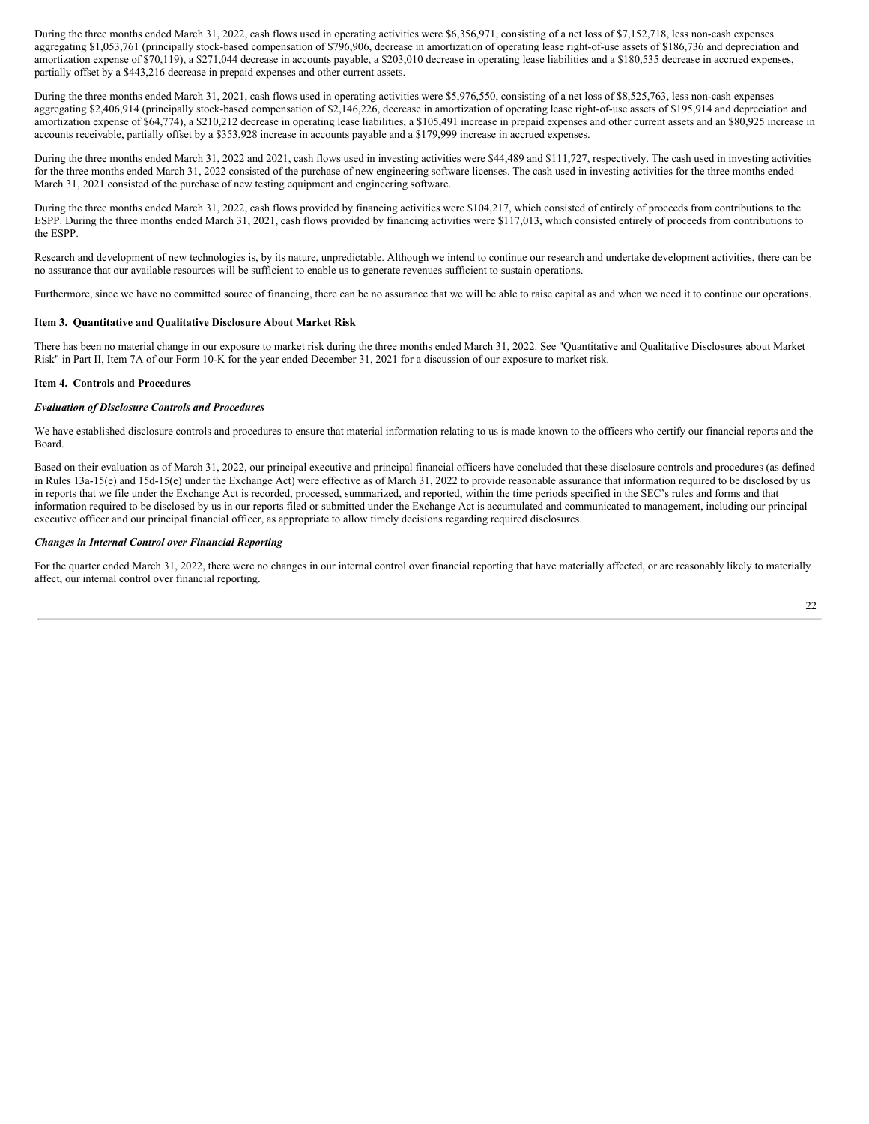During the three months ended March 31, 2022, cash flows used in operating activities were \$6,356,971, consisting of a net loss of \$7,152,718, less non-cash expenses aggregating \$1,053,761 (principally stock-based compensation of \$796,906, decrease in amortization of operating lease right-of-use assets of \$186,736 and depreciation and amortization expense of \$70,119), a \$271,044 decrease in accounts payable, a \$203,010 decrease in operating lease liabilities and a \$180,535 decrease in accrued expenses, partially offset by a \$443,216 decrease in prepaid expenses and other current assets.

During the three months ended March 31, 2021, cash flows used in operating activities were \$5,976,550, consisting of a net loss of \$8,525,763, less non-cash expenses aggregating \$2,406,914 (principally stock-based compensation of \$2,146,226, decrease in amortization of operating lease right-of-use assets of \$195,914 and depreciation and amortization expense of \$64,774), a \$210,212 decrease in operating lease liabilities, a \$105,491 increase in prepaid expenses and other current assets and an \$80,925 increase in accounts receivable, partially offset by a \$353,928 increase in accounts payable and a \$179,999 increase in accrued expenses.

During the three months ended March 31, 2022 and 2021, cash flows used in investing activities were \$44,489 and \$111,727, respectively. The cash used in investing activities for the three months ended March 31, 2022 consisted of the purchase of new engineering software licenses. The cash used in investing activities for the three months ended March 31, 2021 consisted of the purchase of new testing equipment and engineering software.

During the three months ended March 31, 2022, cash flows provided by financing activities were \$104,217, which consisted of entirely of proceeds from contributions to the ESPP. During the three months ended March 31, 2021, cash flows provided by financing activities were \$117,013, which consisted entirely of proceeds from contributions to the ESPP.

Research and development of new technologies is, by its nature, unpredictable. Although we intend to continue our research and undertake development activities, there can be no assurance that our available resources will be sufficient to enable us to generate revenues sufficient to sustain operations.

Furthermore, since we have no committed source of financing, there can be no assurance that we will be able to raise capital as and when we need it to continue our operations.

#### <span id="page-21-0"></span>**Item 3. Quantitative and Qualitative Disclosure About Market Risk**

There has been no material change in our exposure to market risk during the three months ended March 31, 2022. See "Quantitative and Qualitative Disclosures about Market Risk" in Part II, Item 7A of our Form 10-K for the year ended December 31, 2021 for a discussion of our exposure to market risk.

#### <span id="page-21-1"></span>**Item 4. Controls and Procedures**

#### *Evaluation of Disclosure Controls and Procedures*

We have established disclosure controls and procedures to ensure that material information relating to us is made known to the officers who certify our financial reports and the Board.

Based on their evaluation as of March 31, 2022, our principal executive and principal financial officers have concluded that these disclosure controls and procedures (as defined in Rules 13a-15(e) and 15d-15(e) under the Exchange Act) were effective as of March 31, 2022 to provide reasonable assurance that information required to be disclosed by us in reports that we file under the Exchange Act is recorded, processed, summarized, and reported, within the time periods specified in the SEC's rules and forms and that information required to be disclosed by us in our reports filed or submitted under the Exchange Act is accumulated and communicated to management, including our principal executive officer and our principal financial officer, as appropriate to allow timely decisions regarding required disclosures.

#### *Changes in Internal Control over Financial Reporting*

For the quarter ended March 31, 2022, there were no changes in our internal control over financial reporting that have materially affected, or are reasonably likely to materially affect, our internal control over financial reporting.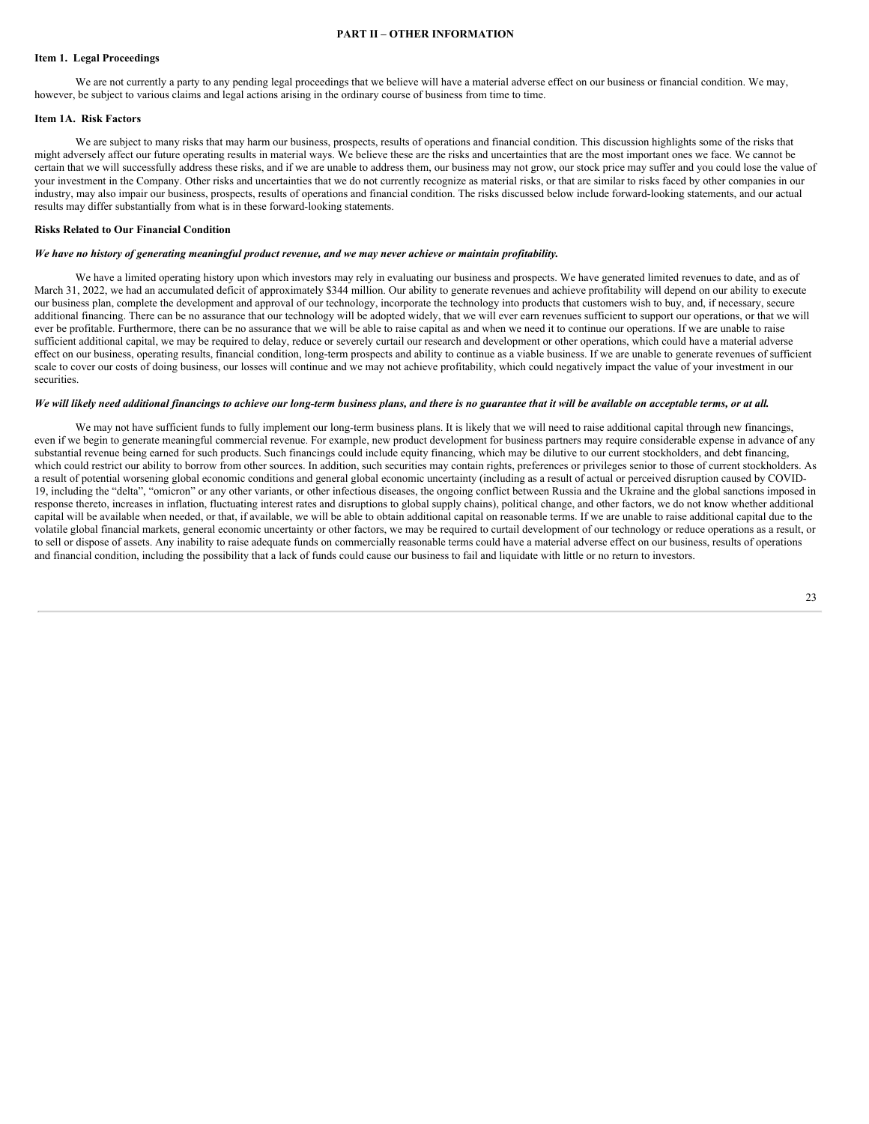# **PART II – OTHER INFORMATION**

#### <span id="page-22-1"></span><span id="page-22-0"></span>**Item 1. Legal Proceedings**

We are not currently a party to any pending legal proceedings that we believe will have a material adverse effect on our business or financial condition. We may, however, be subject to various claims and legal actions arising in the ordinary course of business from time to time.

#### <span id="page-22-2"></span>**Item 1A. Risk Factors**

We are subject to many risks that may harm our business, prospects, results of operations and financial condition. This discussion highlights some of the risks that might adversely affect our future operating results in material ways. We believe these are the risks and uncertainties that are the most important ones we face. We cannot be certain that we will successfully address these risks, and if we are unable to address them, our business may not grow, our stock price may suffer and you could lose the value of your investment in the Company. Other risks and uncertainties that we do not currently recognize as material risks, or that are similar to risks faced by other companies in our industry, may also impair our business, prospects, results of operations and financial condition. The risks discussed below include forward-looking statements, and our actual results may differ substantially from what is in these forward-looking statements.

#### **Risks Related to Our Financial Condition**

#### We have no history of generating meaningful product revenue, and we may never achieve or maintain profitability.

We have a limited operating history upon which investors may rely in evaluating our business and prospects. We have generated limited revenues to date, and as of March 31, 2022, we had an accumulated deficit of approximately \$344 million. Our ability to generate revenues and achieve profitability will depend on our ability to execute our business plan, complete the development and approval of our technology, incorporate the technology into products that customers wish to buy, and, if necessary, secure additional financing. There can be no assurance that our technology will be adopted widely, that we will ever earn revenues sufficient to support our operations, or that we will ever be profitable. Furthermore, there can be no assurance that we will be able to raise capital as and when we need it to continue our operations. If we are unable to raise sufficient additional capital, we may be required to delay, reduce or severely curtail our research and development or other operations, which could have a material adverse effect on our business, operating results, financial condition, long-term prospects and ability to continue as a viable business. If we are unable to generate revenues of sufficient scale to cover our costs of doing business, our losses will continue and we may not achieve profitability, which could negatively impact the value of your investment in our securities.

#### We will likely need additional financings to achieve our long-term business plans, and there is no guarantee that it will be available on acceptable terms, or at all.

We may not have sufficient funds to fully implement our long-term business plans. It is likely that we will need to raise additional capital through new financings, even if we begin to generate meaningful commercial revenue. For example, new product development for business partners may require considerable expense in advance of any substantial revenue being earned for such products. Such financings could include equity financing, which may be dilutive to our current stockholders, and debt financing, which could restrict our ability to borrow from other sources. In addition, such securities may contain rights, preferences or privileges senior to those of current stockholders. As a result of potential worsening global economic conditions and general global economic uncertainty (including as a result of actual or perceived disruption caused by COVID-19, including the "delta", "omicron" or any other variants, or other infectious diseases, the ongoing conflict between Russia and the Ukraine and the global sanctions imposed in response thereto, increases in inflation, fluctuating interest rates and disruptions to global supply chains), political change, and other factors, we do not know whether additional capital will be available when needed, or that, if available, we will be able to obtain additional capital on reasonable terms. If we are unable to raise additional capital due to the volatile global financial markets, general economic uncertainty or other factors, we may be required to curtail development of our technology or reduce operations as a result, or to sell or dispose of assets. Any inability to raise adequate funds on commercially reasonable terms could have a material adverse effect on our business, results of operations and financial condition, including the possibility that a lack of funds could cause our business to fail and liquidate with little or no return to investors.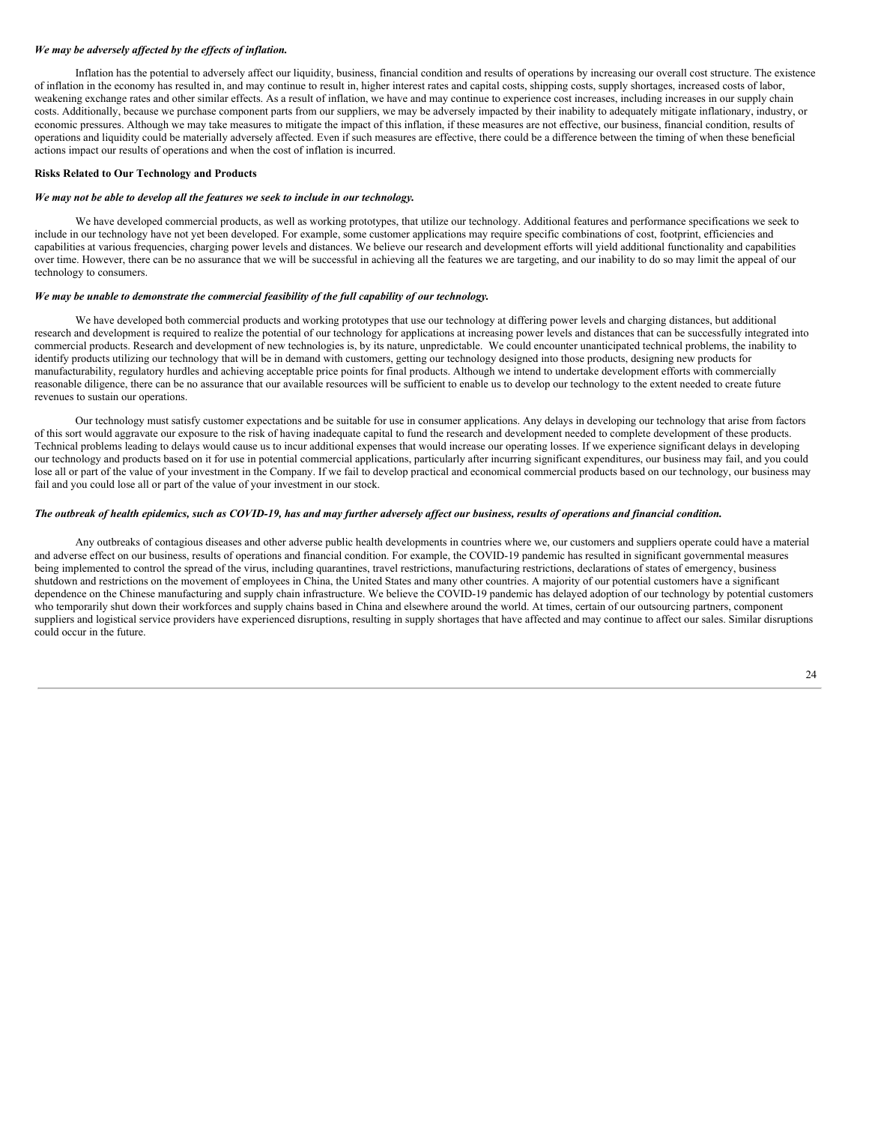# *We* may be adversely affected by the effects of inflation.

Inflation has the potential to adversely affect our liquidity, business, financial condition and results of operations by increasing our overall cost structure. The existence of inflation in the economy has resulted in, and may continue to result in, higher interest rates and capital costs, shipping costs, supply shortages, increased costs of labor, weakening exchange rates and other similar effects. As a result of inflation, we have and may continue to experience cost increases, including increases in our supply chain costs. Additionally, because we purchase component parts from our suppliers, we may be adversely impacted by their inability to adequately mitigate inflationary, industry, or economic pressures. Although we may take measures to mitigate the impact of this inflation, if these measures are not effective, our business, financial condition, results of operations and liquidity could be materially adversely affected. Even if such measures are effective, there could be a difference between the timing of when these beneficial actions impact our results of operations and when the cost of inflation is incurred.

#### **Risks Related to Our Technology and Products**

#### *We may not be able to develop all the features we seek to include in our technology.*

We have developed commercial products, as well as working prototypes, that utilize our technology. Additional features and performance specifications we seek to include in our technology have not yet been developed. For example, some customer applications may require specific combinations of cost, footprint, efficiencies and capabilities at various frequencies, charging power levels and distances. We believe our research and development efforts will yield additional functionality and capabilities over time. However, there can be no assurance that we will be successful in achieving all the features we are targeting, and our inability to do so may limit the appeal of our technology to consumers.

#### *We may be unable to demonstrate the commercial feasibility of the full capability of our technology.*

We have developed both commercial products and working prototypes that use our technology at differing power levels and charging distances, but additional research and development is required to realize the potential of our technology for applications at increasing power levels and distances that can be successfully integrated into commercial products. Research and development of new technologies is, by its nature, unpredictable. We could encounter unanticipated technical problems, the inability to identify products utilizing our technology that will be in demand with customers, getting our technology designed into those products, designing new products for manufacturability, regulatory hurdles and achieving acceptable price points for final products. Although we intend to undertake development efforts with commercially reasonable diligence, there can be no assurance that our available resources will be sufficient to enable us to develop our technology to the extent needed to create future revenues to sustain our operations.

Our technology must satisfy customer expectations and be suitable for use in consumer applications. Any delays in developing our technology that arise from factors of this sort would aggravate our exposure to the risk of having inadequate capital to fund the research and development needed to complete development of these products. Technical problems leading to delays would cause us to incur additional expenses that would increase our operating losses. If we experience significant delays in developing our technology and products based on it for use in potential commercial applications, particularly after incurring significant expenditures, our business may fail, and you could lose all or part of the value of your investment in the Company. If we fail to develop practical and economical commercial products based on our technology, our business may fail and you could lose all or part of the value of your investment in our stock.

# The outbreak of health epidemics, such as COVID-19, has and may further adversely affect our business, results of operations and financial condition.

Any outbreaks of contagious diseases and other adverse public health developments in countries where we, our customers and suppliers operate could have a material and adverse effect on our business, results of operations and financial condition. For example, the COVID-19 pandemic has resulted in significant governmental measures being implemented to control the spread of the virus, including quarantines, travel restrictions, manufacturing restrictions, declarations of states of emergency, business shutdown and restrictions on the movement of employees in China, the United States and many other countries. A majority of our potential customers have a significant dependence on the Chinese manufacturing and supply chain infrastructure. We believe the COVID-19 pandemic has delayed adoption of our technology by potential customers who temporarily shut down their workforces and supply chains based in China and elsewhere around the world. At times, certain of our outsourcing partners, component suppliers and logistical service providers have experienced disruptions, resulting in supply shortages that have affected and may continue to affect our sales. Similar disruptions could occur in the future.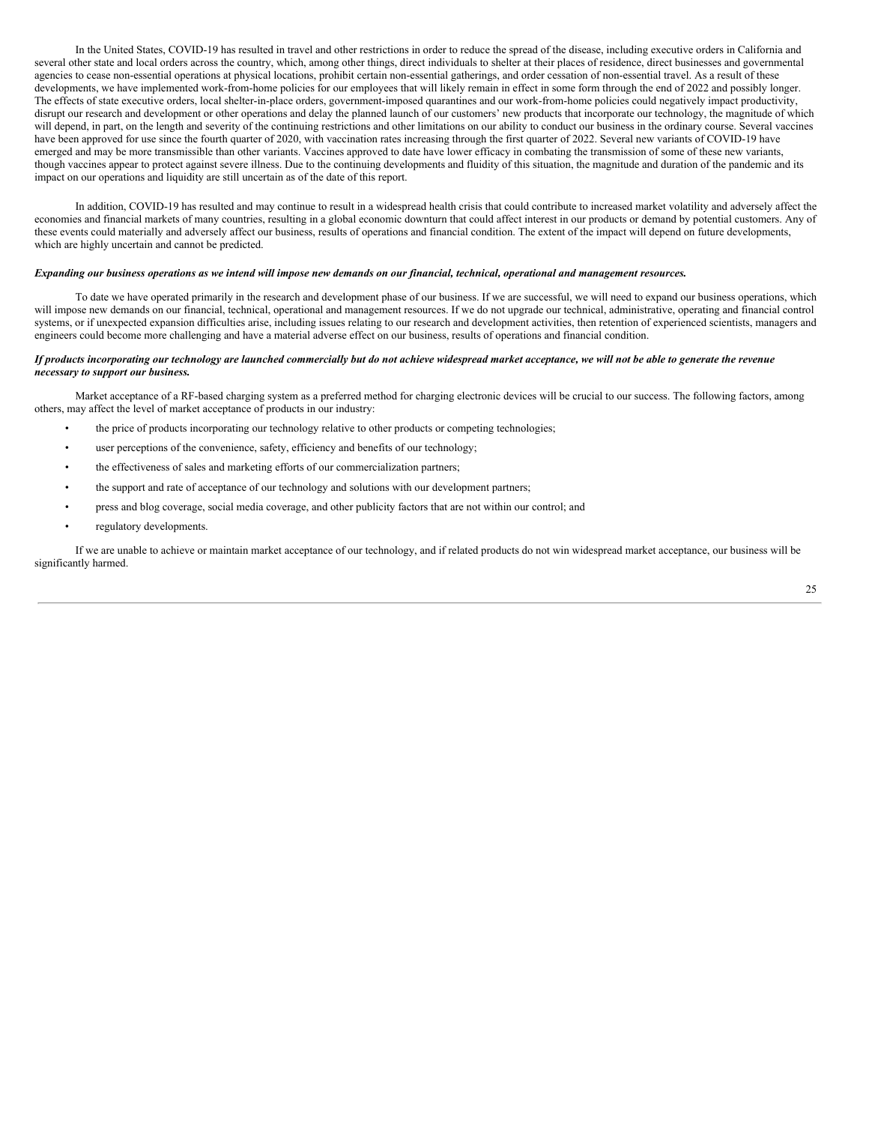In the United States, COVID-19 has resulted in travel and other restrictions in order to reduce the spread of the disease, including executive orders in California and several other state and local orders across the country, which, among other things, direct individuals to shelter at their places of residence, direct businesses and governmental agencies to cease non-essential operations at physical locations, prohibit certain non-essential gatherings, and order cessation of non-essential travel. As a result of these developments, we have implemented work-from-home policies for our employees that will likely remain in effect in some form through the end of 2022 and possibly longer. The effects of state executive orders, local shelter-in-place orders, government-imposed quarantines and our work-from-home policies could negatively impact productivity, disrupt our research and development or other operations and delay the planned launch of our customers' new products that incorporate our technology, the magnitude of which will depend, in part, on the length and severity of the continuing restrictions and other limitations on our ability to conduct our business in the ordinary course. Several vaccines have been approved for use since the fourth quarter of 2020, with vaccination rates increasing through the first quarter of 2022. Several new variants of COVID-19 have emerged and may be more transmissible than other variants. Vaccines approved to date have lower efficacy in combating the transmission of some of these new variants, though vaccines appear to protect against severe illness. Due to the continuing developments and fluidity of this situation, the magnitude and duration of the pandemic and its impact on our operations and liquidity are still uncertain as of the date of this report.

In addition, COVID-19 has resulted and may continue to result in a widespread health crisis that could contribute to increased market volatility and adversely affect the economies and financial markets of many countries, resulting in a global economic downturn that could affect interest in our products or demand by potential customers. Any of these events could materially and adversely affect our business, results of operations and financial condition. The extent of the impact will depend on future developments, which are highly uncertain and cannot be predicted.

#### Expanding our business operations as we intend will impose new demands on our financial, technical, operational and management resources.

To date we have operated primarily in the research and development phase of our business. If we are successful, we will need to expand our business operations, which will impose new demands on our financial, technical, operational and management resources. If we do not upgrade our technical, administrative, operating and financial control systems, or if unexpected expansion difficulties arise, including issues relating to our research and development activities, then retention of experienced scientists, managers and engineers could become more challenging and have a material adverse effect on our business, results of operations and financial condition.

# If products incorporating our technology are launched commercially but do not achieve widespread market acceptance, we will not be able to generate the revenue *necessary to support our business.*

Market acceptance of a RF-based charging system as a preferred method for charging electronic devices will be crucial to our success. The following factors, among others, may affect the level of market acceptance of products in our industry:

- the price of products incorporating our technology relative to other products or competing technologies;
- user perceptions of the convenience, safety, efficiency and benefits of our technology;
- the effectiveness of sales and marketing efforts of our commercialization partners;
- the support and rate of acceptance of our technology and solutions with our development partners;
- press and blog coverage, social media coverage, and other publicity factors that are not within our control; and
- regulatory developments.

If we are unable to achieve or maintain market acceptance of our technology, and if related products do not win widespread market acceptance, our business will be significantly harmed.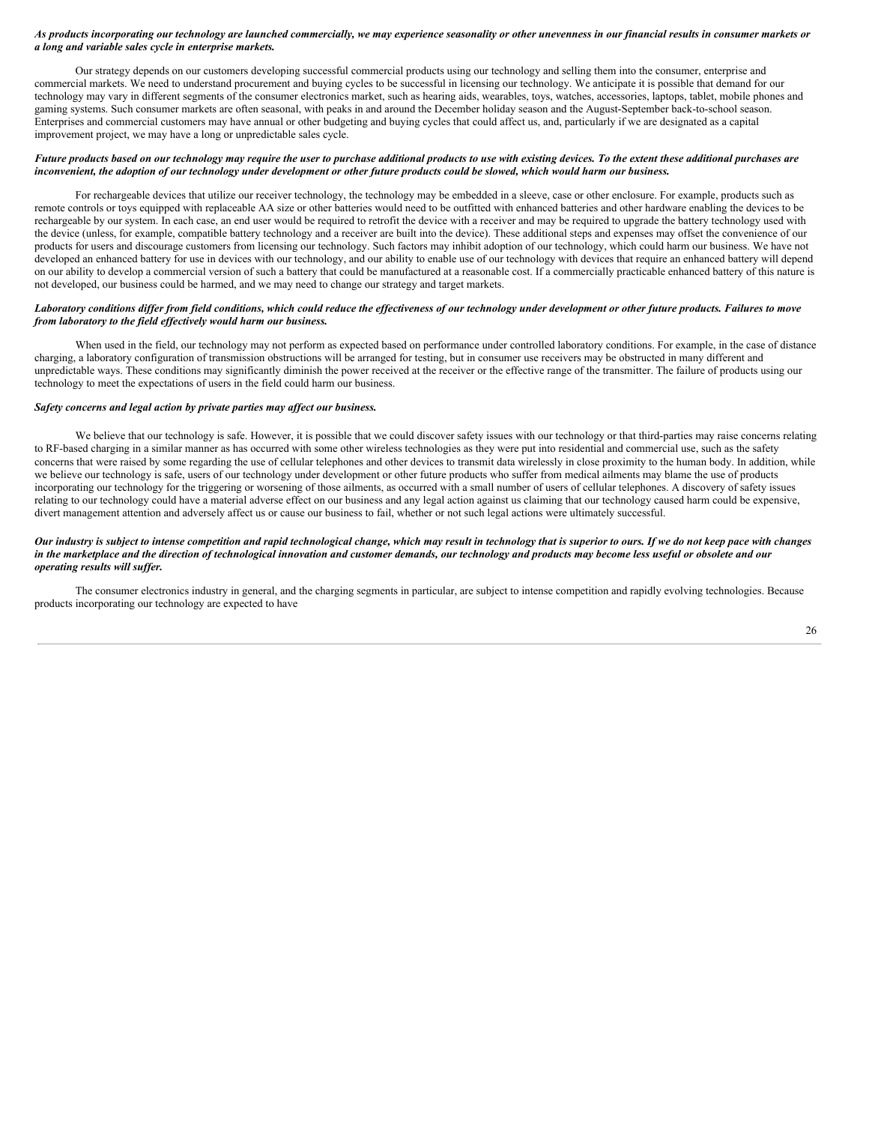#### As products incorporating our technology are launched commercially, we may experience seasonality or other unevenness in our financial results in consumer markets or *a long and variable sales cycle in enterprise markets.*

Our strategy depends on our customers developing successful commercial products using our technology and selling them into the consumer, enterprise and commercial markets. We need to understand procurement and buying cycles to be successful in licensing our technology. We anticipate it is possible that demand for our technology may vary in different segments of the consumer electronics market, such as hearing aids, wearables, toys, watches, accessories, laptops, tablet, mobile phones and gaming systems. Such consumer markets are often seasonal, with peaks in and around the December holiday season and the August-September back-to-school season. Enterprises and commercial customers may have annual or other budgeting and buying cycles that could affect us, and, particularly if we are designated as a capital improvement project, we may have a long or unpredictable sales cycle.

# Future products based on our technology may require the user to purchase additional products to use with existing devices. To the extent these additional purchases are inconvenient, the adoption of our technology under development or other future products could be slowed, which would harm our business.

For rechargeable devices that utilize our receiver technology, the technology may be embedded in a sleeve, case or other enclosure. For example, products such as remote controls or toys equipped with replaceable AA size or other batteries would need to be outfitted with enhanced batteries and other hardware enabling the devices to be rechargeable by our system. In each case, an end user would be required to retrofit the device with a receiver and may be required to upgrade the battery technology used with the device (unless, for example, compatible battery technology and a receiver are built into the device). These additional steps and expenses may offset the convenience of our products for users and discourage customers from licensing our technology. Such factors may inhibit adoption of our technology, which could harm our business. We have not developed an enhanced battery for use in devices with our technology, and our ability to enable use of our technology with devices that require an enhanced battery will depend on our ability to develop a commercial version of such a battery that could be manufactured at a reasonable cost. If a commercially practicable enhanced battery of this nature is not developed, our business could be harmed, and we may need to change our strategy and target markets.

## Laboratory conditions differ from field conditions, which could reduce the effectiveness of our technology under development or other future products. Failures to move *from laboratory to the field ef ectively would harm our business.*

When used in the field, our technology may not perform as expected based on performance under controlled laboratory conditions. For example, in the case of distance charging, a laboratory configuration of transmission obstructions will be arranged for testing, but in consumer use receivers may be obstructed in many different and unpredictable ways. These conditions may significantly diminish the power received at the receiver or the effective range of the transmitter. The failure of products using our technology to meet the expectations of users in the field could harm our business.

# *Safety concerns and legal action by private parties may af ect our business.*

We believe that our technology is safe. However, it is possible that we could discover safety issues with our technology or that third-parties may raise concerns relating to RF-based charging in a similar manner as has occurred with some other wireless technologies as they were put into residential and commercial use, such as the safety concerns that were raised by some regarding the use of cellular telephones and other devices to transmit data wirelessly in close proximity to the human body. In addition, while we believe our technology is safe, users of our technology under development or other future products who suffer from medical ailments may blame the use of products incorporating our technology for the triggering or worsening of those ailments, as occurred with a small number of users of cellular telephones. A discovery of safety issues relating to our technology could have a material adverse effect on our business and any legal action against us claiming that our technology caused harm could be expensive, divert management attention and adversely affect us or cause our business to fail, whether or not such legal actions were ultimately successful.

#### Our industry is subject to intense competition and rapid technological change, which may result in technology that is superior to ours. If we do not keep pace with changes in the marketplace and the direction of technological innovation and customer demands, our technology and products may become less useful or obsolete and our  $\omega$ *operating results* will *suffer.*

The consumer electronics industry in general, and the charging segments in particular, are subject to intense competition and rapidly evolving technologies. Because products incorporating our technology are expected to have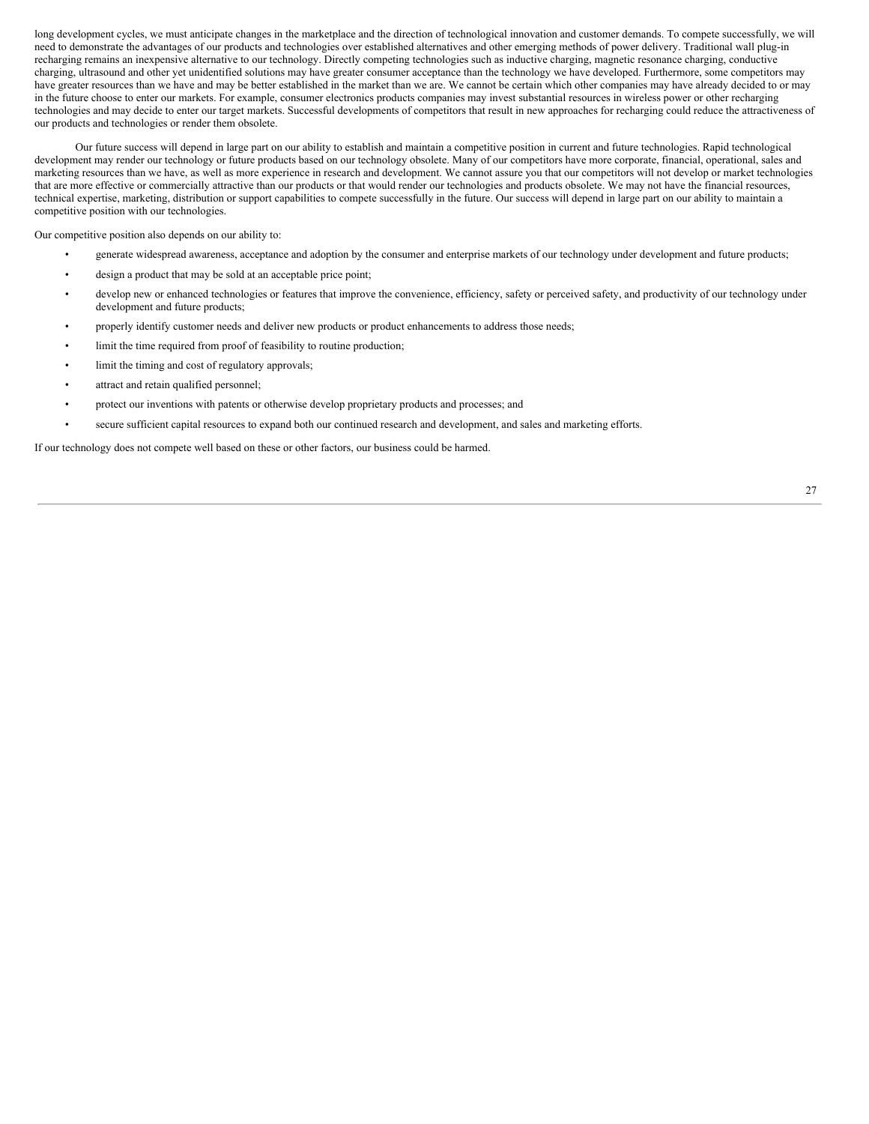long development cycles, we must anticipate changes in the marketplace and the direction of technological innovation and customer demands. To compete successfully, we will need to demonstrate the advantages of our products and technologies over established alternatives and other emerging methods of power delivery. Traditional wall plug-in recharging remains an inexpensive alternative to our technology. Directly competing technologies such as inductive charging, magnetic resonance charging, conductive charging, ultrasound and other yet unidentified solutions may have greater consumer acceptance than the technology we have developed. Furthermore, some competitors may have greater resources than we have and may be better established in the market than we are. We cannot be certain which other companies may have already decided to or may in the future choose to enter our markets. For example, consumer electronics products companies may invest substantial resources in wireless power or other recharging technologies and may decide to enter our target markets. Successful developments of competitors that result in new approaches for recharging could reduce the attractiveness of our products and technologies or render them obsolete.

Our future success will depend in large part on our ability to establish and maintain a competitive position in current and future technologies. Rapid technological development may render our technology or future products based on our technology obsolete. Many of our competitors have more corporate, financial, operational, sales and marketing resources than we have, as well as more experience in research and development. We cannot assure you that our competitors will not develop or market technologies that are more effective or commercially attractive than our products or that would render our technologies and products obsolete. We may not have the financial resources, technical expertise, marketing, distribution or support capabilities to compete successfully in the future. Our success will depend in large part on our ability to maintain a competitive position with our technologies.

Our competitive position also depends on our ability to:

- generate widespread awareness, acceptance and adoption by the consumer and enterprise markets of our technology under development and future products;
- design a product that may be sold at an acceptable price point;
- develop new or enhanced technologies or features that improve the convenience, efficiency, safety or perceived safety, and productivity of our technology under development and future products;
- properly identify customer needs and deliver new products or product enhancements to address those needs;
- limit the time required from proof of feasibility to routine production;
- limit the timing and cost of regulatory approvals;
- attract and retain qualified personnel;
- protect our inventions with patents or otherwise develop proprietary products and processes; and
- secure sufficient capital resources to expand both our continued research and development, and sales and marketing efforts.

If our technology does not compete well based on these or other factors, our business could be harmed.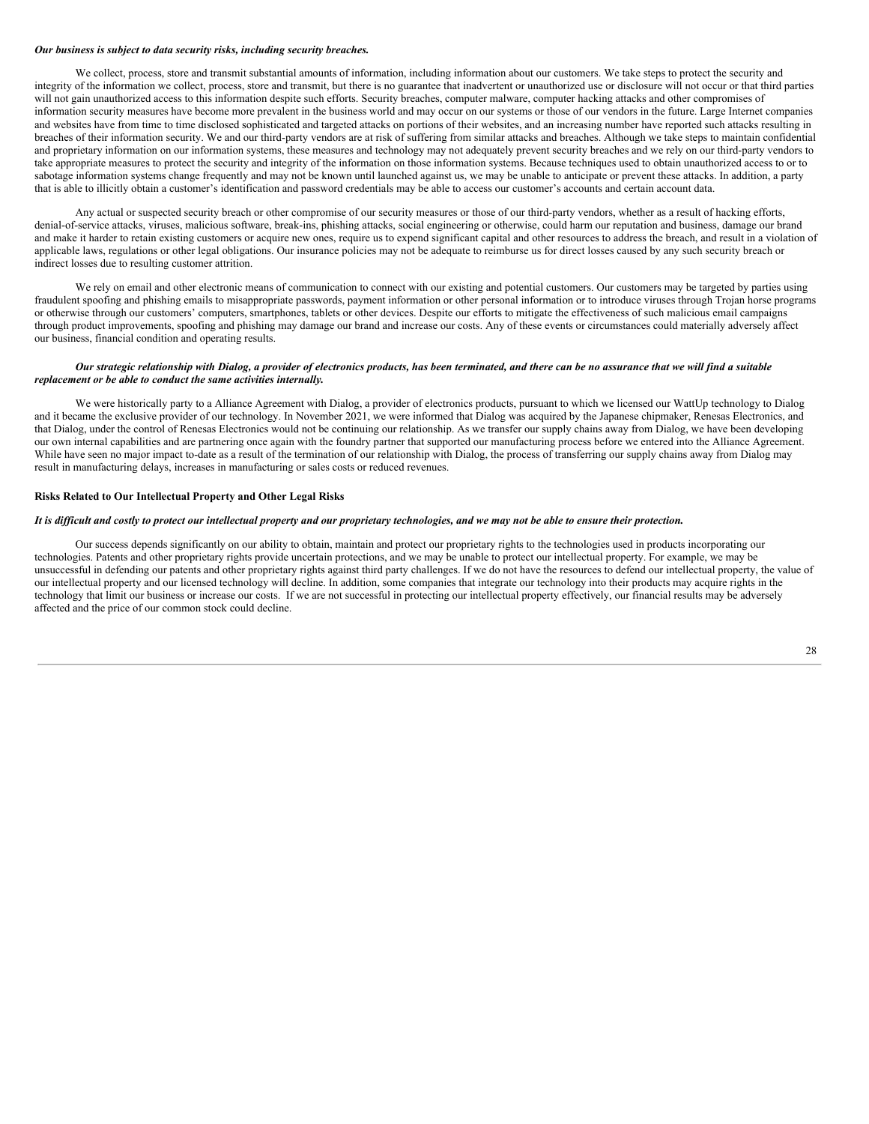#### *Our business is subject to data security risks, including security breaches.*

We collect, process, store and transmit substantial amounts of information, including information about our customers. We take steps to protect the security and integrity of the information we collect, process, store and transmit, but there is no guarantee that inadvertent or unauthorized use or disclosure will not occur or that third parties will not gain unauthorized access to this information despite such efforts. Security breaches, computer malware, computer hacking attacks and other compromises of information security measures have become more prevalent in the business world and may occur on our systems or those of our vendors in the future. Large Internet companies and websites have from time to time disclosed sophisticated and targeted attacks on portions of their websites, and an increasing number have reported such attacks resulting in breaches of their information security. We and our third-party vendors are at risk of suffering from similar attacks and breaches. Although we take steps to maintain confidential and proprietary information on our information systems, these measures and technology may not adequately prevent security breaches and we rely on our third-party vendors to take appropriate measures to protect the security and integrity of the information on those information systems. Because techniques used to obtain unauthorized access to or to sabotage information systems change frequently and may not be known until launched against us, we may be unable to anticipate or prevent these attacks. In addition, a party that is able to illicitly obtain a customer's identification and password credentials may be able to access our customer's accounts and certain account data.

Any actual or suspected security breach or other compromise of our security measures or those of our third-party vendors, whether as a result of hacking efforts, denial-of-service attacks, viruses, malicious software, break-ins, phishing attacks, social engineering or otherwise, could harm our reputation and business, damage our brand and make it harder to retain existing customers or acquire new ones, require us to expend significant capital and other resources to address the breach, and result in a violation of applicable laws, regulations or other legal obligations. Our insurance policies may not be adequate to reimburse us for direct losses caused by any such security breach or indirect losses due to resulting customer attrition.

We rely on email and other electronic means of communication to connect with our existing and potential customers. Our customers may be targeted by parties using fraudulent spoofing and phishing emails to misappropriate passwords, payment information or other personal information or to introduce viruses through Trojan horse programs or otherwise through our customers' computers, smartphones, tablets or other devices. Despite our efforts to mitigate the effectiveness of such malicious email campaigns through product improvements, spoofing and phishing may damage our brand and increase our costs. Any of these events or circumstances could materially adversely affect our business, financial condition and operating results.

#### Our strategic relationship with Dialog, a provider of electronics products, has been terminated, and there can be no assurance that we will find a suitable *replacement or be able to conduct the same activities internally.*

We were historically party to a Alliance Agreement with Dialog, a provider of electronics products, pursuant to which we licensed our WattUp technology to Dialog and it became the exclusive provider of our technology. In November 2021, we were informed that Dialog was acquired by the Japanese chipmaker, Renesas Electronics, and that Dialog, under the control of Renesas Electronics would not be continuing our relationship. As we transfer our supply chains away from Dialog, we have been developing our own internal capabilities and are partnering once again with the foundry partner that supported our manufacturing process before we entered into the Alliance Agreement. While have seen no major impact to-date as a result of the termination of our relationship with Dialog, the process of transferring our supply chains away from Dialog may result in manufacturing delays, increases in manufacturing or sales costs or reduced revenues.

#### **Risks Related to Our Intellectual Property and Other Legal Risks**

#### It is difficult and costly to protect our intellectual property and our proprietary technologies, and we may not be able to ensure their protection.

Our success depends significantly on our ability to obtain, maintain and protect our proprietary rights to the technologies used in products incorporating our technologies. Patents and other proprietary rights provide uncertain protections, and we may be unable to protect our intellectual property. For example, we may be unsuccessful in defending our patents and other proprietary rights against third party challenges. If we do not have the resources to defend our intellectual property, the value of our intellectual property and our licensed technology will decline. In addition, some companies that integrate our technology into their products may acquire rights in the technology that limit our business or increase our costs. If we are not successful in protecting our intellectual property effectively, our financial results may be adversely affected and the price of our common stock could decline.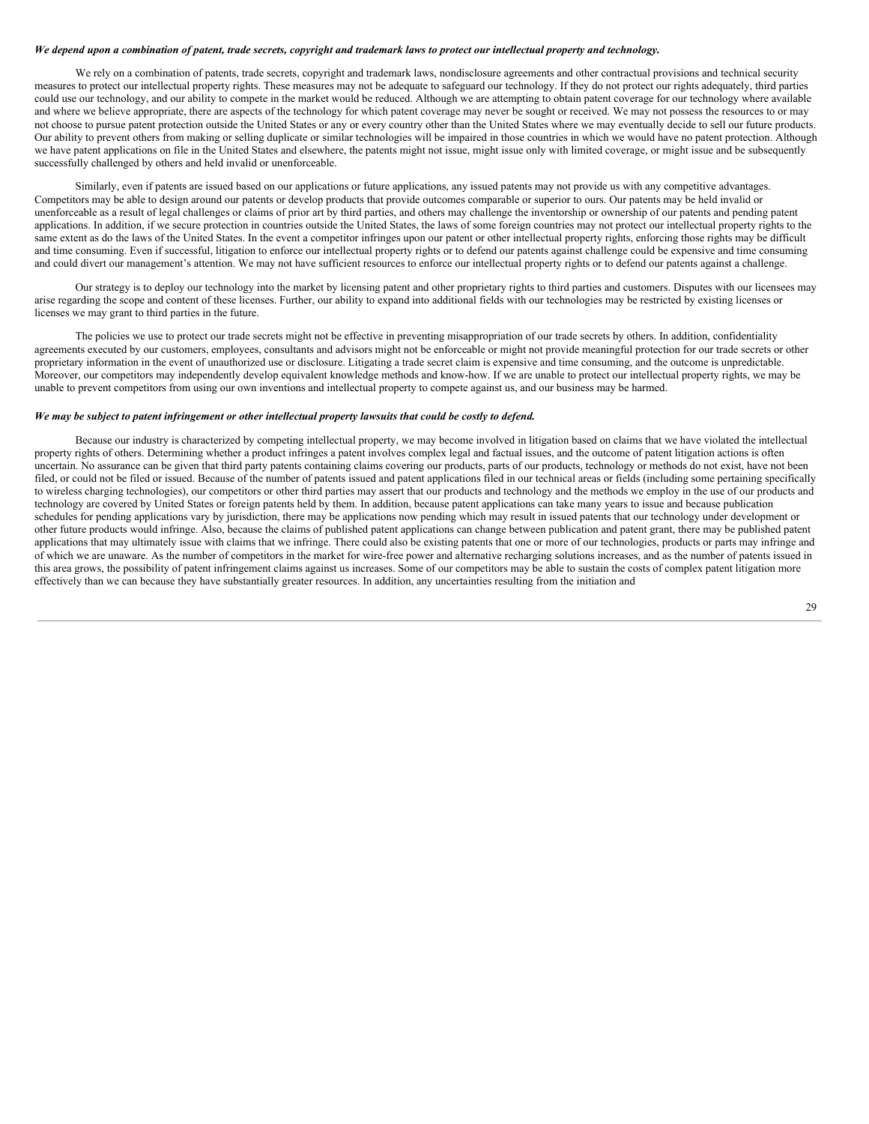# We depend upon a combination of patent, trade secrets, copyright and trademark laws to protect our intellectual property and technology.

We rely on a combination of patents, trade secrets, copyright and trademark laws, nondisclosure agreements and other contractual provisions and technical security measures to protect our intellectual property rights. These measures may not be adequate to safeguard our technology. If they do not protect our rights adequately, third parties could use our technology, and our ability to compete in the market would be reduced. Although we are attempting to obtain patent coverage for our technology where available and where we believe appropriate, there are aspects of the technology for which patent coverage may never be sought or received. We may not possess the resources to or may not choose to pursue patent protection outside the United States or any or every country other than the United States where we may eventually decide to sell our future products. Our ability to prevent others from making or selling duplicate or similar technologies will be impaired in those countries in which we would have no patent protection. Although we have patent applications on file in the United States and elsewhere, the patents might not issue, might issue only with limited coverage, or might issue and be subsequently successfully challenged by others and held invalid or unenforceable.

Similarly, even if patents are issued based on our applications or future applications, any issued patents may not provide us with any competitive advantages. Competitors may be able to design around our patents or develop products that provide outcomes comparable or superior to ours. Our patents may be held invalid or unenforceable as a result of legal challenges or claims of prior art by third parties, and others may challenge the inventorship or ownership of our patents and pending patent applications. In addition, if we secure protection in countries outside the United States, the laws of some foreign countries may not protect our intellectual property rights to the same extent as do the laws of the United States. In the event a competitor infringes upon our patent or other intellectual property rights, enforcing those rights may be difficult and time consuming. Even if successful, litigation to enforce our intellectual property rights or to defend our patents against challenge could be expensive and time consuming and could divert our management's attention. We may not have sufficient resources to enforce our intellectual property rights or to defend our patents against a challenge.

Our strategy is to deploy our technology into the market by licensing patent and other proprietary rights to third parties and customers. Disputes with our licensees may arise regarding the scope and content of these licenses. Further, our ability to expand into additional fields with our technologies may be restricted by existing licenses or licenses we may grant to third parties in the future.

The policies we use to protect our trade secrets might not be effective in preventing misappropriation of our trade secrets by others. In addition, confidentiality agreements executed by our customers, employees, consultants and advisors might not be enforceable or might not provide meaningful protection for our trade secrets or other proprietary information in the event of unauthorized use or disclosure. Litigating a trade secret claim is expensive and time consuming, and the outcome is unpredictable. Moreover, our competitors may independently develop equivalent knowledge methods and know-how. If we are unable to protect our intellectual property rights, we may be unable to prevent competitors from using our own inventions and intellectual property to compete against us, and our business may be harmed.

# We may be subject to patent infringement or other intellectual property lawsuits that could be costly to defend.

Because our industry is characterized by competing intellectual property, we may become involved in litigation based on claims that we have violated the intellectual property rights of others. Determining whether a product infringes a patent involves complex legal and factual issues, and the outcome of patent litigation actions is often uncertain. No assurance can be given that third party patents containing claims covering our products, parts of our products, technology or methods do not exist, have not been filed, or could not be filed or issued. Because of the number of patents issued and patent applications filed in our technical areas or fields (including some pertaining specifically to wireless charging technologies), our competitors or other third parties may assert that our products and technology and the methods we employ in the use of our products and technology are covered by United States or foreign patents held by them. In addition, because patent applications can take many years to issue and because publication schedules for pending applications vary by jurisdiction, there may be applications now pending which may result in issued patents that our technology under development or other future products would infringe. Also, because the claims of published patent applications can change between publication and patent grant, there may be published patent applications that may ultimately issue with claims that we infringe. There could also be existing patents that one or more of our technologies, products or parts may infringe and of which we are unaware. As the number of competitors in the market for wire-free power and alternative recharging solutions increases, and as the number of patents issued in this area grows, the possibility of patent infringement claims against us increases. Some of our competitors may be able to sustain the costs of complex patent litigation more effectively than we can because they have substantially greater resources. In addition, any uncertainties resulting from the initiation and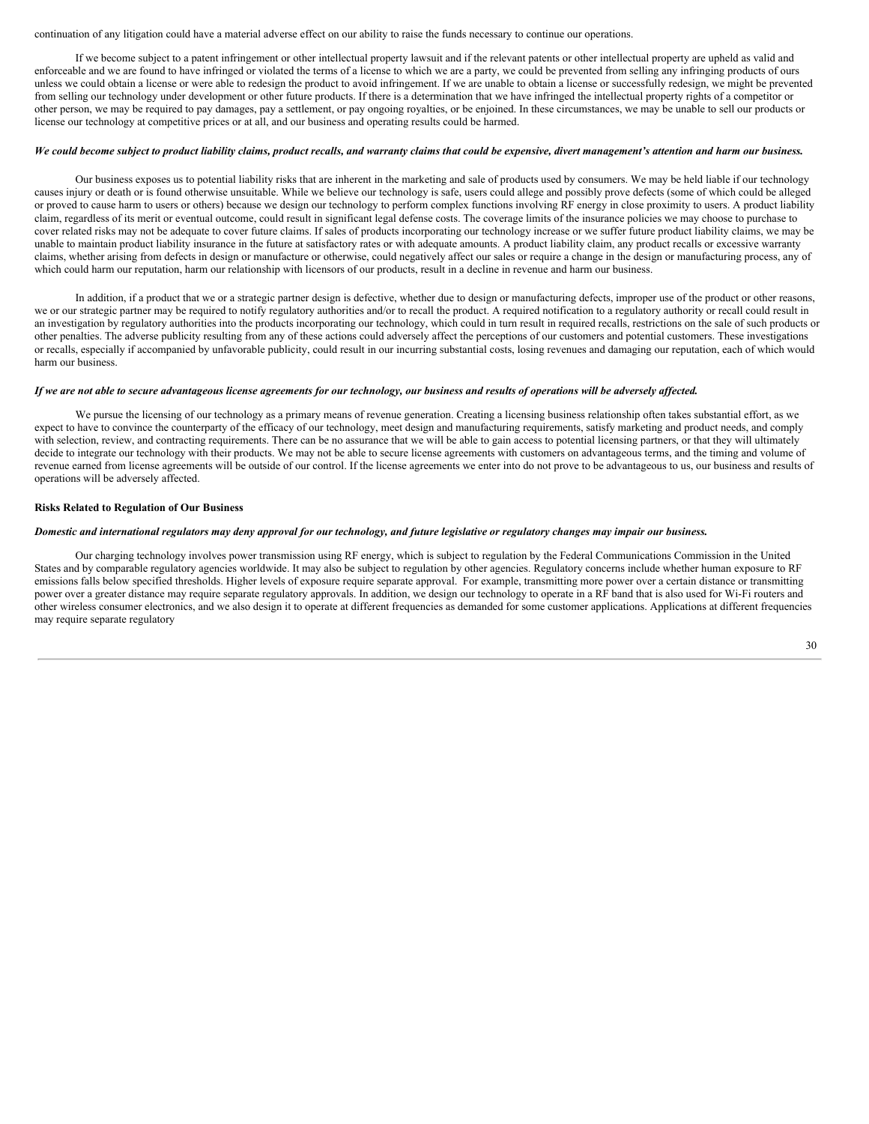continuation of any litigation could have a material adverse effect on our ability to raise the funds necessary to continue our operations.

If we become subject to a patent infringement or other intellectual property lawsuit and if the relevant patents or other intellectual property are upheld as valid and enforceable and we are found to have infringed or violated the terms of a license to which we are a party, we could be prevented from selling any infringing products of ours unless we could obtain a license or were able to redesign the product to avoid infringement. If we are unable to obtain a license or successfully redesign, we might be prevented from selling our technology under development or other future products. If there is a determination that we have infringed the intellectual property rights of a competitor or other person, we may be required to pay damages, pay a settlement, or pay ongoing royalties, or be enjoined. In these circumstances, we may be unable to sell our products or license our technology at competitive prices or at all, and our business and operating results could be harmed.

# We could become subject to product liability claims, product recalls, and warranty claims that could be expensive, divert management's attention and harm our business.

Our business exposes us to potential liability risks that are inherent in the marketing and sale of products used by consumers. We may be held liable if our technology causes injury or death or is found otherwise unsuitable. While we believe our technology is safe, users could allege and possibly prove defects (some of which could be alleged or proved to cause harm to users or others) because we design our technology to perform complex functions involving RF energy in close proximity to users. A product liability claim, regardless of its merit or eventual outcome, could result in significant legal defense costs. The coverage limits of the insurance policies we may choose to purchase to cover related risks may not be adequate to cover future claims. If sales of products incorporating our technology increase or we suffer future product liability claims, we may be unable to maintain product liability insurance in the future at satisfactory rates or with adequate amounts. A product liability claim, any product recalls or excessive warranty claims, whether arising from defects in design or manufacture or otherwise, could negatively affect our sales or require a change in the design or manufacturing process, any of which could harm our reputation, harm our relationship with licensors of our products, result in a decline in revenue and harm our business.

In addition, if a product that we or a strategic partner design is defective, whether due to design or manufacturing defects, improper use of the product or other reasons, we or our strategic partner may be required to notify regulatory authorities and/or to recall the product. A required notification to a regulatory authority or recall could result in an investigation by regulatory authorities into the products incorporating our technology, which could in turn result in required recalls, restrictions on the sale of such products or other penalties. The adverse publicity resulting from any of these actions could adversely affect the perceptions of our customers and potential customers. These investigations or recalls, especially if accompanied by unfavorable publicity, could result in our incurring substantial costs, losing revenues and damaging our reputation, each of which would harm our business.

#### If we are not able to secure advantageous license agreements for our technology, our business and results of operations will be adversely affected.

We pursue the licensing of our technology as a primary means of revenue generation. Creating a licensing business relationship often takes substantial effort, as we expect to have to convince the counterparty of the efficacy of our technology, meet design and manufacturing requirements, satisfy marketing and product needs, and comply with selection, review, and contracting requirements. There can be no assurance that we will be able to gain access to potential licensing partners, or that they will ultimately decide to integrate our technology with their products. We may not be able to secure license agreements with customers on advantageous terms, and the timing and volume of revenue earned from license agreements will be outside of our control. If the license agreements we enter into do not prove to be advantageous to us, our business and results of operations will be adversely affected.

# **Risks Related to Regulation of Our Business**

# Domestic and international regulators may deny approval for our technology, and future legislative or regulatory changes may impair our business.

Our charging technology involves power transmission using RF energy, which is subject to regulation by the Federal Communications Commission in the United States and by comparable regulatory agencies worldwide. It may also be subject to regulation by other agencies. Regulatory concerns include whether human exposure to RF emissions falls below specified thresholds. Higher levels of exposure require separate approval. For example, transmitting more power over a certain distance or transmitting power over a greater distance may require separate regulatory approvals. In addition, we design our technology to operate in a RF band that is also used for Wi-Fi routers and other wireless consumer electronics, and we also design it to operate at different frequencies as demanded for some customer applications. Applications at different frequencies may require separate regulatory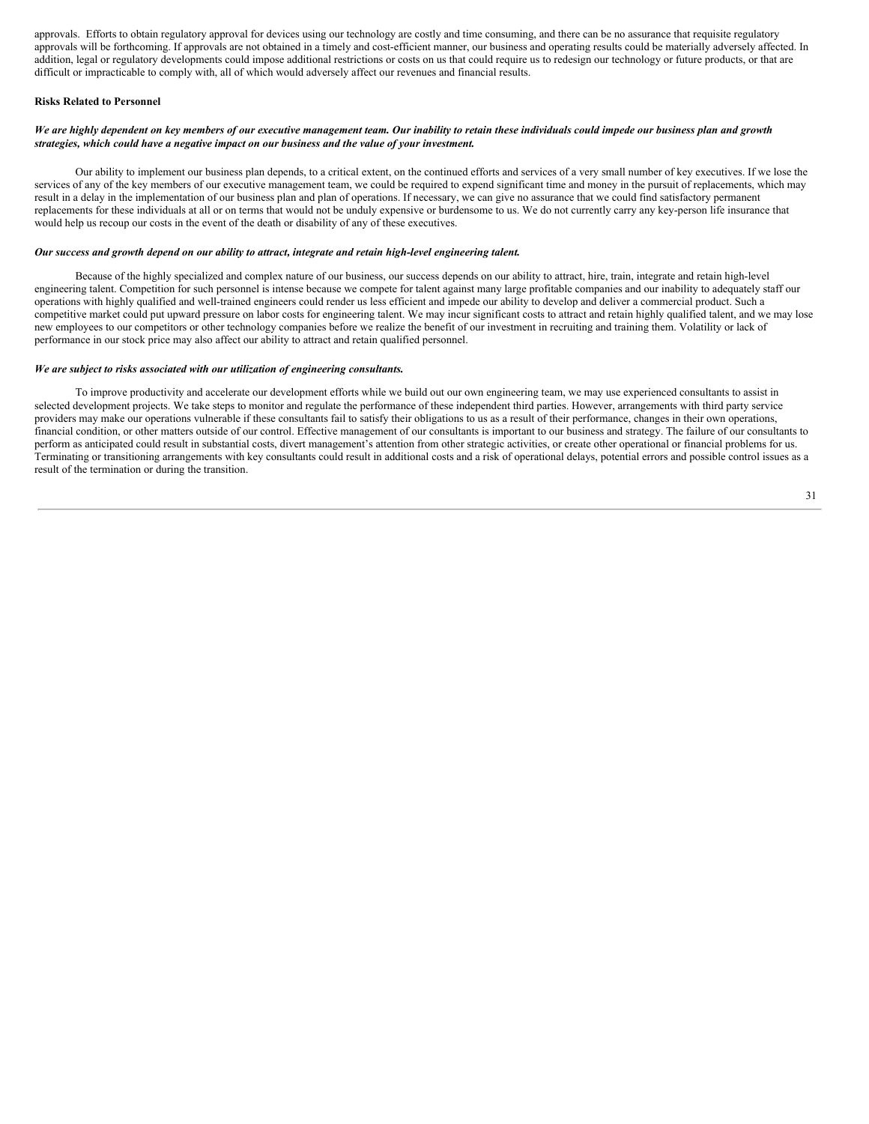approvals. Efforts to obtain regulatory approval for devices using our technology are costly and time consuming, and there can be no assurance that requisite regulatory approvals will be forthcoming. If approvals are not obtained in a timely and cost-efficient manner, our business and operating results could be materially adversely affected. In addition, legal or regulatory developments could impose additional restrictions or costs on us that could require us to redesign our technology or future products, or that are difficult or impracticable to comply with, all of which would adversely affect our revenues and financial results.

# **Risks Related to Personnel**

# We are highly dependent on key members of our executive management team. Our inability to retain these individuals could impede our business plan and growth *strategies, which could have a negative impact on our business and the value of your investment.*

Our ability to implement our business plan depends, to a critical extent, on the continued efforts and services of a very small number of key executives. If we lose the services of any of the key members of our executive management team, we could be required to expend significant time and money in the pursuit of replacements, which may result in a delay in the implementation of our business plan and plan of operations. If necessary, we can give no assurance that we could find satisfactory permanent replacements for these individuals at all or on terms that would not be unduly expensive or burdensome to us. We do not currently carry any key-person life insurance that would help us recoup our costs in the event of the death or disability of any of these executives.

#### *Our success and growth depend on our ability to attract, integrate and retain high-level engineering talent.*

Because of the highly specialized and complex nature of our business, our success depends on our ability to attract, hire, train, integrate and retain high-level engineering talent. Competition for such personnel is intense because we compete for talent against many large profitable companies and our inability to adequately staff our operations with highly qualified and well-trained engineers could render us less efficient and impede our ability to develop and deliver a commercial product. Such a competitive market could put upward pressure on labor costs for engineering talent. We may incur significant costs to attract and retain highly qualified talent, and we may lose new employees to our competitors or other technology companies before we realize the benefit of our investment in recruiting and training them. Volatility or lack of performance in our stock price may also affect our ability to attract and retain qualified personnel.

#### *We are subject to risks associated with our utilization of engineering consultants.*

To improve productivity and accelerate our development efforts while we build out our own engineering team, we may use experienced consultants to assist in selected development projects. We take steps to monitor and regulate the performance of these independent third parties. However, arrangements with third party service providers may make our operations vulnerable if these consultants fail to satisfy their obligations to us as a result of their performance, changes in their own operations, financial condition, or other matters outside of our control. Effective management of our consultants is important to our business and strategy. The failure of our consultants to perform as anticipated could result in substantial costs, divert management's attention from other strategic activities, or create other operational or financial problems for us. Terminating or transitioning arrangements with key consultants could result in additional costs and a risk of operational delays, potential errors and possible control issues as a result of the termination or during the transition.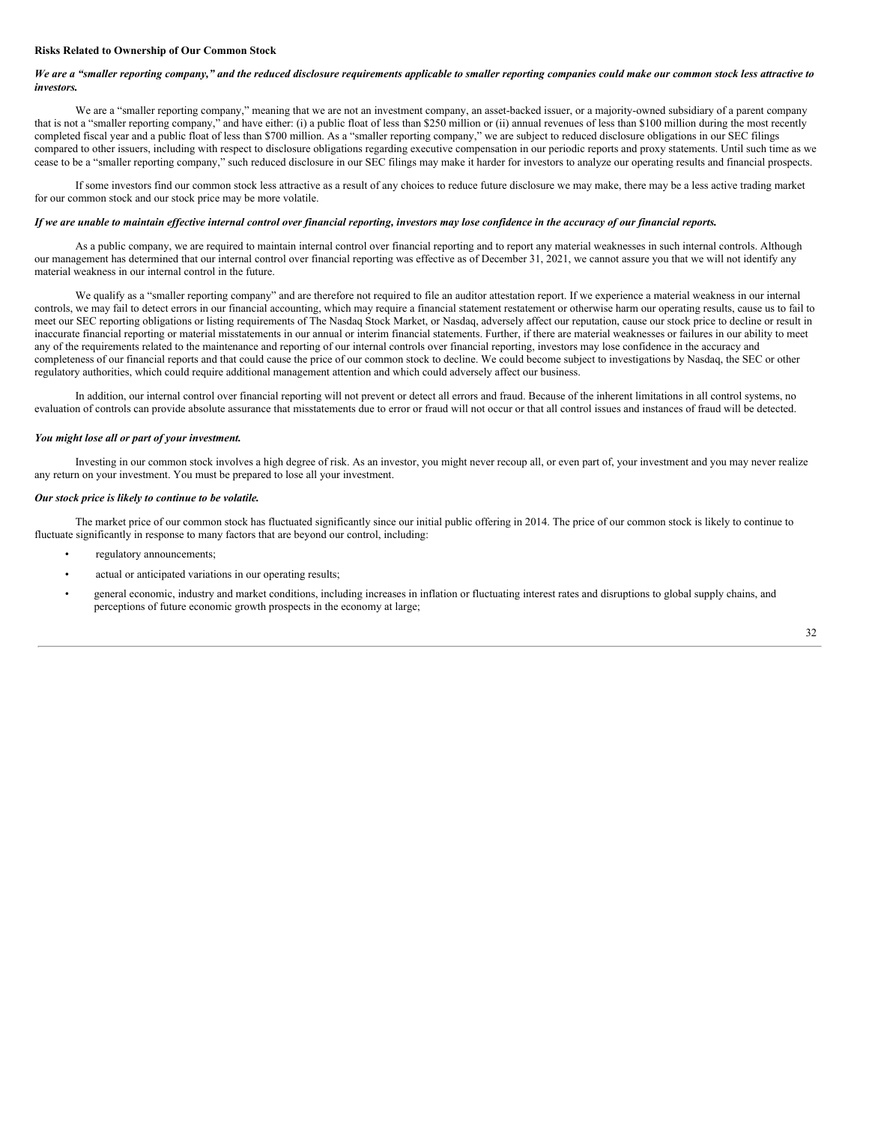#### **Risks Related to Ownership of Our Common Stock**

#### We are a "smaller reporting company," and the reduced disclosure requirements applicable to smaller reporting companies could make our common stock less attractive to *investors.*

We are a "smaller reporting company," meaning that we are not an investment company, an asset-backed issuer, or a majority-owned subsidiary of a parent company that is not a "smaller reporting company," and have either: (i) a public float of less than \$250 million or (ii) annual revenues of less than \$100 million during the most recently completed fiscal year and a public float of less than \$700 million. As a "smaller reporting company," we are subject to reduced disclosure obligations in our SEC filings compared to other issuers, including with respect to disclosure obligations regarding executive compensation in our periodic reports and proxy statements. Until such time as we cease to be a "smaller reporting company," such reduced disclosure in our SEC filings may make it harder for investors to analyze our operating results and financial prospects.

If some investors find our common stock less attractive as a result of any choices to reduce future disclosure we may make, there may be a less active trading market for our common stock and our stock price may be more volatile.

#### If we are unable to maintain effective internal control over financial reporting, investors may lose confidence in the accuracy of our financial reports.

As a public company, we are required to maintain internal control over financial reporting and to report any material weaknesses in such internal controls. Although our management has determined that our internal control over financial reporting was effective as of December 31, 2021, we cannot assure you that we will not identify any material weakness in our internal control in the future.

We qualify as a "smaller reporting company" and are therefore not required to file an auditor attestation report. If we experience a material weakness in our internal controls, we may fail to detect errors in our financial accounting, which may require a financial statement restatement or otherwise harm our operating results, cause us to fail to meet our SEC reporting obligations or listing requirements of The Nasdaq Stock Market, or Nasdaq, adversely affect our reputation, cause our stock price to decline or result in inaccurate financial reporting or material misstatements in our annual or interim financial statements. Further, if there are material weaknesses or failures in our ability to meet any of the requirements related to the maintenance and reporting of our internal controls over financial reporting, investors may lose confidence in the accuracy and completeness of our financial reports and that could cause the price of our common stock to decline. We could become subject to investigations by Nasdaq, the SEC or other regulatory authorities, which could require additional management attention and which could adversely affect our business.

In addition, our internal control over financial reporting will not prevent or detect all errors and fraud. Because of the inherent limitations in all control systems, no evaluation of controls can provide absolute assurance that misstatements due to error or fraud will not occur or that all control issues and instances of fraud will be detected.

### *You might lose all or part of your investment.*

Investing in our common stock involves a high degree of risk. As an investor, you might never recoup all, or even part of, your investment and you may never realize any return on your investment. You must be prepared to lose all your investment.

#### *Our stock price is likely to continue to be volatile.*

The market price of our common stock has fluctuated significantly since our initial public offering in 2014. The price of our common stock is likely to continue to fluctuate significantly in response to many factors that are beyond our control, including:

- regulatory announcements;
- actual or anticipated variations in our operating results;
- general economic, industry and market conditions, including increases in inflation or fluctuating interest rates and disruptions to global supply chains, and perceptions of future economic growth prospects in the economy at large;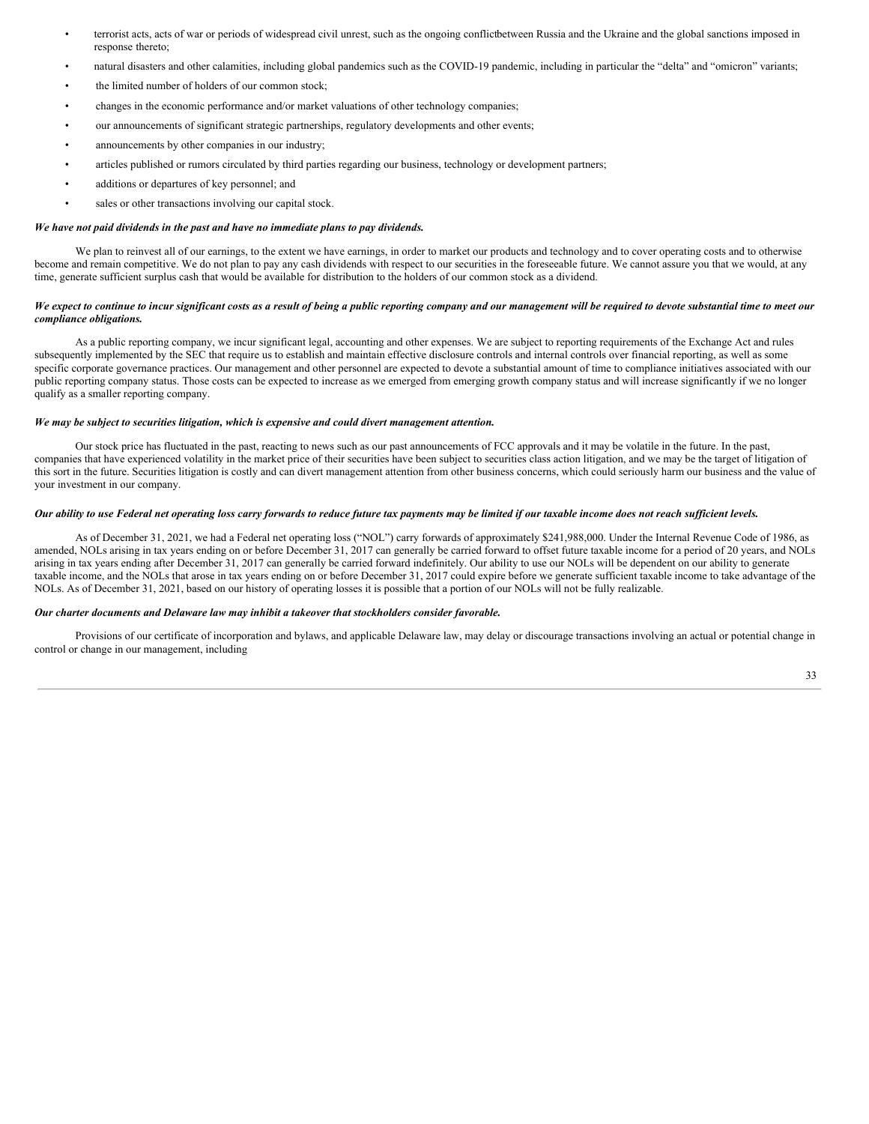- terrorist acts, acts of war or periods of widespread civil unrest, such as the ongoing conflictbetween Russia and the Ukraine and the global sanctions imposed in response thereto;
- natural disasters and other calamities, including global pandemics such as the COVID-19 pandemic, including in particular the "delta" and "omicron" variants;
- the limited number of holders of our common stock;
- changes in the economic performance and/or market valuations of other technology companies;
- our announcements of significant strategic partnerships, regulatory developments and other events;
- announcements by other companies in our industry;
- articles published or rumors circulated by third parties regarding our business, technology or development partners;
- additions or departures of key personnel; and
- sales or other transactions involving our capital stock.

# *We have not paid dividends in the past and have no immediate plans to pay dividends.*

We plan to reinvest all of our earnings, to the extent we have earnings, in order to market our products and technology and to cover operating costs and to otherwise become and remain competitive. We do not plan to pay any cash dividends with respect to our securities in the foreseeable future. We cannot assure you that we would, at any time, generate sufficient surplus cash that would be available for distribution to the holders of our common stock as a dividend.

# We expect to continue to incur significant costs as a result of being a public reporting company and our management will be required to devote substantial time to meet our *compliance obligations.*

As a public reporting company, we incur significant legal, accounting and other expenses. We are subject to reporting requirements of the Exchange Act and rules subsequently implemented by the SEC that require us to establish and maintain effective disclosure controls and internal controls over financial reporting, as well as some specific corporate governance practices. Our management and other personnel are expected to devote a substantial amount of time to compliance initiatives associated with our public reporting company status. Those costs can be expected to increase as we emerged from emerging growth company status and will increase significantly if we no longer qualify as a smaller reporting company.

# *We may be subject to securities litigation, which is expensive and could divert management attention.*

Our stock price has fluctuated in the past, reacting to news such as our past announcements of FCC approvals and it may be volatile in the future. In the past, companies that have experienced volatility in the market price of their securities have been subject to securities class action litigation, and we may be the target of litigation of this sort in the future. Securities litigation is costly and can divert management attention from other business concerns, which could seriously harm our business and the value of your investment in our company.

# Our ability to use Federal net operating loss carry forwards to reduce future tax payments may be limited if our taxable income does not reach sufficient levels.

As of December 31, 2021, we had a Federal net operating loss ("NOL") carry forwards of approximately \$241,988,000. Under the Internal Revenue Code of 1986, as amended, NOLs arising in tax years ending on or before December 31, 2017 can generally be carried forward to offset future taxable income for a period of 20 years, and NOLs arising in tax years ending after December 31, 2017 can generally be carried forward indefinitely. Our ability to use our NOLs will be dependent on our ability to generate taxable income, and the NOLs that arose in tax years ending on or before December 31, 2017 could expire before we generate sufficient taxable income to take advantage of the NOLs. As of December 31, 2021, based on our history of operating losses it is possible that a portion of our NOLs will not be fully realizable.

#### *Our charter documents and Delaware law may inhibit a takeover that stockholders consider favorable.*

Provisions of our certificate of incorporation and bylaws, and applicable Delaware law, may delay or discourage transactions involving an actual or potential change in control or change in our management, including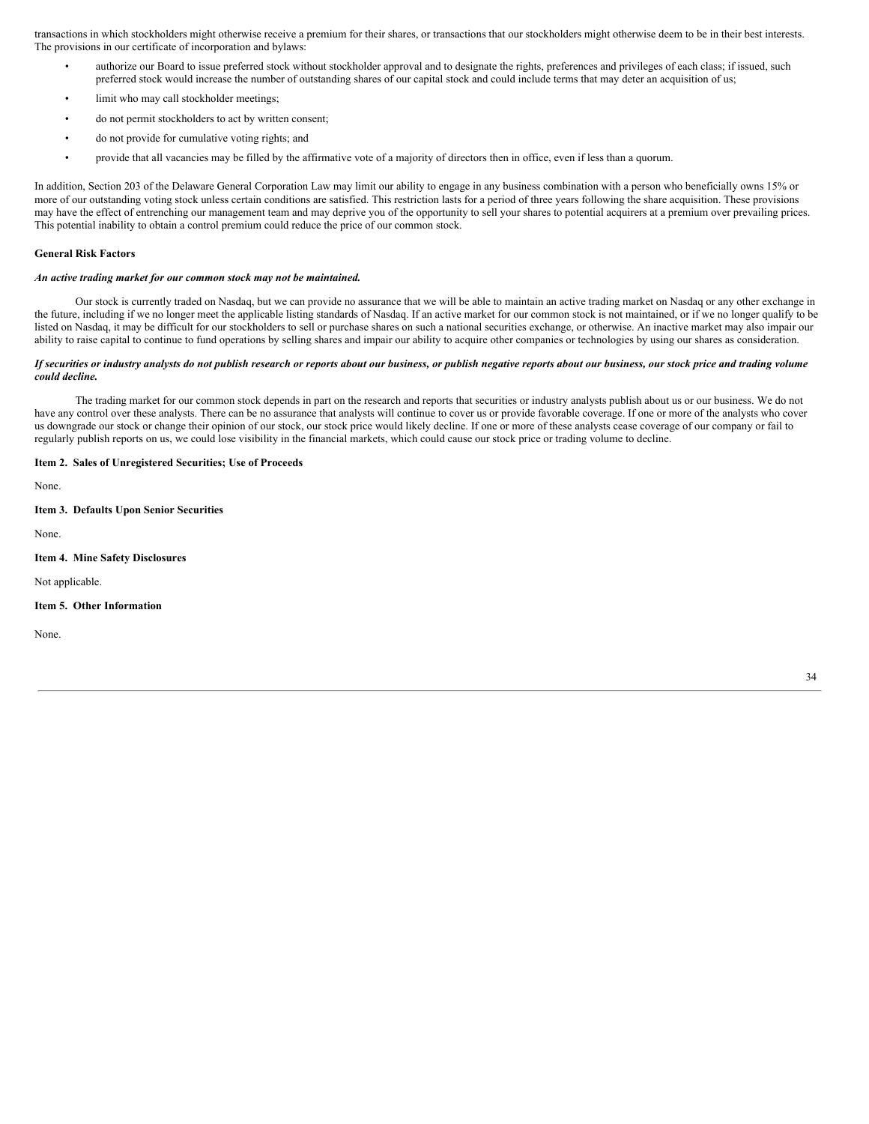transactions in which stockholders might otherwise receive a premium for their shares, or transactions that our stockholders might otherwise deem to be in their best interests. The provisions in our certificate of incorporation and bylaws:

- authorize our Board to issue preferred stock without stockholder approval and to designate the rights, preferences and privileges of each class; if issued, such preferred stock would increase the number of outstanding shares of our capital stock and could include terms that may deter an acquisition of us;
- limit who may call stockholder meetings;
- do not permit stockholders to act by written consent;
- do not provide for cumulative voting rights; and
- provide that all vacancies may be filled by the affirmative vote of a majority of directors then in office, even if less than a quorum.

In addition, Section 203 of the Delaware General Corporation Law may limit our ability to engage in any business combination with a person who beneficially owns 15% or more of our outstanding voting stock unless certain conditions are satisfied. This restriction lasts for a period of three years following the share acquisition. These provisions may have the effect of entrenching our management team and may deprive you of the opportunity to sell your shares to potential acquirers at a premium over prevailing prices. This potential inability to obtain a control premium could reduce the price of our common stock.

# **General Risk Factors**

#### *An active trading market for our common stock may not be maintained.*

Our stock is currently traded on Nasdaq, but we can provide no assurance that we will be able to maintain an active trading market on Nasdaq or any other exchange in the future, including if we no longer meet the applicable listing standards of Nasdaq. If an active market for our common stock is not maintained, or if we no longer qualify to be listed on Nasdaq, it may be difficult for our stockholders to sell or purchase shares on such a national securities exchange, or otherwise. An inactive market may also impair our ability to raise capital to continue to fund operations by selling shares and impair our ability to acquire other companies or technologies by using our shares as consideration.

#### If securities or industry analysts do not publish research or reports about our business, or publish negative reports about our business, our stock price and trading volume *could decline.*

The trading market for our common stock depends in part on the research and reports that securities or industry analysts publish about us or our business. We do not have any control over these analysts. There can be no assurance that analysts will continue to cover us or provide favorable coverage. If one or more of the analysts who cover us downgrade our stock or change their opinion of our stock, our stock price would likely decline. If one or more of these analysts cease coverage of our company or fail to regularly publish reports on us, we could lose visibility in the financial markets, which could cause our stock price or trading volume to decline.

# <span id="page-33-0"></span>**Item 2. Sales of Unregistered Securities; Use of Proceeds**

None.

# <span id="page-33-1"></span>**Item 3. Defaults Upon Senior Securities**

None.

#### <span id="page-33-2"></span>**Item 4. Mine Safety Disclosures**

Not applicable.

#### <span id="page-33-3"></span>**Item 5. Other Information**

None.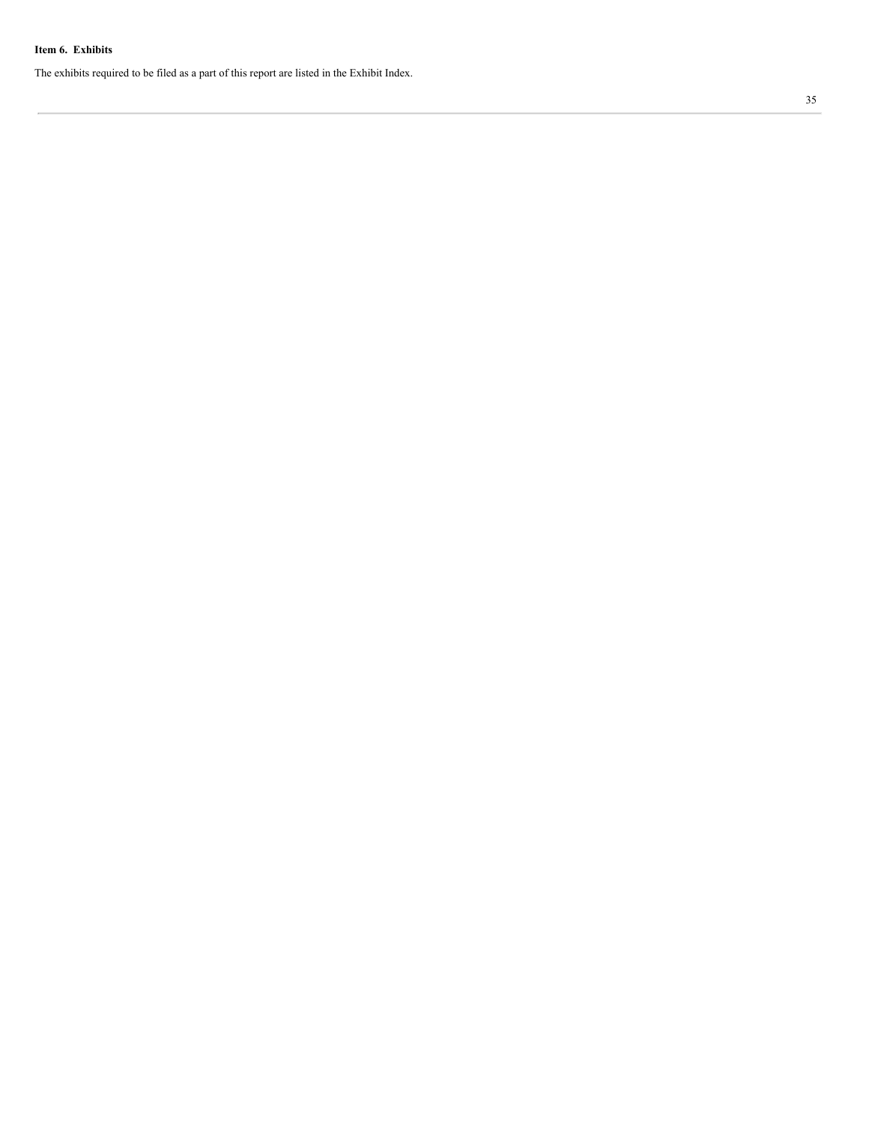#### <span id="page-34-0"></span>Item 6. Exhibits

The exhibits required to be filed as a part of this report are listed in the Exhibit Index.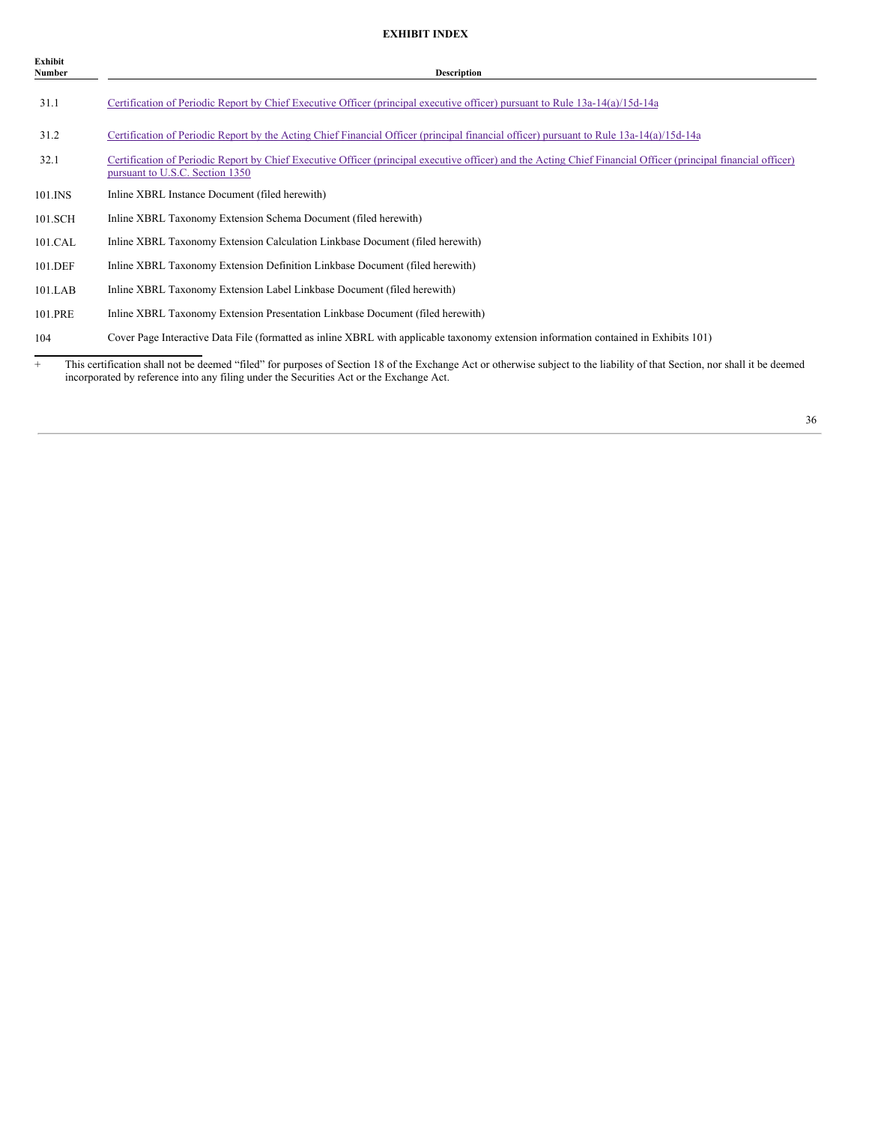# **EXHIBIT INDEX**

| Exhibit<br>Number | <b>Description</b>                                                                                                                                                                                |
|-------------------|---------------------------------------------------------------------------------------------------------------------------------------------------------------------------------------------------|
| 31.1              | Certification of Periodic Report by Chief Executive Officer (principal executive officer) pursuant to Rule 13a-14(a)/15d-14a                                                                      |
| 31.2              | Certification of Periodic Report by the Acting Chief Financial Officer (principal financial officer) pursuant to Rule 13a-14(a)/15d-14a                                                           |
| 32.1              | Certification of Periodic Report by Chief Executive Officer (principal executive officer) and the Acting Chief Financial Officer (principal financial officer)<br>pursuant to U.S.C. Section 1350 |
| 101.INS           | Inline XBRL Instance Document (filed herewith)                                                                                                                                                    |
| 101.SCH           | Inline XBRL Taxonomy Extension Schema Document (filed herewith)                                                                                                                                   |
| 101.CAL           | Inline XBRL Taxonomy Extension Calculation Linkbase Document (filed herewith)                                                                                                                     |
| 101.DEF           | Inline XBRL Taxonomy Extension Definition Linkbase Document (filed herewith)                                                                                                                      |
| $101$ .LAB        | Inline XBRL Taxonomy Extension Label Linkbase Document (filed herewith)                                                                                                                           |
| 101.PRE           | Inline XBRL Taxonomy Extension Presentation Linkbase Document (filed herewith)                                                                                                                    |
| 104               | Cover Page Interactive Data File (formatted as inline XBRL with applicable taxonomy extension information contained in Exhibits 101)                                                              |

+ This certification shall not be deemed "filed" for purposes of Section 18 of the Exchange Act or otherwise subject to the liability of that Section, nor shall it be deemed incorporated by reference into any filing under the Securities Act or the Exchange Act.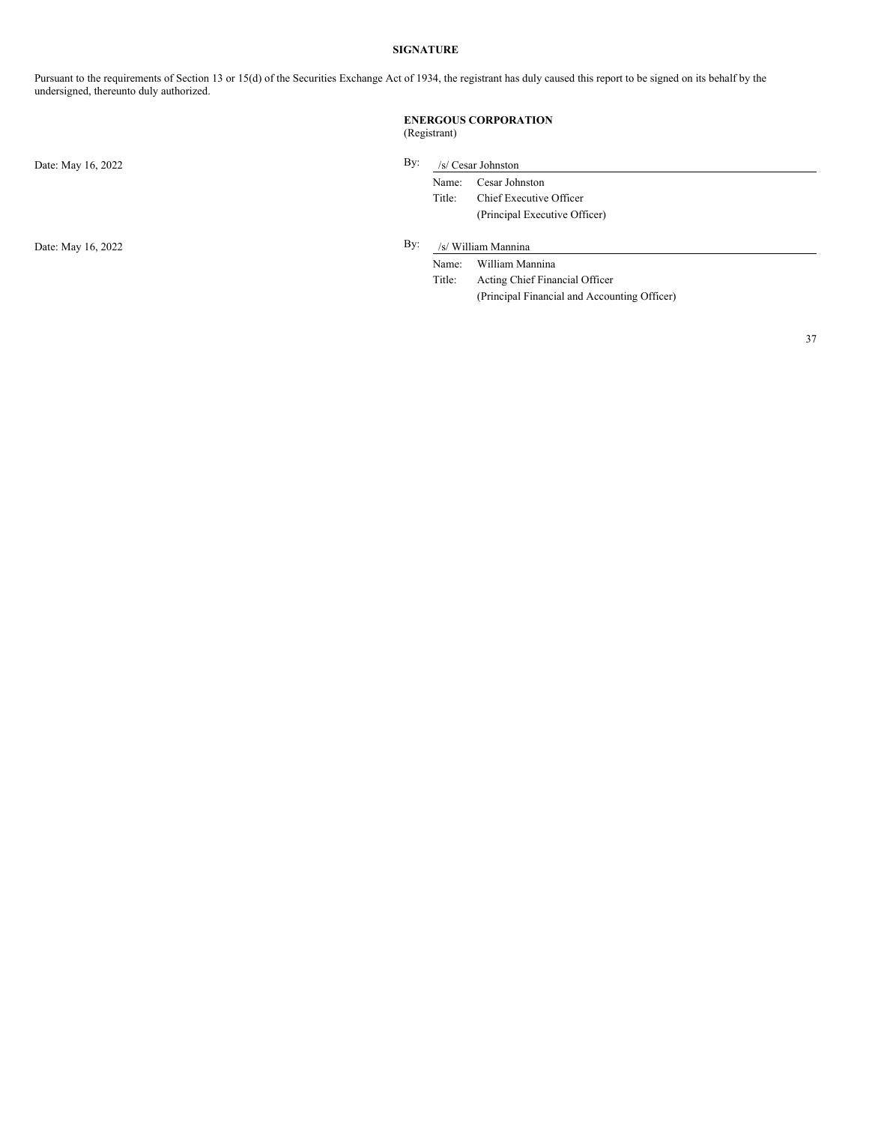# **SIGNATURE**

Pursuant to the requirements of Section 13 or 15(d) of the Securities Exchange Act of 1934, the registrant has duly caused this report to be signed on its behalf by the undersigned, thereunto duly authorized.

# **ENERGOUS CORPORATION**

(Registrant)

| Date: May 16, 2022 | Bv: |
|--------------------|-----|
|                    |     |

Date: May 16, 2022 By:

# /s/ Cesar Johnston

Name: Cesar Johnston Title: Chief Executive Officer (Principal Executive Officer)

/s/ William Mannina

Name: William Mannina

Title: Acting Chief Financial Officer (Principal Financial and Accounting Officer)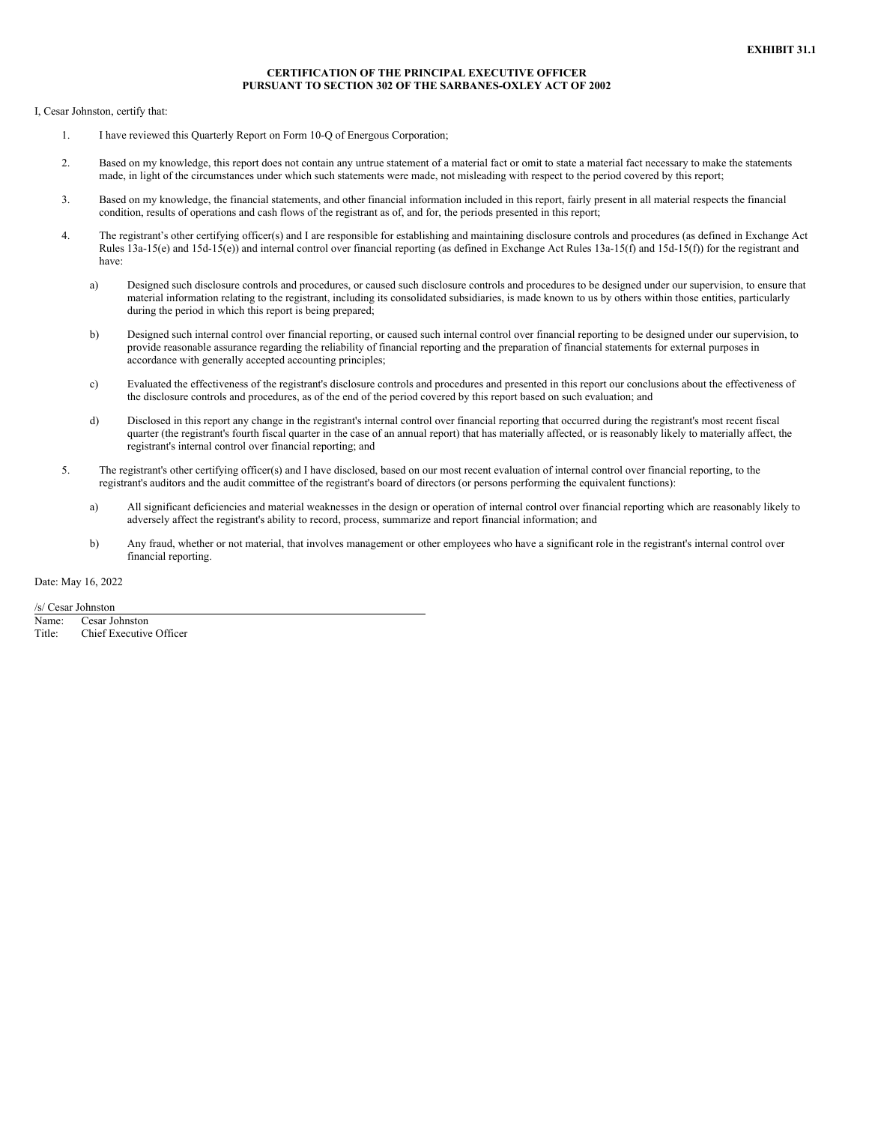# **CERTIFICATION OF THE PRINCIPAL EXECUTIVE OFFICER PURSUANT TO SECTION 302 OF THE SARBANES-OXLEY ACT OF 2002**

<span id="page-37-0"></span>I, Cesar Johnston, certify that:

- 1. I have reviewed this Quarterly Report on Form 10-Q of Energous Corporation;
- 2. Based on my knowledge, this report does not contain any untrue statement of a material fact or omit to state a material fact necessary to make the statements made, in light of the circumstances under which such statements were made, not misleading with respect to the period covered by this report;
- 3. Based on my knowledge, the financial statements, and other financial information included in this report, fairly present in all material respects the financial condition, results of operations and cash flows of the registrant as of, and for, the periods presented in this report;
- 4. The registrant's other certifying officer(s) and I are responsible for establishing and maintaining disclosure controls and procedures (as defined in Exchange Act Rules  $13a-15(e)$  and  $15d-15(e)$  and internal control over financial reporting (as defined in Exchange Act Rules  $13a-15(f)$  and  $15d-15(f)$ ) for the registrant and have:
	- a) Designed such disclosure controls and procedures, or caused such disclosure controls and procedures to be designed under our supervision, to ensure that material information relating to the registrant, including its consolidated subsidiaries, is made known to us by others within those entities, particularly during the period in which this report is being prepared;
	- b) Designed such internal control over financial reporting, or caused such internal control over financial reporting to be designed under our supervision, to provide reasonable assurance regarding the reliability of financial reporting and the preparation of financial statements for external purposes in accordance with generally accepted accounting principles;
	- c) Evaluated the effectiveness of the registrant's disclosure controls and procedures and presented in this report our conclusions about the effectiveness of the disclosure controls and procedures, as of the end of the period covered by this report based on such evaluation; and
	- d) Disclosed in this report any change in the registrant's internal control over financial reporting that occurred during the registrant's most recent fiscal quarter (the registrant's fourth fiscal quarter in the case of an annual report) that has materially affected, or is reasonably likely to materially affect, the registrant's internal control over financial reporting; and
- 5. The registrant's other certifying officer(s) and I have disclosed, based on our most recent evaluation of internal control over financial reporting, to the registrant's auditors and the audit committee of the registrant's board of directors (or persons performing the equivalent functions):
	- a) All significant deficiencies and material weaknesses in the design or operation of internal control over financial reporting which are reasonably likely to adversely affect the registrant's ability to record, process, summarize and report financial information; and
	- b) Any fraud, whether or not material, that involves management or other employees who have a significant role in the registrant's internal control over financial reporting.

Date: May 16, 2022

/s/ Cesar Johnston Name: Cesar Johnston

Title: Chief Executive Officer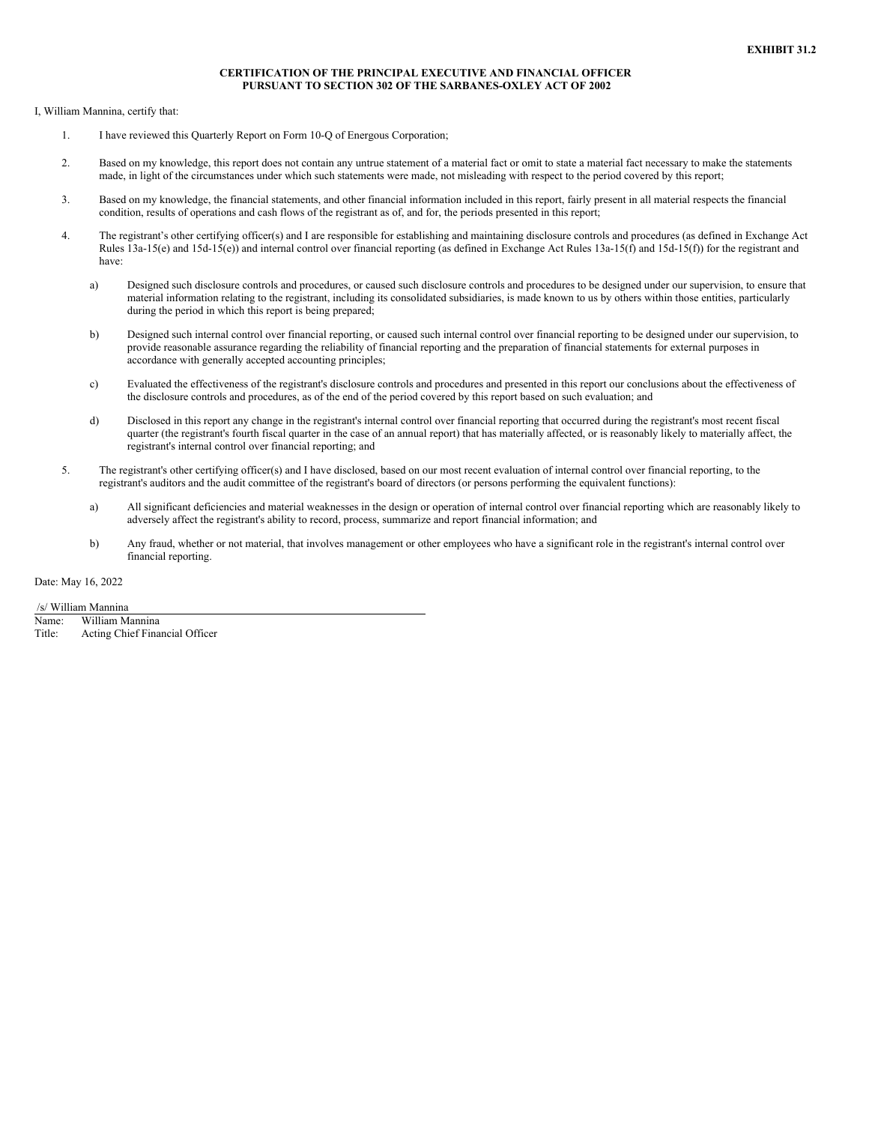# **CERTIFICATION OF THE PRINCIPAL EXECUTIVE AND FINANCIAL OFFICER PURSUANT TO SECTION 302 OF THE SARBANES-OXLEY ACT OF 2002**

<span id="page-38-0"></span>I, William Mannina, certify that:

- 1. I have reviewed this Quarterly Report on Form 10-Q of Energous Corporation;
- 2. Based on my knowledge, this report does not contain any untrue statement of a material fact or omit to state a material fact necessary to make the statements made, in light of the circumstances under which such statements were made, not misleading with respect to the period covered by this report;
- 3. Based on my knowledge, the financial statements, and other financial information included in this report, fairly present in all material respects the financial condition, results of operations and cash flows of the registrant as of, and for, the periods presented in this report;
- 4. The registrant's other certifying officer(s) and I are responsible for establishing and maintaining disclosure controls and procedures (as defined in Exchange Act Rules  $13a-15(e)$  and  $15d-15(e)$  and internal control over financial reporting (as defined in Exchange Act Rules  $13a-15(f)$  and  $15d-15(f)$ ) for the registrant and have:
	- a) Designed such disclosure controls and procedures, or caused such disclosure controls and procedures to be designed under our supervision, to ensure that material information relating to the registrant, including its consolidated subsidiaries, is made known to us by others within those entities, particularly during the period in which this report is being prepared;
	- b) Designed such internal control over financial reporting, or caused such internal control over financial reporting to be designed under our supervision, to provide reasonable assurance regarding the reliability of financial reporting and the preparation of financial statements for external purposes in accordance with generally accepted accounting principles;
	- c) Evaluated the effectiveness of the registrant's disclosure controls and procedures and presented in this report our conclusions about the effectiveness of the disclosure controls and procedures, as of the end of the period covered by this report based on such evaluation; and
	- d) Disclosed in this report any change in the registrant's internal control over financial reporting that occurred during the registrant's most recent fiscal quarter (the registrant's fourth fiscal quarter in the case of an annual report) that has materially affected, or is reasonably likely to materially affect, the registrant's internal control over financial reporting; and
- 5. The registrant's other certifying officer(s) and I have disclosed, based on our most recent evaluation of internal control over financial reporting, to the registrant's auditors and the audit committee of the registrant's board of directors (or persons performing the equivalent functions):
	- a) All significant deficiencies and material weaknesses in the design or operation of internal control over financial reporting which are reasonably likely to adversely affect the registrant's ability to record, process, summarize and report financial information; and
	- b) Any fraud, whether or not material, that involves management or other employees who have a significant role in the registrant's internal control over financial reporting.

Date: May 16, 2022

/s/ William Mannina Name: William Mannina

Title: Acting Chief Financial Officer